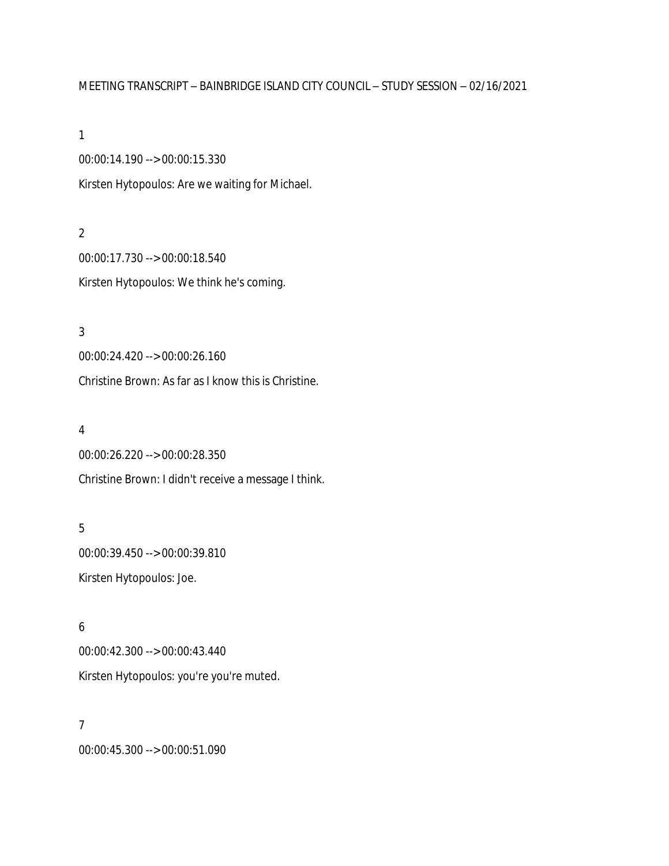# MEETING TRANSCRIPT – BAINBRIDGE ISLAND CITY COUNCIL – STUDY SESSION – 02/16/2021

1

00:00:14.190 --> 00:00:15.330 Kirsten Hytopoulos: Are we waiting for Michael.

2 00:00:17.730 --> 00:00:18.540 Kirsten Hytopoulos: We think he's coming.

3 00:00:24.420 --> 00:00:26.160 Christine Brown: As far as I know this is Christine.

### 4

00:00:26.220 --> 00:00:28.350 Christine Brown: I didn't receive a message I think.

# 5

00:00:39.450 --> 00:00:39.810 Kirsten Hytopoulos: Joe.

## 6

00:00:42.300 --> 00:00:43.440 Kirsten Hytopoulos: you're you're muted.

## 7

00:00:45.300 --> 00:00:51.090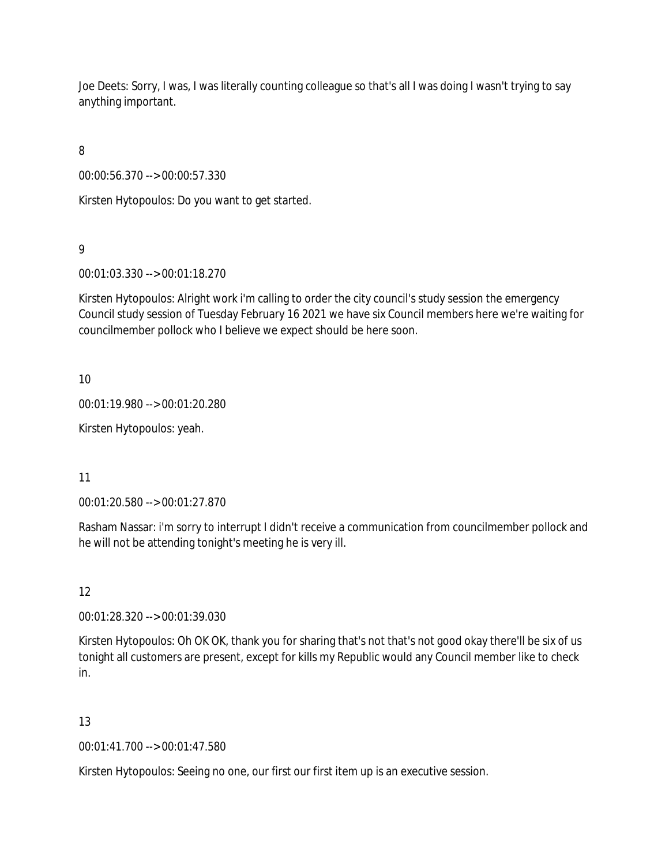Joe Deets: Sorry, I was, I was literally counting colleague so that's all I was doing I wasn't trying to say anything important.

8

00:00:56.370 --> 00:00:57.330

Kirsten Hytopoulos: Do you want to get started.

9

00:01:03.330 --> 00:01:18.270

Kirsten Hytopoulos: Alright work i'm calling to order the city council's study session the emergency Council study session of Tuesday February 16 2021 we have six Council members here we're waiting for councilmember pollock who I believe we expect should be here soon.

10

00:01:19.980 --> 00:01:20.280

Kirsten Hytopoulos: yeah.

11

00:01:20.580 --> 00:01:27.870

Rasham Nassar: i'm sorry to interrupt I didn't receive a communication from councilmember pollock and he will not be attending tonight's meeting he is very ill.

12

00:01:28.320 --> 00:01:39.030

Kirsten Hytopoulos: Oh OK OK, thank you for sharing that's not that's not good okay there'll be six of us tonight all customers are present, except for kills my Republic would any Council member like to check in.

13

00:01:41.700 --> 00:01:47.580

Kirsten Hytopoulos: Seeing no one, our first our first item up is an executive session.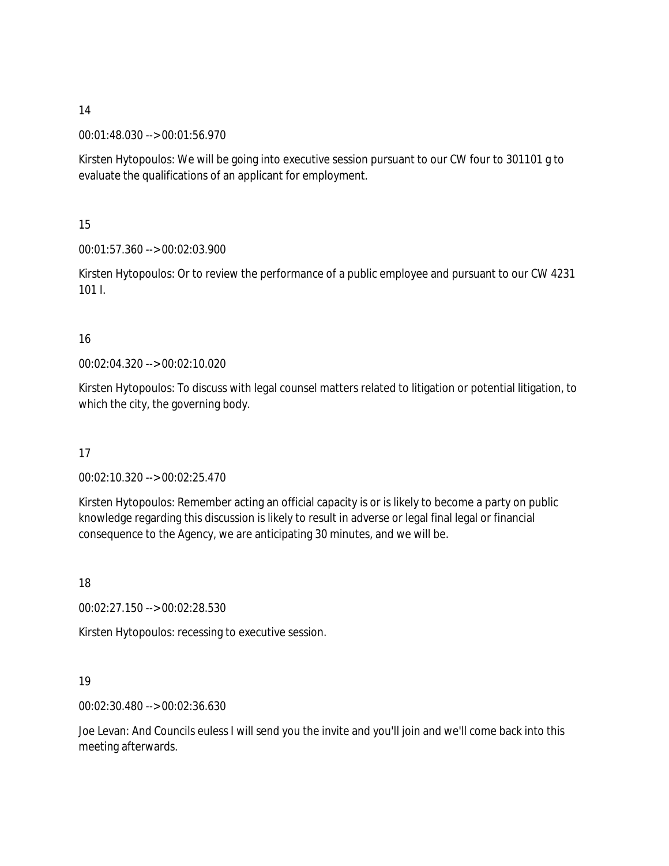00:01:48.030 --> 00:01:56.970

Kirsten Hytopoulos: We will be going into executive session pursuant to our CW four to 301101 g to evaluate the qualifications of an applicant for employment.

15

00:01:57.360 --> 00:02:03.900

Kirsten Hytopoulos: Or to review the performance of a public employee and pursuant to our CW 4231 101 I.

# 16

00:02:04.320 --> 00:02:10.020

Kirsten Hytopoulos: To discuss with legal counsel matters related to litigation or potential litigation, to which the city, the governing body.

17

00:02:10.320 --> 00:02:25.470

Kirsten Hytopoulos: Remember acting an official capacity is or is likely to become a party on public knowledge regarding this discussion is likely to result in adverse or legal final legal or financial consequence to the Agency, we are anticipating 30 minutes, and we will be.

18

00:02:27.150 --> 00:02:28.530

Kirsten Hytopoulos: recessing to executive session.

# 19

00:02:30.480 --> 00:02:36.630

Joe Levan: And Councils euless I will send you the invite and you'll join and we'll come back into this meeting afterwards.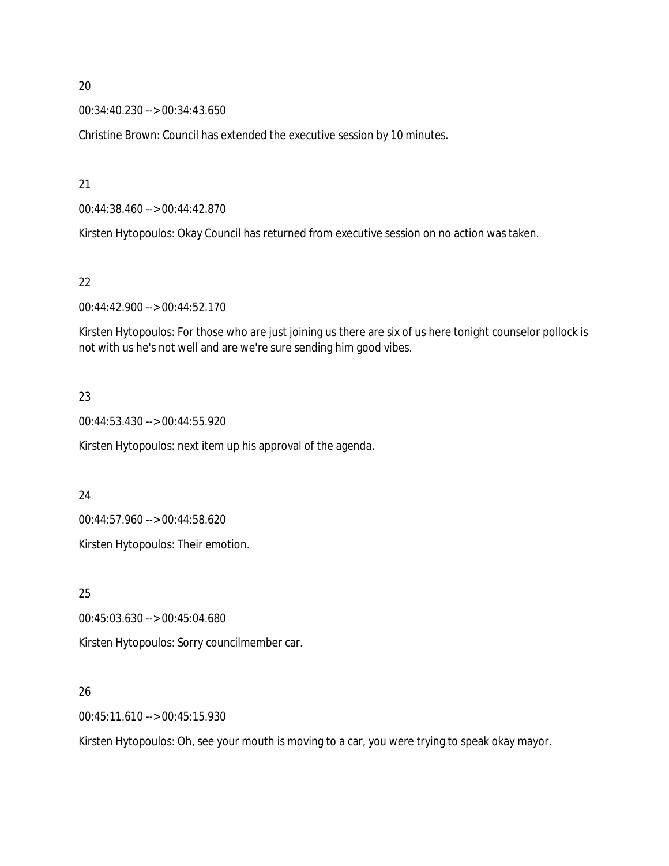00:34:40.230 --> 00:34:43.650

Christine Brown: Council has extended the executive session by 10 minutes.

21

00:44:38.460 --> 00:44:42.870

Kirsten Hytopoulos: Okay Council has returned from executive session on no action was taken.

## 22

00:44:42.900 --> 00:44:52.170

Kirsten Hytopoulos: For those who are just joining us there are six of us here tonight counselor pollock is not with us he's not well and are we're sure sending him good vibes.

# 23

00:44:53.430 --> 00:44:55.920

Kirsten Hytopoulos: next item up his approval of the agenda.

### 24

00:44:57.960 --> 00:44:58.620

Kirsten Hytopoulos: Their emotion.

### 25

00:45:03.630 --> 00:45:04.680

Kirsten Hytopoulos: Sorry councilmember car.

# 26

00:45:11.610 --> 00:45:15.930

Kirsten Hytopoulos: Oh, see your mouth is moving to a car, you were trying to speak okay mayor.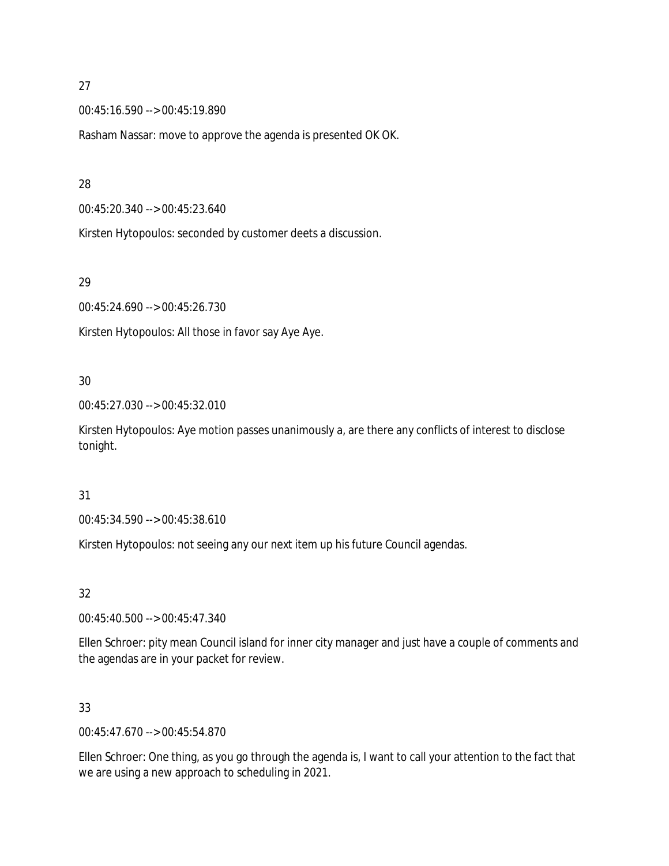00:45:16.590 --> 00:45:19.890

Rasham Nassar: move to approve the agenda is presented OK OK.

## 28

00:45:20.340 --> 00:45:23.640

Kirsten Hytopoulos: seconded by customer deets a discussion.

## 29

00:45:24.690 --> 00:45:26.730

Kirsten Hytopoulos: All those in favor say Aye Aye.

# 30

00:45:27.030 --> 00:45:32.010

Kirsten Hytopoulos: Aye motion passes unanimously a, are there any conflicts of interest to disclose tonight.

### 31

00:45:34.590 --> 00:45:38.610

Kirsten Hytopoulos: not seeing any our next item up his future Council agendas.

# 32

00:45:40.500 --> 00:45:47.340

Ellen Schroer: pity mean Council island for inner city manager and just have a couple of comments and the agendas are in your packet for review.

# 33

00:45:47.670 --> 00:45:54.870

Ellen Schroer: One thing, as you go through the agenda is, I want to call your attention to the fact that we are using a new approach to scheduling in 2021.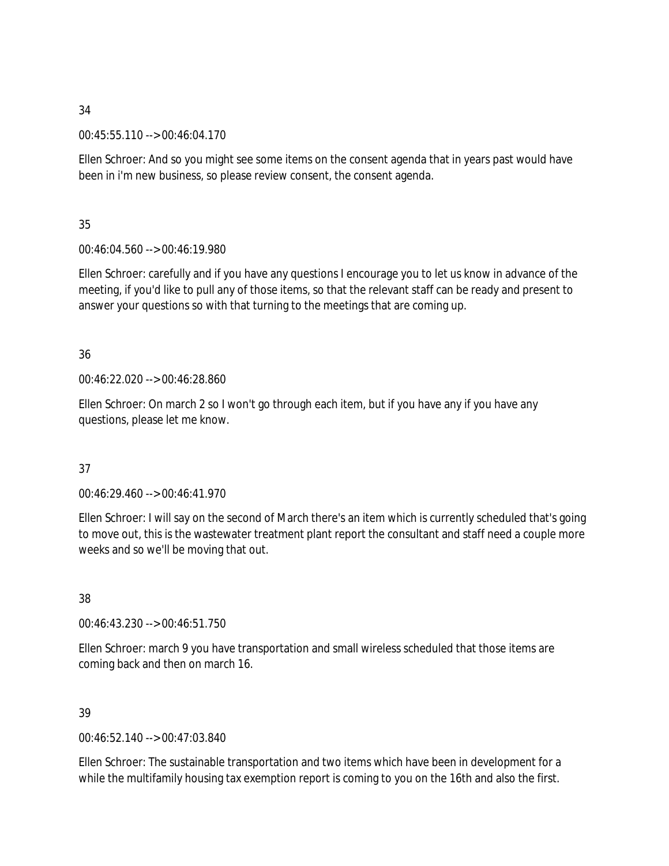00:45:55.110 --> 00:46:04.170

Ellen Schroer: And so you might see some items on the consent agenda that in years past would have been in i'm new business, so please review consent, the consent agenda.

35

00:46:04.560 --> 00:46:19.980

Ellen Schroer: carefully and if you have any questions I encourage you to let us know in advance of the meeting, if you'd like to pull any of those items, so that the relevant staff can be ready and present to answer your questions so with that turning to the meetings that are coming up.

36

00:46:22.020 --> 00:46:28.860

Ellen Schroer: On march 2 so I won't go through each item, but if you have any if you have any questions, please let me know.

37

00:46:29.460 --> 00:46:41.970

Ellen Schroer: I will say on the second of March there's an item which is currently scheduled that's going to move out, this is the wastewater treatment plant report the consultant and staff need a couple more weeks and so we'll be moving that out.

38

00:46:43.230 --> 00:46:51.750

Ellen Schroer: march 9 you have transportation and small wireless scheduled that those items are coming back and then on march 16.

39

00:46:52.140 --> 00:47:03.840

Ellen Schroer: The sustainable transportation and two items which have been in development for a while the multifamily housing tax exemption report is coming to you on the 16th and also the first.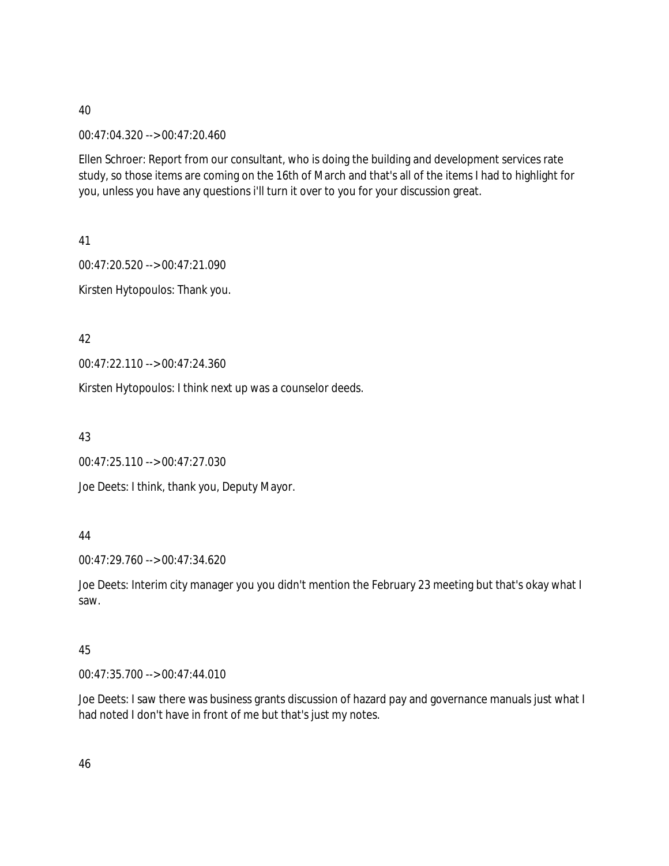00:47:04.320 --> 00:47:20.460

Ellen Schroer: Report from our consultant, who is doing the building and development services rate study, so those items are coming on the 16th of March and that's all of the items I had to highlight for you, unless you have any questions i'll turn it over to you for your discussion great.

41

00:47:20.520 --> 00:47:21.090 Kirsten Hytopoulos: Thank you.

42

00:47:22.110 --> 00:47:24.360

Kirsten Hytopoulos: I think next up was a counselor deeds.

43

00:47:25.110 --> 00:47:27.030

Joe Deets: I think, thank you, Deputy Mayor.

# 44

00:47:29.760 --> 00:47:34.620

Joe Deets: Interim city manager you you didn't mention the February 23 meeting but that's okay what I saw.

# 45

00:47:35.700 --> 00:47:44.010

Joe Deets: I saw there was business grants discussion of hazard pay and governance manuals just what I had noted I don't have in front of me but that's just my notes.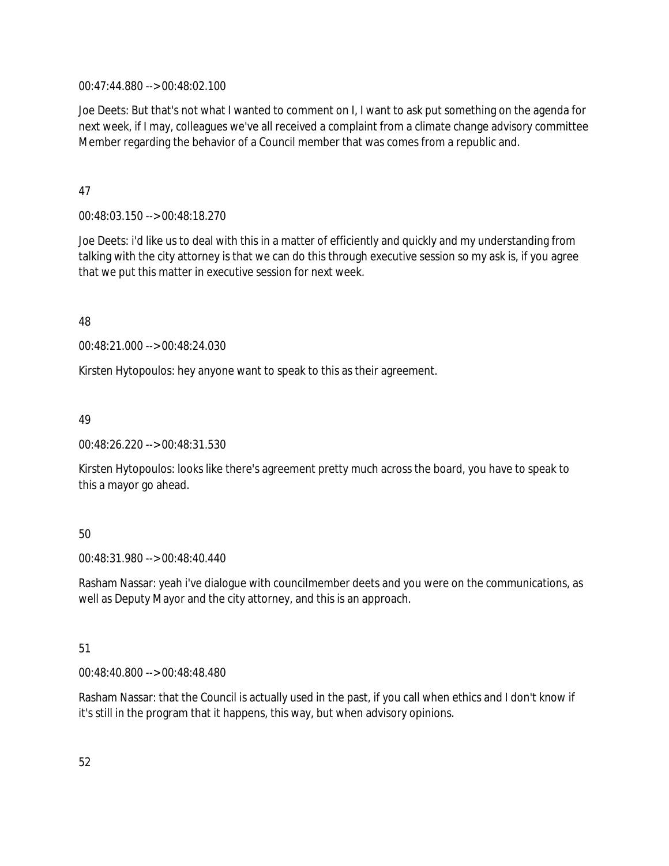00:47:44.880 --> 00:48:02.100

Joe Deets: But that's not what I wanted to comment on I, I want to ask put something on the agenda for next week, if I may, colleagues we've all received a complaint from a climate change advisory committee Member regarding the behavior of a Council member that was comes from a republic and.

## 47

00:48:03.150 --> 00:48:18.270

Joe Deets: i'd like us to deal with this in a matter of efficiently and quickly and my understanding from talking with the city attorney is that we can do this through executive session so my ask is, if you agree that we put this matter in executive session for next week.

48

00:48:21.000 --> 00:48:24.030

Kirsten Hytopoulos: hey anyone want to speak to this as their agreement.

49

00:48:26.220 --> 00:48:31.530

Kirsten Hytopoulos: looks like there's agreement pretty much across the board, you have to speak to this a mayor go ahead.

# 50

00:48:31.980 --> 00:48:40.440

Rasham Nassar: yeah i've dialogue with councilmember deets and you were on the communications, as well as Deputy Mayor and the city attorney, and this is an approach.

# 51

00:48:40.800 --> 00:48:48.480

Rasham Nassar: that the Council is actually used in the past, if you call when ethics and I don't know if it's still in the program that it happens, this way, but when advisory opinions.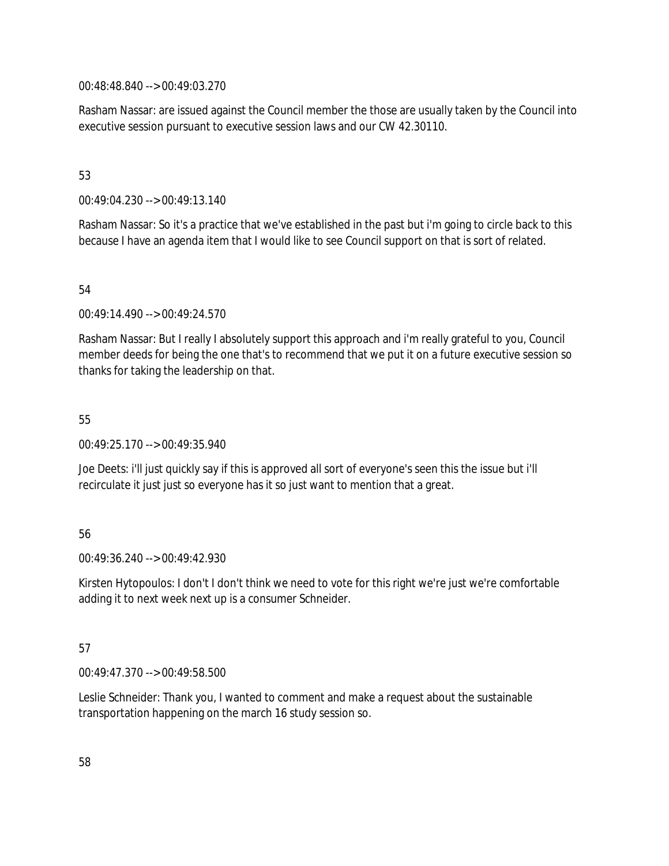00:48:48.840 --> 00:49:03.270

Rasham Nassar: are issued against the Council member the those are usually taken by the Council into executive session pursuant to executive session laws and our CW 42.30110.

## 53

00:49:04.230 --> 00:49:13.140

Rasham Nassar: So it's a practice that we've established in the past but i'm going to circle back to this because I have an agenda item that I would like to see Council support on that is sort of related.

## 54

00:49:14.490 --> 00:49:24.570

Rasham Nassar: But I really I absolutely support this approach and i'm really grateful to you, Council member deeds for being the one that's to recommend that we put it on a future executive session so thanks for taking the leadership on that.

## 55

00:49:25.170 --> 00:49:35.940

Joe Deets: i'll just quickly say if this is approved all sort of everyone's seen this the issue but i'll recirculate it just just so everyone has it so just want to mention that a great.

# 56

 $00.49.36.240 -5.00.49.42.930$ 

Kirsten Hytopoulos: I don't I don't think we need to vote for this right we're just we're comfortable adding it to next week next up is a consumer Schneider.

# 57

00:49:47.370 --> 00:49:58.500

Leslie Schneider: Thank you, I wanted to comment and make a request about the sustainable transportation happening on the march 16 study session so.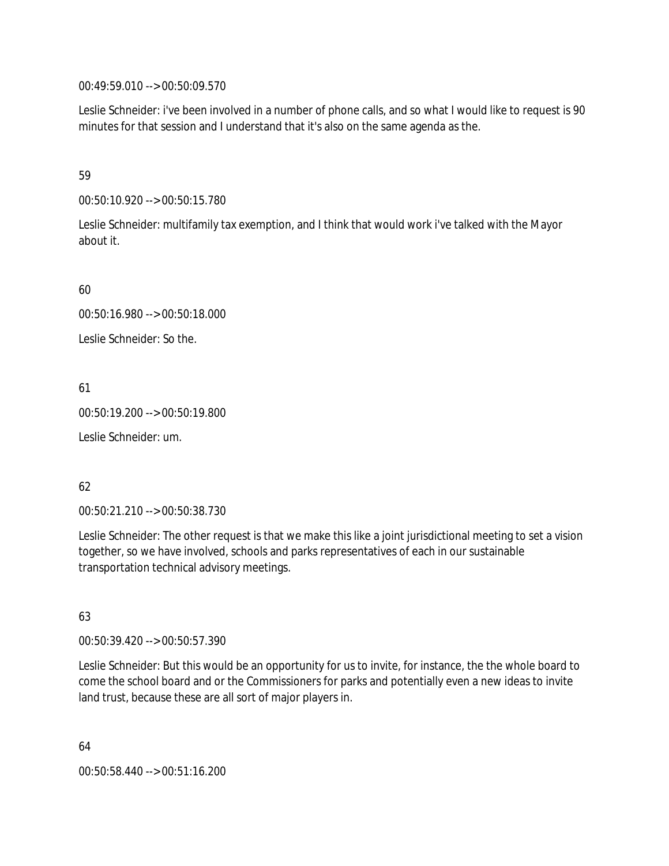00:49:59.010 --> 00:50:09.570

Leslie Schneider: i've been involved in a number of phone calls, and so what I would like to request is 90 minutes for that session and I understand that it's also on the same agenda as the.

## 59

00:50:10.920 --> 00:50:15.780

Leslie Schneider: multifamily tax exemption, and I think that would work i've talked with the Mayor about it.

60

00:50:16.980 --> 00:50:18.000

Leslie Schneider: So the.

61

00:50:19.200 --> 00:50:19.800

Leslie Schneider: um.

# 62

00:50:21.210 --> 00:50:38.730

Leslie Schneider: The other request is that we make this like a joint jurisdictional meeting to set a vision together, so we have involved, schools and parks representatives of each in our sustainable transportation technical advisory meetings.

# 63

00:50:39.420 --> 00:50:57.390

Leslie Schneider: But this would be an opportunity for us to invite, for instance, the the whole board to come the school board and or the Commissioners for parks and potentially even a new ideas to invite land trust, because these are all sort of major players in.

64 00:50:58.440 --> 00:51:16.200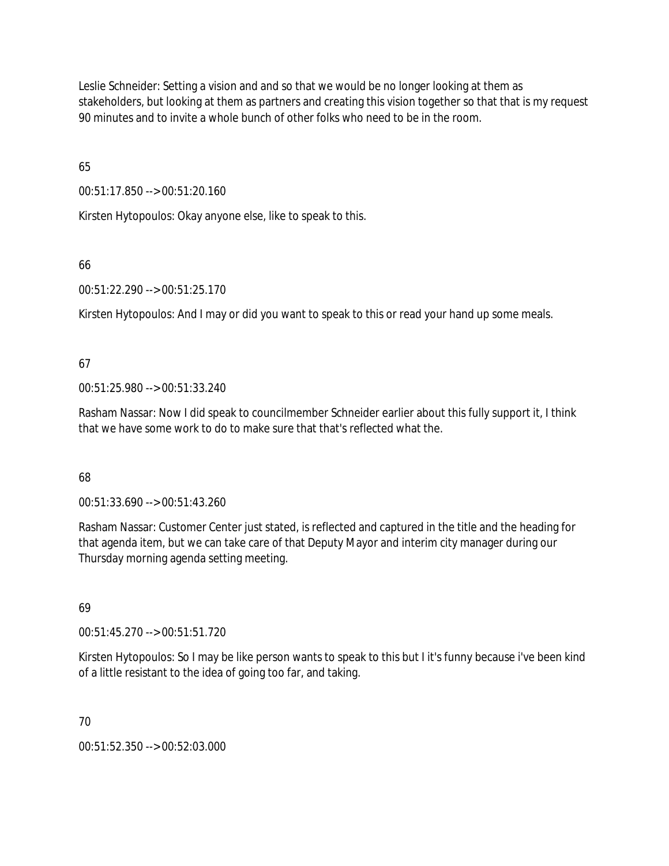Leslie Schneider: Setting a vision and and so that we would be no longer looking at them as stakeholders, but looking at them as partners and creating this vision together so that that is my request 90 minutes and to invite a whole bunch of other folks who need to be in the room.

65

00:51:17.850 --> 00:51:20.160

Kirsten Hytopoulos: Okay anyone else, like to speak to this.

# 66

00:51:22.290 --> 00:51:25.170

Kirsten Hytopoulos: And I may or did you want to speak to this or read your hand up some meals.

# 67

00:51:25.980 --> 00:51:33.240

Rasham Nassar: Now I did speak to councilmember Schneider earlier about this fully support it, I think that we have some work to do to make sure that that's reflected what the.

# 68

00:51:33.690 --> 00:51:43.260

Rasham Nassar: Customer Center just stated, is reflected and captured in the title and the heading for that agenda item, but we can take care of that Deputy Mayor and interim city manager during our Thursday morning agenda setting meeting.

# 69

00:51:45.270 --> 00:51:51.720

Kirsten Hytopoulos: So I may be like person wants to speak to this but I it's funny because i've been kind of a little resistant to the idea of going too far, and taking.

# 70

00:51:52.350 --> 00:52:03.000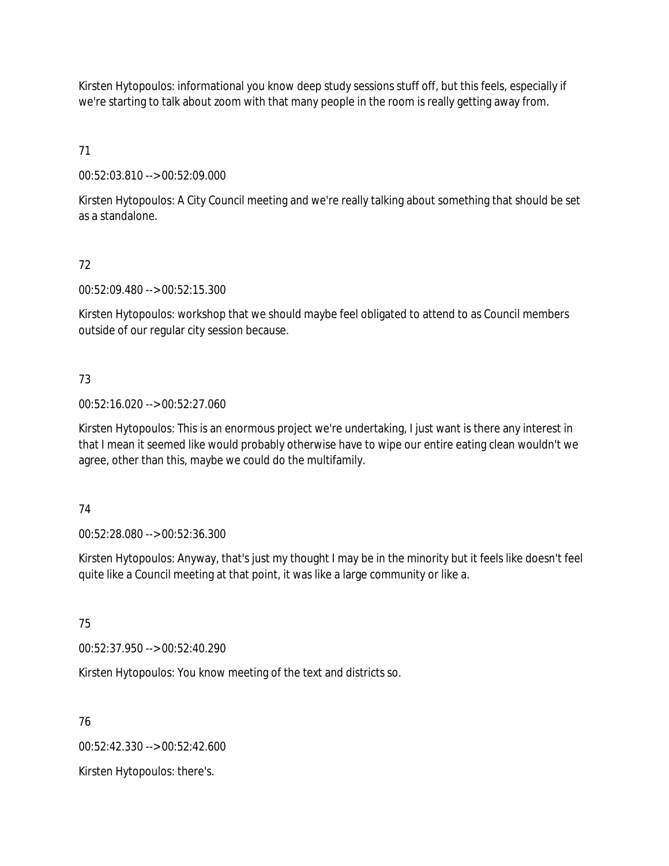Kirsten Hytopoulos: informational you know deep study sessions stuff off, but this feels, especially if we're starting to talk about zoom with that many people in the room is really getting away from.

71

00:52:03.810 --> 00:52:09.000

Kirsten Hytopoulos: A City Council meeting and we're really talking about something that should be set as a standalone.

# 72

00:52:09.480 --> 00:52:15.300

Kirsten Hytopoulos: workshop that we should maybe feel obligated to attend to as Council members outside of our regular city session because.

# 73

00:52:16.020 --> 00:52:27.060

Kirsten Hytopoulos: This is an enormous project we're undertaking, I just want is there any interest in that I mean it seemed like would probably otherwise have to wipe our entire eating clean wouldn't we agree, other than this, maybe we could do the multifamily.

# 74

00:52:28.080 --> 00:52:36.300

Kirsten Hytopoulos: Anyway, that's just my thought I may be in the minority but it feels like doesn't feel quite like a Council meeting at that point, it was like a large community or like a.

# 75

00:52:37.950 --> 00:52:40.290

Kirsten Hytopoulos: You know meeting of the text and districts so.

# 76

00:52:42.330 --> 00:52:42.600

Kirsten Hytopoulos: there's.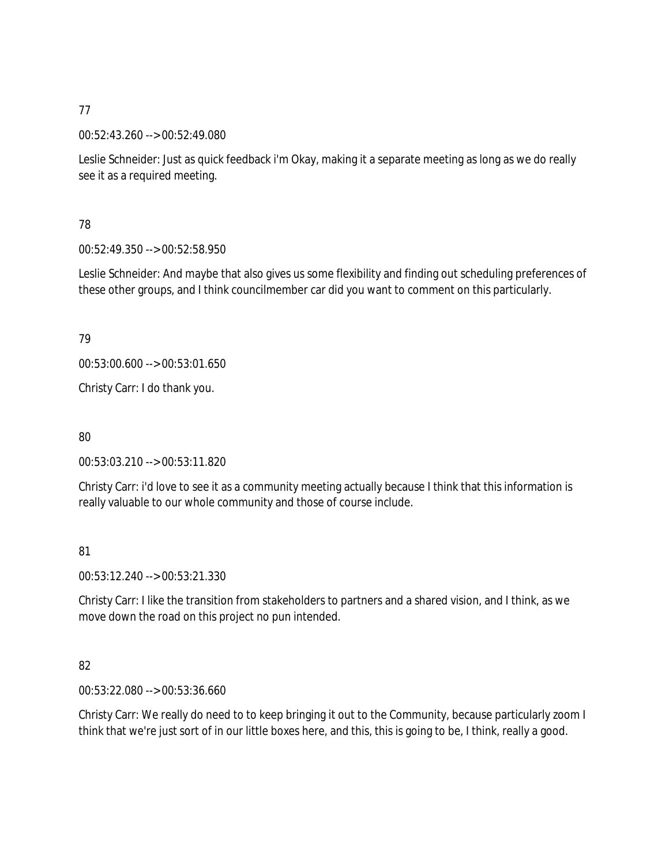00:52:43.260 --> 00:52:49.080

Leslie Schneider: Just as quick feedback i'm Okay, making it a separate meeting as long as we do really see it as a required meeting.

# 78

00:52:49.350 --> 00:52:58.950

Leslie Schneider: And maybe that also gives us some flexibility and finding out scheduling preferences of these other groups, and I think councilmember car did you want to comment on this particularly.

# 79

00:53:00.600 --> 00:53:01.650

Christy Carr: I do thank you.

80

00:53:03.210 --> 00:53:11.820

Christy Carr: i'd love to see it as a community meeting actually because I think that this information is really valuable to our whole community and those of course include.

# 81

00:53:12.240 --> 00:53:21.330

Christy Carr: I like the transition from stakeholders to partners and a shared vision, and I think, as we move down the road on this project no pun intended.

# 82

00:53:22.080 --> 00:53:36.660

Christy Carr: We really do need to to keep bringing it out to the Community, because particularly zoom I think that we're just sort of in our little boxes here, and this, this is going to be, I think, really a good.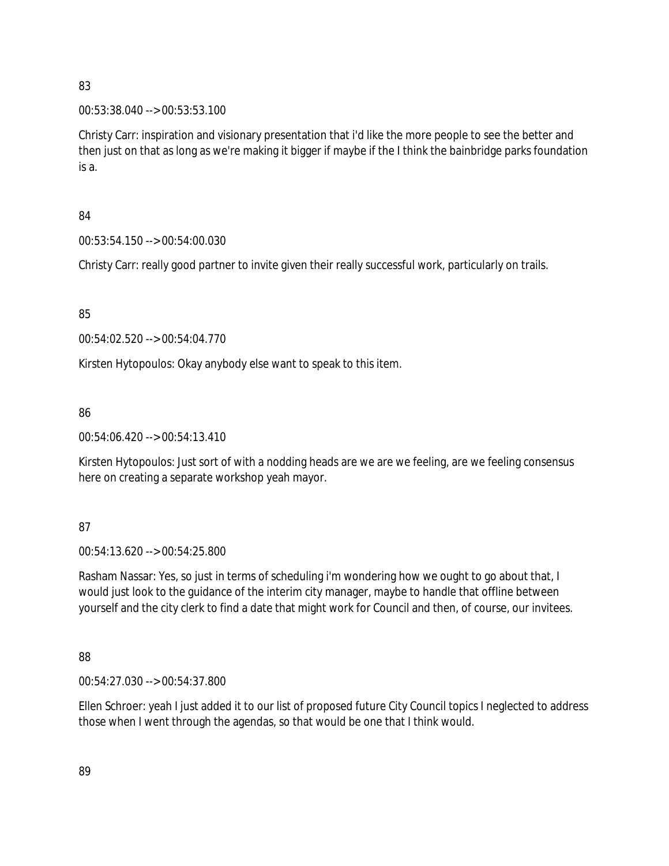### 00:53:38.040 --> 00:53:53.100

Christy Carr: inspiration and visionary presentation that i'd like the more people to see the better and then just on that as long as we're making it bigger if maybe if the I think the bainbridge parks foundation is a.

## 84

00:53:54.150 --> 00:54:00.030

Christy Carr: really good partner to invite given their really successful work, particularly on trails.

85

00:54:02.520 --> 00:54:04.770

Kirsten Hytopoulos: Okay anybody else want to speak to this item.

# 86

00:54:06.420 --> 00:54:13.410

Kirsten Hytopoulos: Just sort of with a nodding heads are we are we feeling, are we feeling consensus here on creating a separate workshop yeah mayor.

# 87

00:54:13.620 --> 00:54:25.800

Rasham Nassar: Yes, so just in terms of scheduling i'm wondering how we ought to go about that, I would just look to the guidance of the interim city manager, maybe to handle that offline between yourself and the city clerk to find a date that might work for Council and then, of course, our invitees.

# 88

00:54:27.030 --> 00:54:37.800

Ellen Schroer: yeah I just added it to our list of proposed future City Council topics I neglected to address those when I went through the agendas, so that would be one that I think would.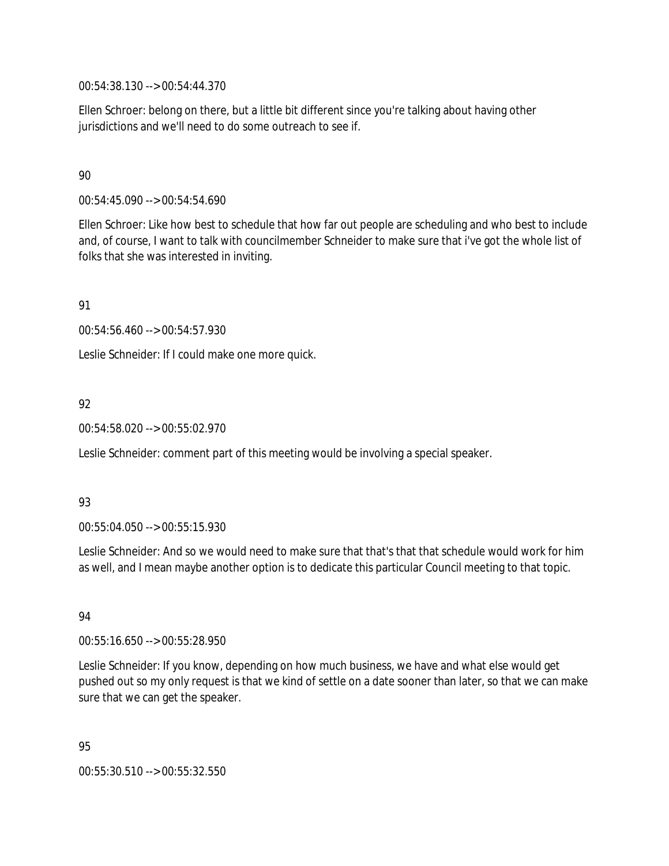00:54:38.130 --> 00:54:44.370

Ellen Schroer: belong on there, but a little bit different since you're talking about having other jurisdictions and we'll need to do some outreach to see if.

## 90

00:54:45.090 --> 00:54:54.690

Ellen Schroer: Like how best to schedule that how far out people are scheduling and who best to include and, of course, I want to talk with councilmember Schneider to make sure that i've got the whole list of folks that she was interested in inviting.

91

00:54:56.460 --> 00:54:57.930

Leslie Schneider: If I could make one more quick.

## 92

00:54:58.020 --> 00:55:02.970

Leslie Schneider: comment part of this meeting would be involving a special speaker.

### 93

00:55:04.050 --> 00:55:15.930

Leslie Schneider: And so we would need to make sure that that's that that schedule would work for him as well, and I mean maybe another option is to dedicate this particular Council meeting to that topic.

### 94

00:55:16.650 --> 00:55:28.950

Leslie Schneider: If you know, depending on how much business, we have and what else would get pushed out so my only request is that we kind of settle on a date sooner than later, so that we can make sure that we can get the speaker.

95 00:55:30.510 --> 00:55:32.550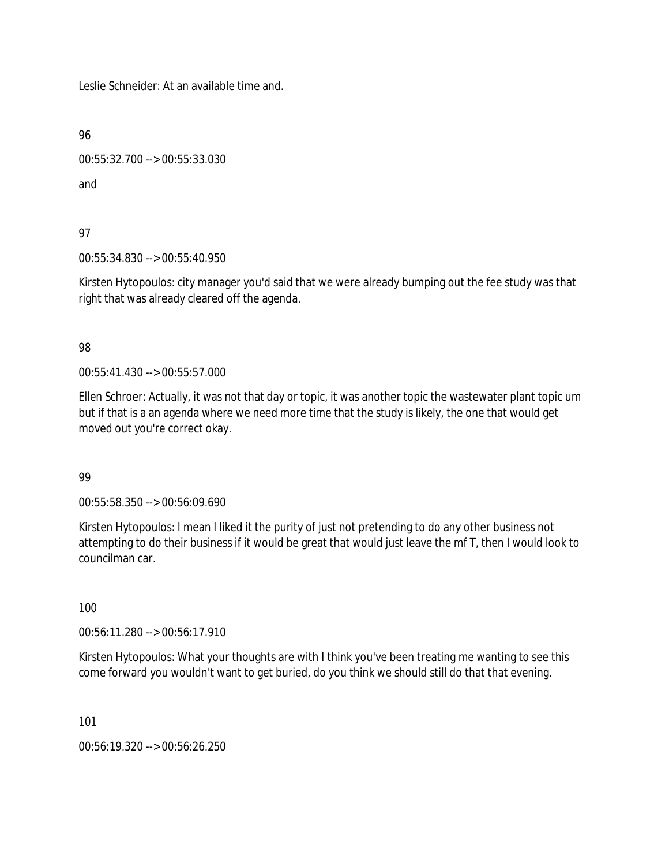Leslie Schneider: At an available time and.

96

00:55:32.700 --> 00:55:33.030

and

97

00:55:34.830 --> 00:55:40.950

Kirsten Hytopoulos: city manager you'd said that we were already bumping out the fee study was that right that was already cleared off the agenda.

98

00:55:41.430 --> 00:55:57.000

Ellen Schroer: Actually, it was not that day or topic, it was another topic the wastewater plant topic um but if that is a an agenda where we need more time that the study is likely, the one that would get moved out you're correct okay.

99

00:55:58.350 --> 00:56:09.690

Kirsten Hytopoulos: I mean I liked it the purity of just not pretending to do any other business not attempting to do their business if it would be great that would just leave the mf T, then I would look to councilman car.

100

00:56:11.280 --> 00:56:17.910

Kirsten Hytopoulos: What your thoughts are with I think you've been treating me wanting to see this come forward you wouldn't want to get buried, do you think we should still do that that evening.

101

00:56:19.320 --> 00:56:26.250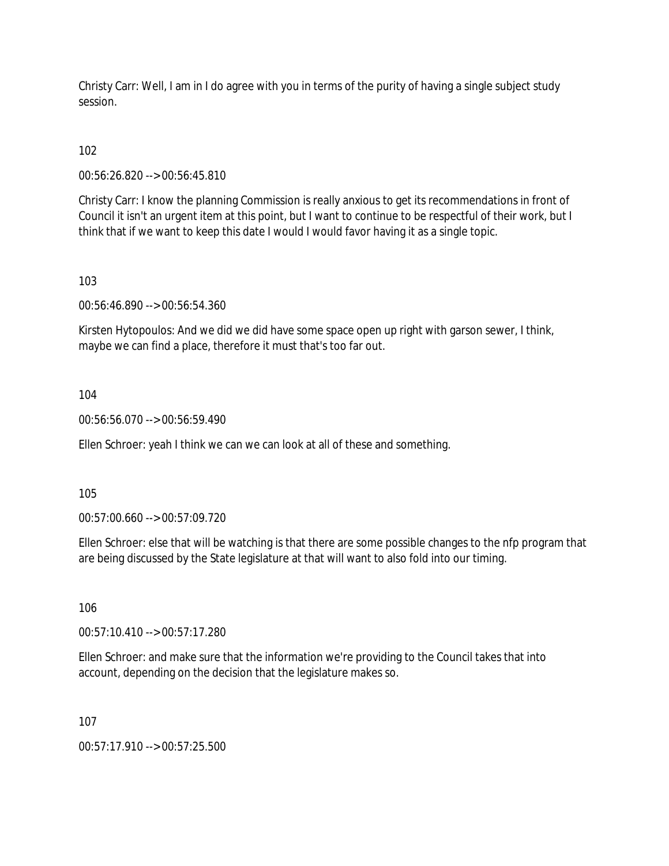Christy Carr: Well, I am in I do agree with you in terms of the purity of having a single subject study session.

102

00:56:26.820 --> 00:56:45.810

Christy Carr: I know the planning Commission is really anxious to get its recommendations in front of Council it isn't an urgent item at this point, but I want to continue to be respectful of their work, but I think that if we want to keep this date I would I would favor having it as a single topic.

103

00:56:46.890 --> 00:56:54.360

Kirsten Hytopoulos: And we did we did have some space open up right with garson sewer, I think, maybe we can find a place, therefore it must that's too far out.

104

00:56:56.070 --> 00:56:59.490

Ellen Schroer: yeah I think we can we can look at all of these and something.

105

00:57:00.660 --> 00:57:09.720

Ellen Schroer: else that will be watching is that there are some possible changes to the nfp program that are being discussed by the State legislature at that will want to also fold into our timing.

106

00:57:10.410 --> 00:57:17.280

Ellen Schroer: and make sure that the information we're providing to the Council takes that into account, depending on the decision that the legislature makes so.

107

00:57:17.910 --> 00:57:25.500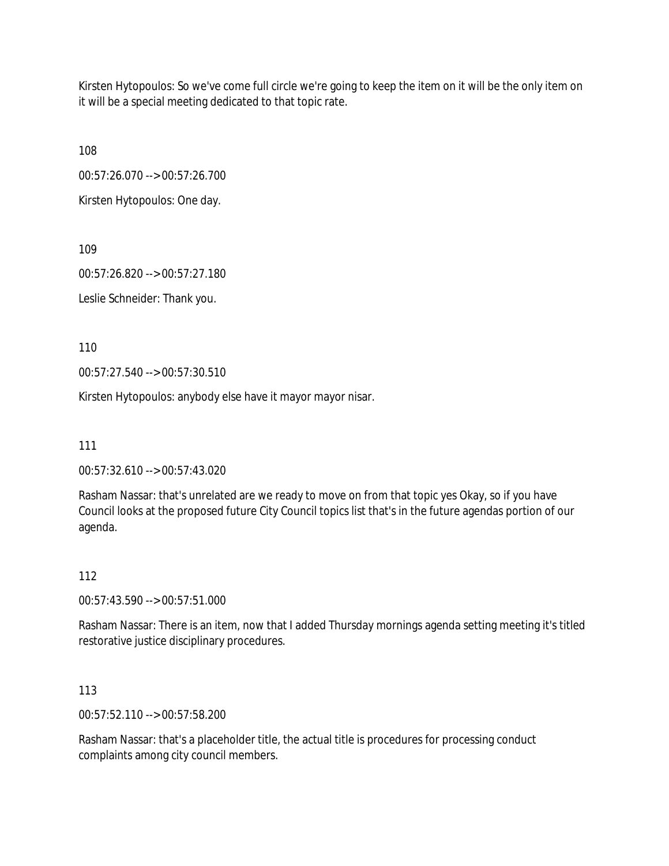Kirsten Hytopoulos: So we've come full circle we're going to keep the item on it will be the only item on it will be a special meeting dedicated to that topic rate.

108

00:57:26.070 --> 00:57:26.700

Kirsten Hytopoulos: One day.

109

00:57:26.820 --> 00:57:27.180

Leslie Schneider: Thank you.

110

00:57:27.540 --> 00:57:30.510

Kirsten Hytopoulos: anybody else have it mayor mayor nisar.

111

00:57:32.610 --> 00:57:43.020

Rasham Nassar: that's unrelated are we ready to move on from that topic yes Okay, so if you have Council looks at the proposed future City Council topics list that's in the future agendas portion of our agenda.

112

00:57:43.590 --> 00:57:51.000

Rasham Nassar: There is an item, now that I added Thursday mornings agenda setting meeting it's titled restorative justice disciplinary procedures.

113

00:57:52.110 --> 00:57:58.200

Rasham Nassar: that's a placeholder title, the actual title is procedures for processing conduct complaints among city council members.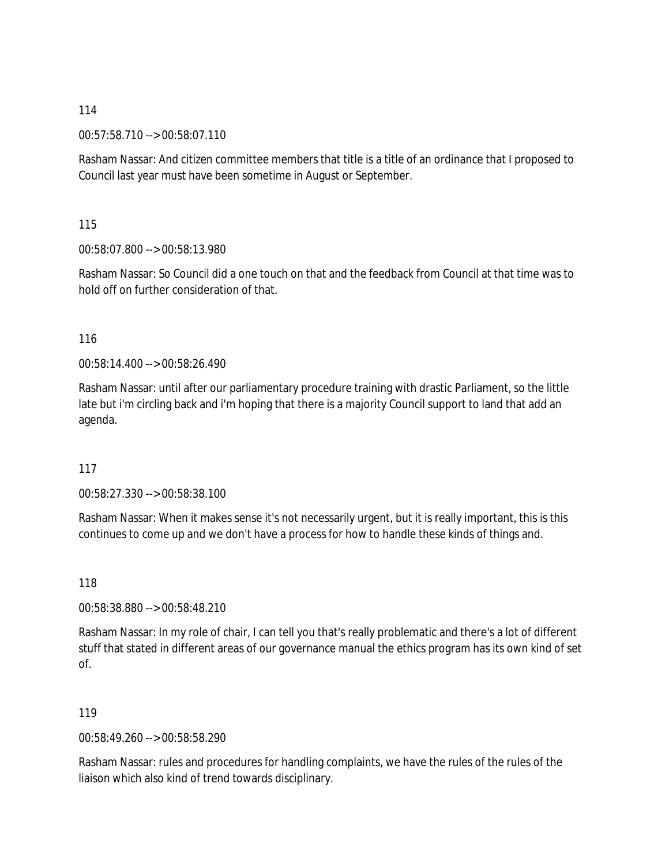00:57:58.710 --> 00:58:07.110

Rasham Nassar: And citizen committee members that title is a title of an ordinance that I proposed to Council last year must have been sometime in August or September.

115

00:58:07.800 --> 00:58:13.980

Rasham Nassar: So Council did a one touch on that and the feedback from Council at that time was to hold off on further consideration of that.

116

00:58:14.400 --> 00:58:26.490

Rasham Nassar: until after our parliamentary procedure training with drastic Parliament, so the little late but i'm circling back and i'm hoping that there is a majority Council support to land that add an agenda.

117

00:58:27.330 --> 00:58:38.100

Rasham Nassar: When it makes sense it's not necessarily urgent, but it is really important, this is this continues to come up and we don't have a process for how to handle these kinds of things and.

118

00:58:38.880 --> 00:58:48.210

Rasham Nassar: In my role of chair, I can tell you that's really problematic and there's a lot of different stuff that stated in different areas of our governance manual the ethics program has its own kind of set of.

119

00:58:49.260 --> 00:58:58.290

Rasham Nassar: rules and procedures for handling complaints, we have the rules of the rules of the liaison which also kind of trend towards disciplinary.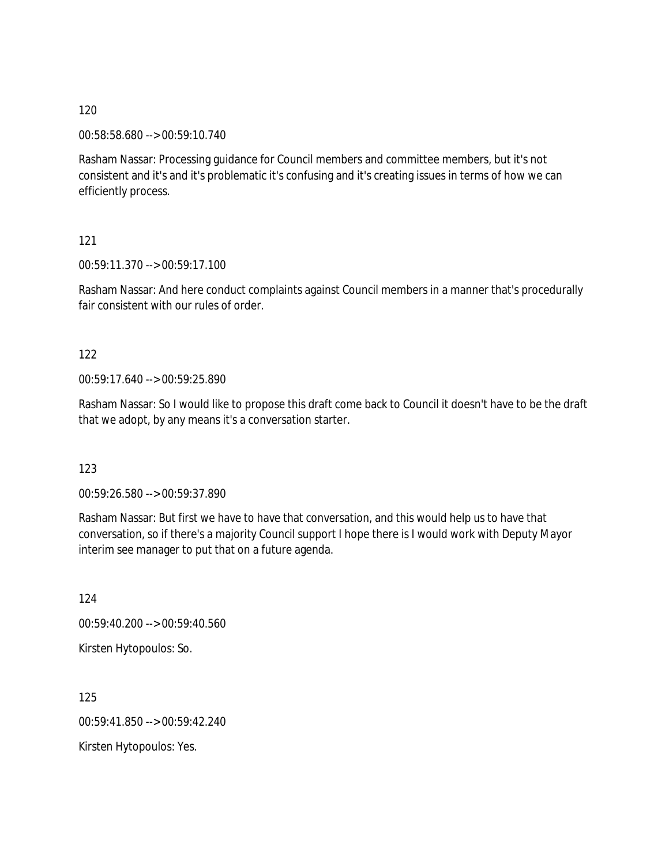00:58:58.680 --> 00:59:10.740

Rasham Nassar: Processing guidance for Council members and committee members, but it's not consistent and it's and it's problematic it's confusing and it's creating issues in terms of how we can efficiently process.

### 121

00:59:11.370 --> 00:59:17.100

Rasham Nassar: And here conduct complaints against Council members in a manner that's procedurally fair consistent with our rules of order.

### 122

00:59:17.640 --> 00:59:25.890

Rasham Nassar: So I would like to propose this draft come back to Council it doesn't have to be the draft that we adopt, by any means it's a conversation starter.

### 123

00:59:26.580 --> 00:59:37.890

Rasham Nassar: But first we have to have that conversation, and this would help us to have that conversation, so if there's a majority Council support I hope there is I would work with Deputy Mayor interim see manager to put that on a future agenda.

124 00:59:40.200 --> 00:59:40.560 Kirsten Hytopoulos: So.

125 00:59:41.850 --> 00:59:42.240 Kirsten Hytopoulos: Yes.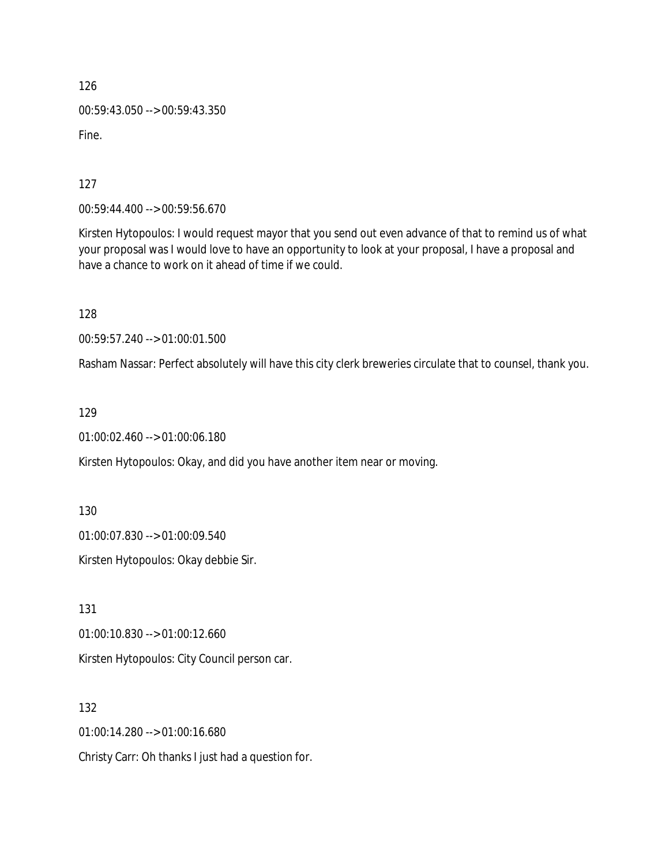126 00:59:43.050 --> 00:59:43.350 Fine.

127

00:59:44.400 --> 00:59:56.670

Kirsten Hytopoulos: I would request mayor that you send out even advance of that to remind us of what your proposal was I would love to have an opportunity to look at your proposal, I have a proposal and have a chance to work on it ahead of time if we could.

128

00:59:57.240 --> 01:00:01.500

Rasham Nassar: Perfect absolutely will have this city clerk breweries circulate that to counsel, thank you.

129

01:00:02.460 --> 01:00:06.180

Kirsten Hytopoulos: Okay, and did you have another item near or moving.

130

01:00:07.830 --> 01:00:09.540

Kirsten Hytopoulos: Okay debbie Sir.

131

01:00:10.830 --> 01:00:12.660

Kirsten Hytopoulos: City Council person car.

132

01:00:14.280 --> 01:00:16.680

Christy Carr: Oh thanks I just had a question for.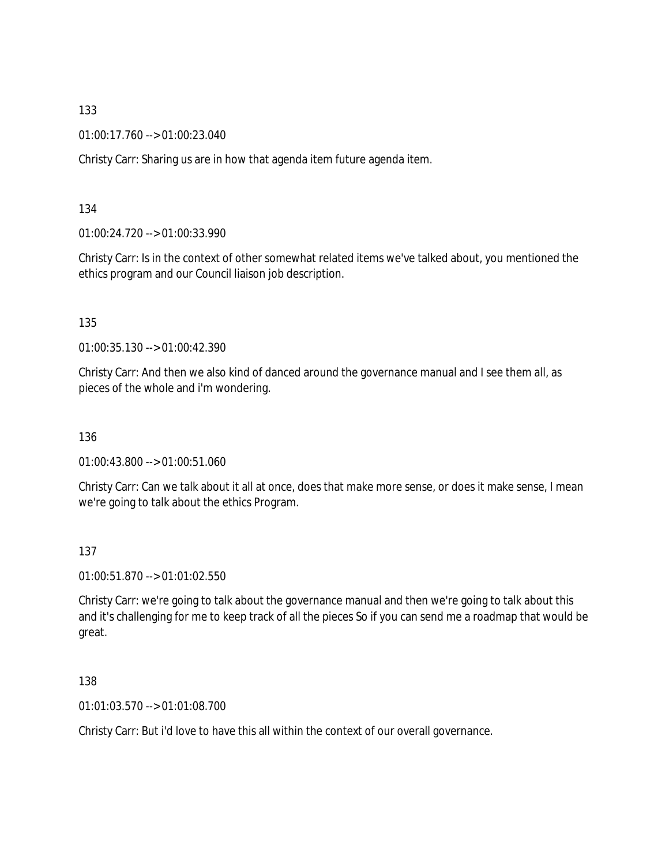01:00:17.760 --> 01:00:23.040

Christy Carr: Sharing us are in how that agenda item future agenda item.

134

01:00:24.720 --> 01:00:33.990

Christy Carr: Is in the context of other somewhat related items we've talked about, you mentioned the ethics program and our Council liaison job description.

135

01:00:35.130 --> 01:00:42.390

Christy Carr: And then we also kind of danced around the governance manual and I see them all, as pieces of the whole and i'm wondering.

136

01:00:43.800 --> 01:00:51.060

Christy Carr: Can we talk about it all at once, does that make more sense, or does it make sense, I mean we're going to talk about the ethics Program.

137

01:00:51.870 --> 01:01:02.550

Christy Carr: we're going to talk about the governance manual and then we're going to talk about this and it's challenging for me to keep track of all the pieces So if you can send me a roadmap that would be great.

138

01:01:03.570 --> 01:01:08.700

Christy Carr: But i'd love to have this all within the context of our overall governance.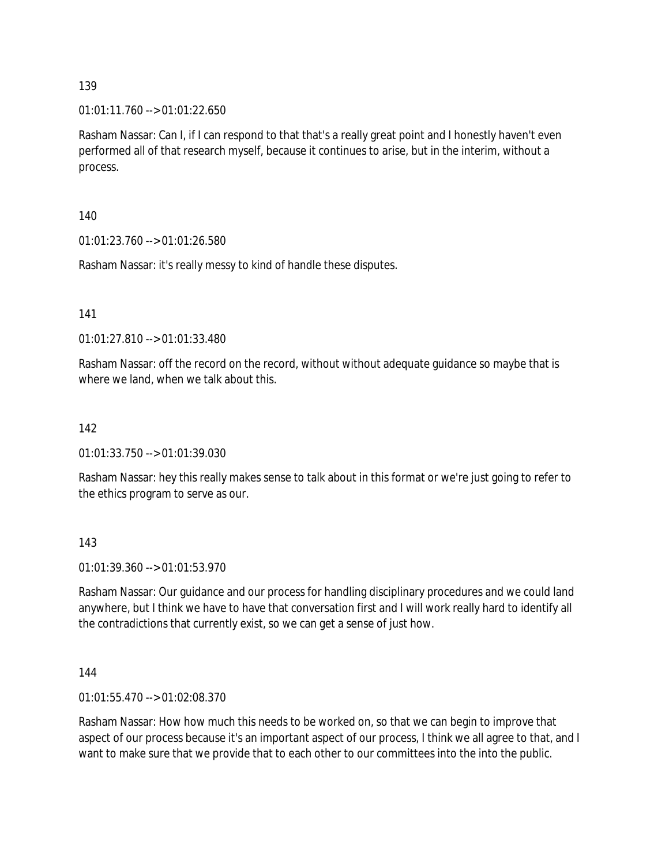$01:01:11.760 \rightarrow 01:01:22.650$ 

Rasham Nassar: Can I, if I can respond to that that's a really great point and I honestly haven't even performed all of that research myself, because it continues to arise, but in the interim, without a process.

140

01:01:23.760 --> 01:01:26.580

Rasham Nassar: it's really messy to kind of handle these disputes.

141

01:01:27.810 --> 01:01:33.480

Rasham Nassar: off the record on the record, without without adequate guidance so maybe that is where we land, when we talk about this.

#### 142

01:01:33.750 --> 01:01:39.030

Rasham Nassar: hey this really makes sense to talk about in this format or we're just going to refer to the ethics program to serve as our.

143

01:01:39.360 --> 01:01:53.970

Rasham Nassar: Our guidance and our process for handling disciplinary procedures and we could land anywhere, but I think we have to have that conversation first and I will work really hard to identify all the contradictions that currently exist, so we can get a sense of just how.

144

01:01:55.470 --> 01:02:08.370

Rasham Nassar: How how much this needs to be worked on, so that we can begin to improve that aspect of our process because it's an important aspect of our process, I think we all agree to that, and I want to make sure that we provide that to each other to our committees into the into the public.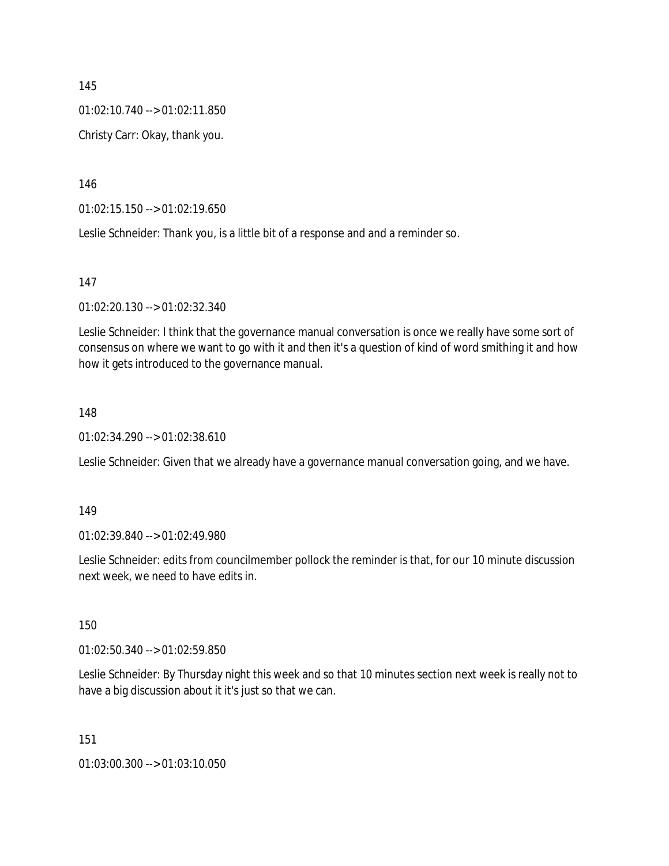01:02:10.740 --> 01:02:11.850

Christy Carr: Okay, thank you.

146

01:02:15.150 --> 01:02:19.650

Leslie Schneider: Thank you, is a little bit of a response and and a reminder so.

147

01:02:20.130 --> 01:02:32.340

Leslie Schneider: I think that the governance manual conversation is once we really have some sort of consensus on where we want to go with it and then it's a question of kind of word smithing it and how how it gets introduced to the governance manual.

## 148

01:02:34.290 --> 01:02:38.610

Leslie Schneider: Given that we already have a governance manual conversation going, and we have.

149

01:02:39.840 --> 01:02:49.980

Leslie Schneider: edits from councilmember pollock the reminder is that, for our 10 minute discussion next week, we need to have edits in.

150

01:02:50.340 --> 01:02:59.850

Leslie Schneider: By Thursday night this week and so that 10 minutes section next week is really not to have a big discussion about it it's just so that we can.

151

01:03:00.300 --> 01:03:10.050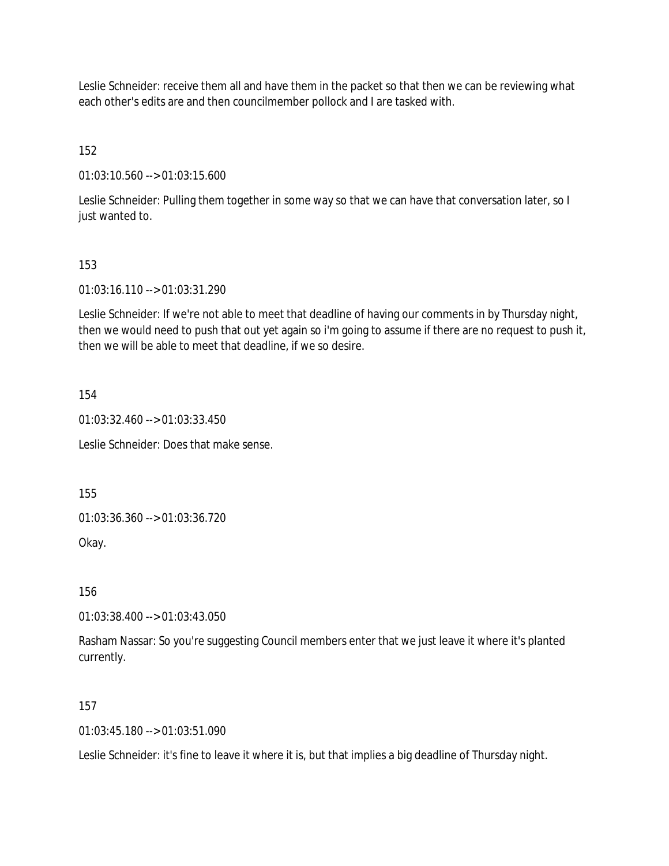Leslie Schneider: receive them all and have them in the packet so that then we can be reviewing what each other's edits are and then councilmember pollock and I are tasked with.

152

01:03:10.560 --> 01:03:15.600

Leslie Schneider: Pulling them together in some way so that we can have that conversation later, so I just wanted to.

### 153

01:03:16.110 --> 01:03:31.290

Leslie Schneider: If we're not able to meet that deadline of having our comments in by Thursday night, then we would need to push that out yet again so i'm going to assume if there are no request to push it, then we will be able to meet that deadline, if we so desire.

154

01:03:32.460 --> 01:03:33.450

Leslie Schneider: Does that make sense.

155

01:03:36.360 --> 01:03:36.720

Okay.

156

01:03:38.400 --> 01:03:43.050

Rasham Nassar: So you're suggesting Council members enter that we just leave it where it's planted currently.

### 157

 $01:03:45.180 \rightarrow 01:03:51.090$ 

Leslie Schneider: it's fine to leave it where it is, but that implies a big deadline of Thursday night.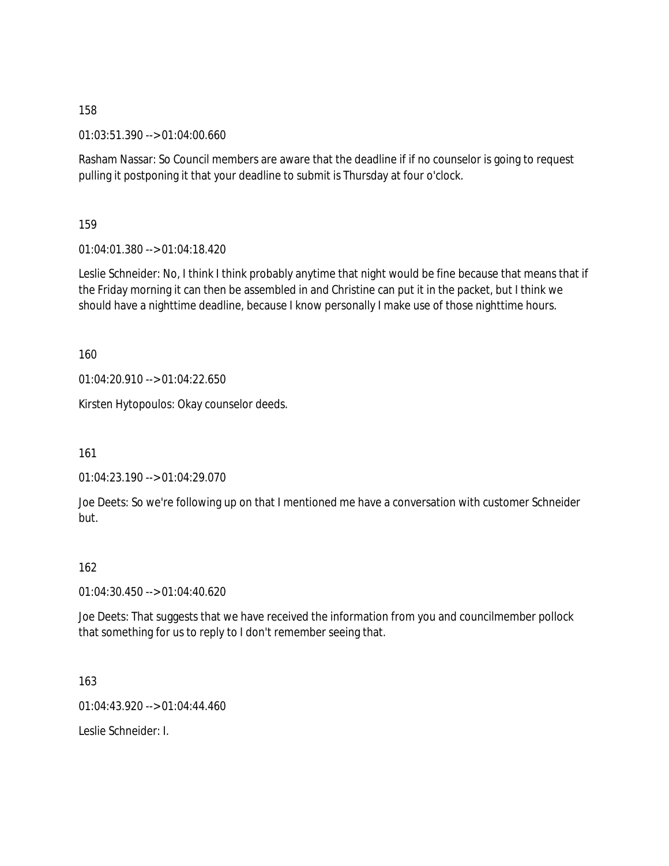01:03:51.390 --> 01:04:00.660

Rasham Nassar: So Council members are aware that the deadline if if no counselor is going to request pulling it postponing it that your deadline to submit is Thursday at four o'clock.

159

01:04:01.380 --> 01:04:18.420

Leslie Schneider: No, I think I think probably anytime that night would be fine because that means that if the Friday morning it can then be assembled in and Christine can put it in the packet, but I think we should have a nighttime deadline, because I know personally I make use of those nighttime hours.

160

01:04:20.910 --> 01:04:22.650

Kirsten Hytopoulos: Okay counselor deeds.

161

01:04:23.190 --> 01:04:29.070

Joe Deets: So we're following up on that I mentioned me have a conversation with customer Schneider but.

# 162

01:04:30.450 --> 01:04:40.620

Joe Deets: That suggests that we have received the information from you and councilmember pollock that something for us to reply to I don't remember seeing that.

163

01:04:43.920 --> 01:04:44.460

Leslie Schneider: I.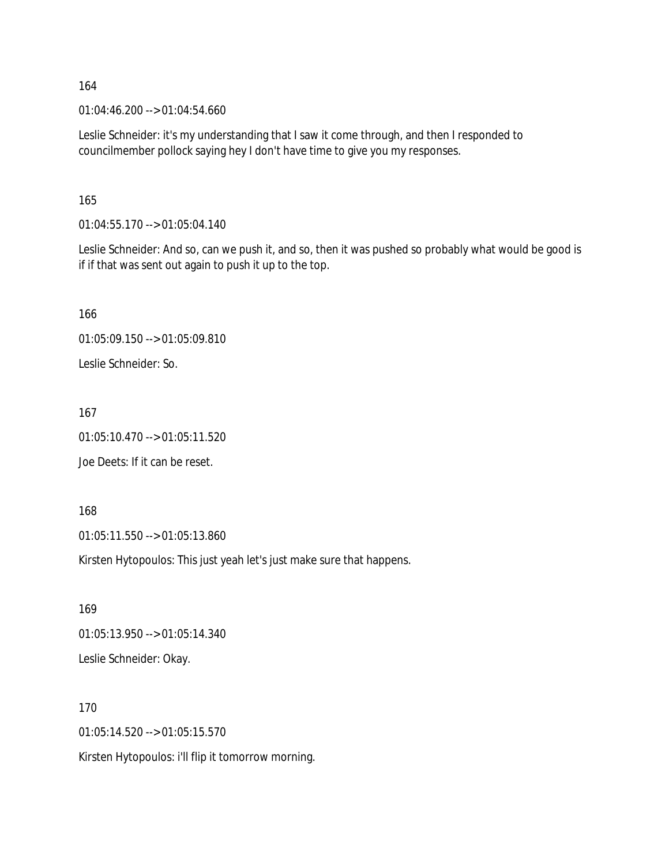01:04:46.200 --> 01:04:54.660

Leslie Schneider: it's my understanding that I saw it come through, and then I responded to councilmember pollock saying hey I don't have time to give you my responses.

165

01:04:55.170 --> 01:05:04.140

Leslie Schneider: And so, can we push it, and so, then it was pushed so probably what would be good is if if that was sent out again to push it up to the top.

166 01:05:09.150 --> 01:05:09.810 Leslie Schneider: So.

167 01:05:10.470 --> 01:05:11.520 Joe Deets: If it can be reset.

168 01:05:11.550 --> 01:05:13.860

Kirsten Hytopoulos: This just yeah let's just make sure that happens.

169 01:05:13.950 --> 01:05:14.340 Leslie Schneider: Okay.

170 01:05:14.520 --> 01:05:15.570 Kirsten Hytopoulos: i'll flip it tomorrow morning.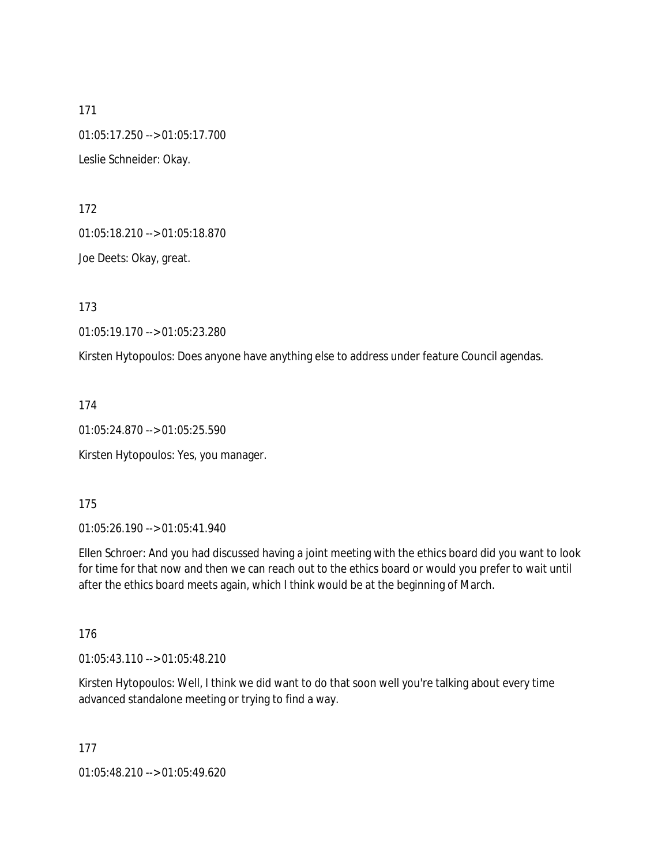171 01:05:17.250 --> 01:05:17.700 Leslie Schneider: Okay.

172

01:05:18.210 --> 01:05:18.870

Joe Deets: Okay, great.

173

01:05:19.170 --> 01:05:23.280

Kirsten Hytopoulos: Does anyone have anything else to address under feature Council agendas.

174

01:05:24.870 --> 01:05:25.590

Kirsten Hytopoulos: Yes, you manager.

175

01:05:26.190 --> 01:05:41.940

Ellen Schroer: And you had discussed having a joint meeting with the ethics board did you want to look for time for that now and then we can reach out to the ethics board or would you prefer to wait until after the ethics board meets again, which I think would be at the beginning of March.

176

01:05:43.110 --> 01:05:48.210

Kirsten Hytopoulos: Well, I think we did want to do that soon well you're talking about every time advanced standalone meeting or trying to find a way.

177

01:05:48.210 --> 01:05:49.620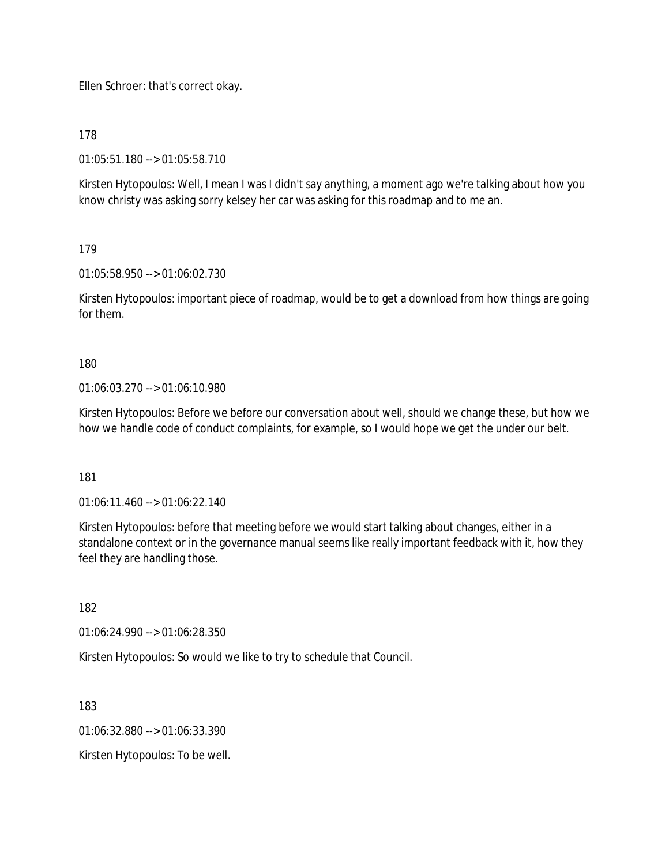Ellen Schroer: that's correct okay.

178

01:05:51.180 --> 01:05:58.710

Kirsten Hytopoulos: Well, I mean I was I didn't say anything, a moment ago we're talking about how you know christy was asking sorry kelsey her car was asking for this roadmap and to me an.

179

01:05:58.950 --> 01:06:02.730

Kirsten Hytopoulos: important piece of roadmap, would be to get a download from how things are going for them.

180

01:06:03.270 --> 01:06:10.980

Kirsten Hytopoulos: Before we before our conversation about well, should we change these, but how we how we handle code of conduct complaints, for example, so I would hope we get the under our belt.

181

01:06:11.460 --> 01:06:22.140

Kirsten Hytopoulos: before that meeting before we would start talking about changes, either in a standalone context or in the governance manual seems like really important feedback with it, how they feel they are handling those.

182

01:06:24.990 --> 01:06:28.350

Kirsten Hytopoulos: So would we like to try to schedule that Council.

183

01:06:32.880 --> 01:06:33.390

Kirsten Hytopoulos: To be well.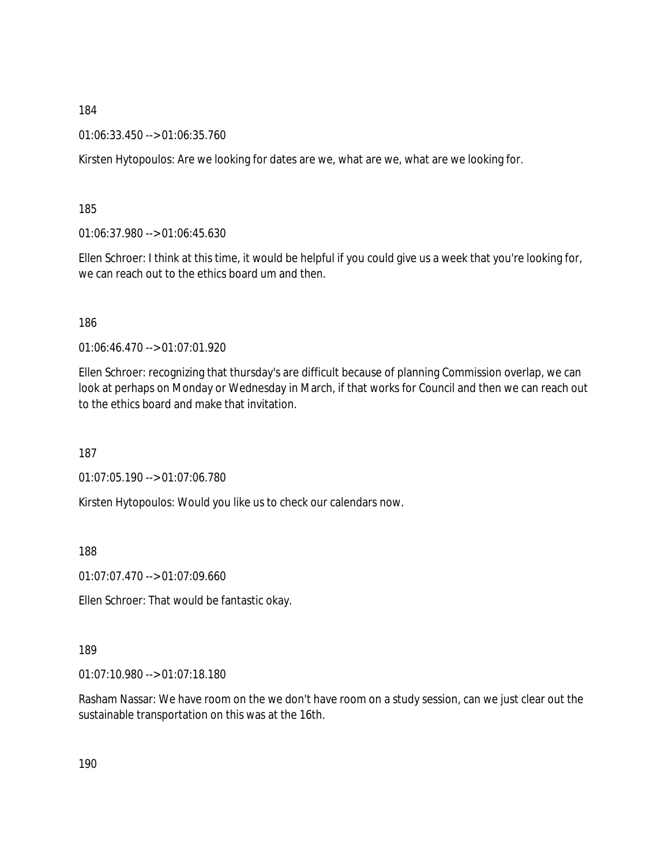01:06:33.450 --> 01:06:35.760

Kirsten Hytopoulos: Are we looking for dates are we, what are we, what are we looking for.

185

01:06:37.980 --> 01:06:45.630

Ellen Schroer: I think at this time, it would be helpful if you could give us a week that you're looking for, we can reach out to the ethics board um and then.

186

01:06:46.470 --> 01:07:01.920

Ellen Schroer: recognizing that thursday's are difficult because of planning Commission overlap, we can look at perhaps on Monday or Wednesday in March, if that works for Council and then we can reach out to the ethics board and make that invitation.

187

01:07:05.190 --> 01:07:06.780

Kirsten Hytopoulos: Would you like us to check our calendars now.

188

01:07:07.470 --> 01:07:09.660

Ellen Schroer: That would be fantastic okay.

189

01:07:10.980 --> 01:07:18.180

Rasham Nassar: We have room on the we don't have room on a study session, can we just clear out the sustainable transportation on this was at the 16th.

190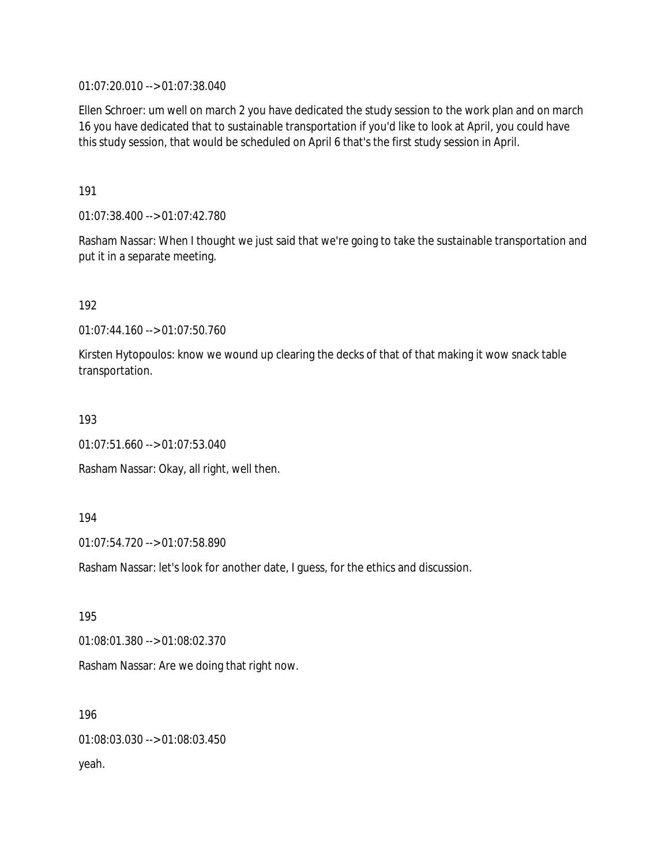01:07:20.010 --> 01:07:38.040

Ellen Schroer: um well on march 2 you have dedicated the study session to the work plan and on march 16 you have dedicated that to sustainable transportation if you'd like to look at April, you could have this study session, that would be scheduled on April 6 that's the first study session in April.

191

01:07:38.400 --> 01:07:42.780

Rasham Nassar: When I thought we just said that we're going to take the sustainable transportation and put it in a separate meeting.

192

01:07:44.160 --> 01:07:50.760

Kirsten Hytopoulos: know we wound up clearing the decks of that of that making it wow snack table transportation.

193

01:07:51.660 --> 01:07:53.040

Rasham Nassar: Okay, all right, well then.

194

01:07:54.720 --> 01:07:58.890

Rasham Nassar: let's look for another date, I guess, for the ethics and discussion.

195

01:08:01.380 --> 01:08:02.370

Rasham Nassar: Are we doing that right now.

196 01:08:03.030 --> 01:08:03.450 yeah.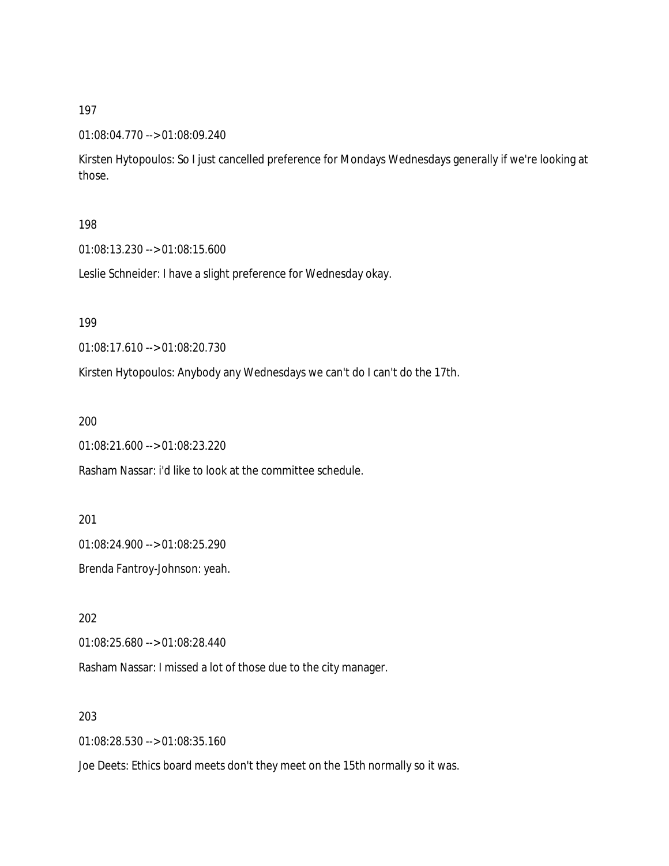#### 01:08:04.770 --> 01:08:09.240

Kirsten Hytopoulos: So I just cancelled preference for Mondays Wednesdays generally if we're looking at those.

#### 198

01:08:13.230 --> 01:08:15.600

Leslie Schneider: I have a slight preference for Wednesday okay.

199

01:08:17.610 --> 01:08:20.730

Kirsten Hytopoulos: Anybody any Wednesdays we can't do I can't do the 17th.

200

01:08:21.600 --> 01:08:23.220

Rasham Nassar: i'd like to look at the committee schedule.

201

01:08:24.900 --> 01:08:25.290

Brenda Fantroy-Johnson: yeah.

202

01:08:25.680 --> 01:08:28.440

Rasham Nassar: I missed a lot of those due to the city manager.

203

01:08:28.530 --> 01:08:35.160

Joe Deets: Ethics board meets don't they meet on the 15th normally so it was.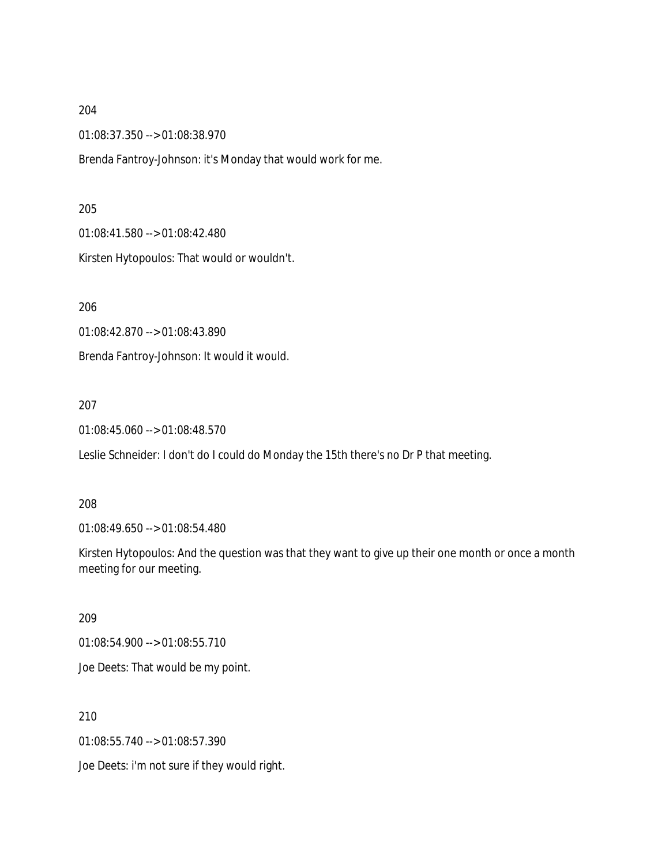01:08:37.350 --> 01:08:38.970

Brenda Fantroy-Johnson: it's Monday that would work for me.

205

01:08:41.580 --> 01:08:42.480

Kirsten Hytopoulos: That would or wouldn't.

206

01:08:42.870 --> 01:08:43.890

Brenda Fantroy-Johnson: It would it would.

207

01:08:45.060 --> 01:08:48.570

Leslie Schneider: I don't do I could do Monday the 15th there's no Dr P that meeting.

208

01:08:49.650 --> 01:08:54.480

Kirsten Hytopoulos: And the question was that they want to give up their one month or once a month meeting for our meeting.

209

01:08:54.900 --> 01:08:55.710 Joe Deets: That would be my point.

210

01:08:55.740 --> 01:08:57.390

Joe Deets: i'm not sure if they would right.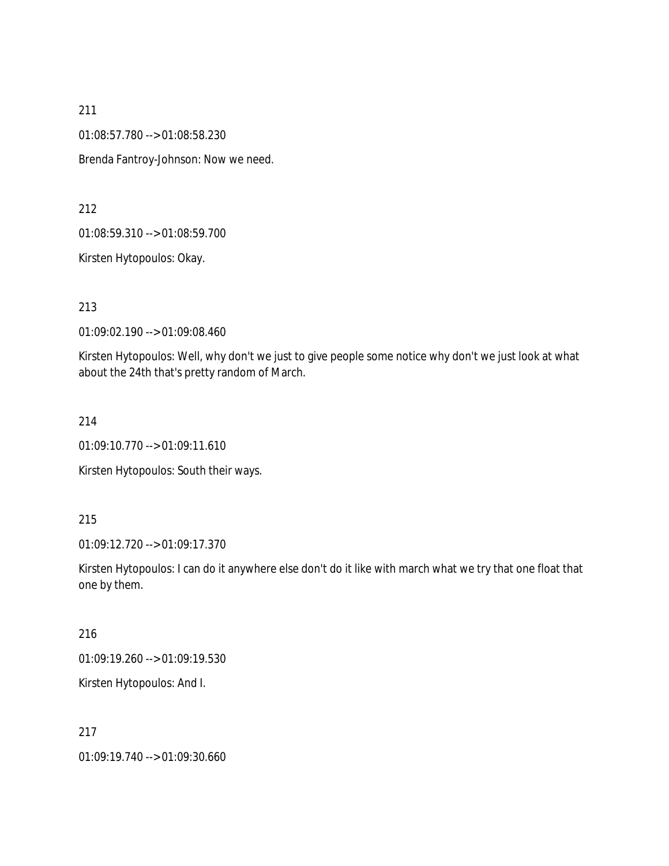01:08:57.780 --> 01:08:58.230

Brenda Fantroy-Johnson: Now we need.

212

01:08:59.310 --> 01:08:59.700

Kirsten Hytopoulos: Okay.

213

01:09:02.190 --> 01:09:08.460

Kirsten Hytopoulos: Well, why don't we just to give people some notice why don't we just look at what about the 24th that's pretty random of March.

214

01:09:10.770 --> 01:09:11.610

Kirsten Hytopoulos: South their ways.

215

01:09:12.720 --> 01:09:17.370

Kirsten Hytopoulos: I can do it anywhere else don't do it like with march what we try that one float that one by them.

216

01:09:19.260 --> 01:09:19.530

Kirsten Hytopoulos: And I.

217

01:09:19.740 --> 01:09:30.660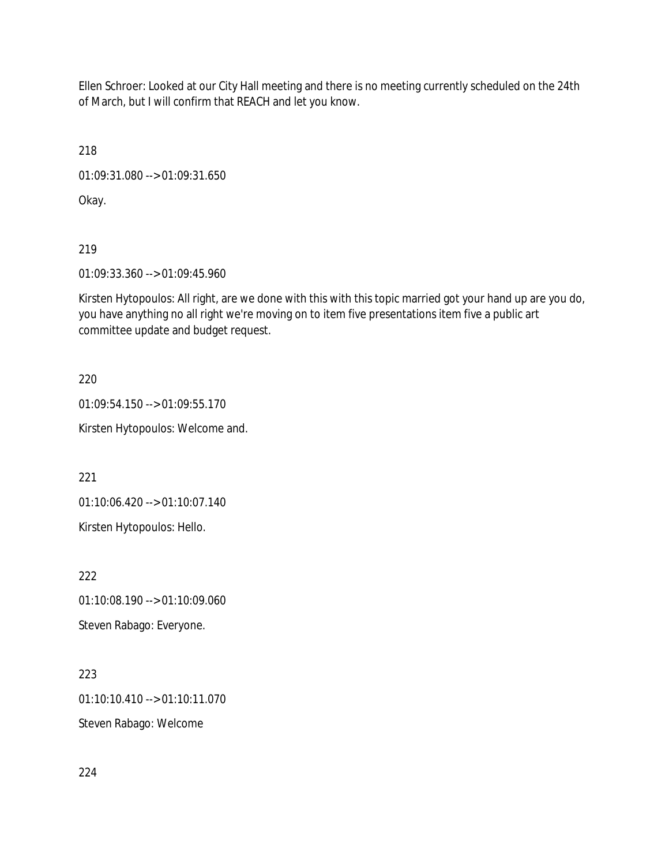Ellen Schroer: Looked at our City Hall meeting and there is no meeting currently scheduled on the 24th of March, but I will confirm that REACH and let you know.

218

01:09:31.080 --> 01:09:31.650

Okay.

219

01:09:33.360 --> 01:09:45.960

Kirsten Hytopoulos: All right, are we done with this with this topic married got your hand up are you do, you have anything no all right we're moving on to item five presentations item five a public art committee update and budget request.

220

01:09:54.150 --> 01:09:55.170

Kirsten Hytopoulos: Welcome and.

221

01:10:06.420 --> 01:10:07.140

Kirsten Hytopoulos: Hello.

222

01:10:08.190 --> 01:10:09.060 Steven Rabago: Everyone.

223

01:10:10.410 --> 01:10:11.070

Steven Rabago: Welcome

224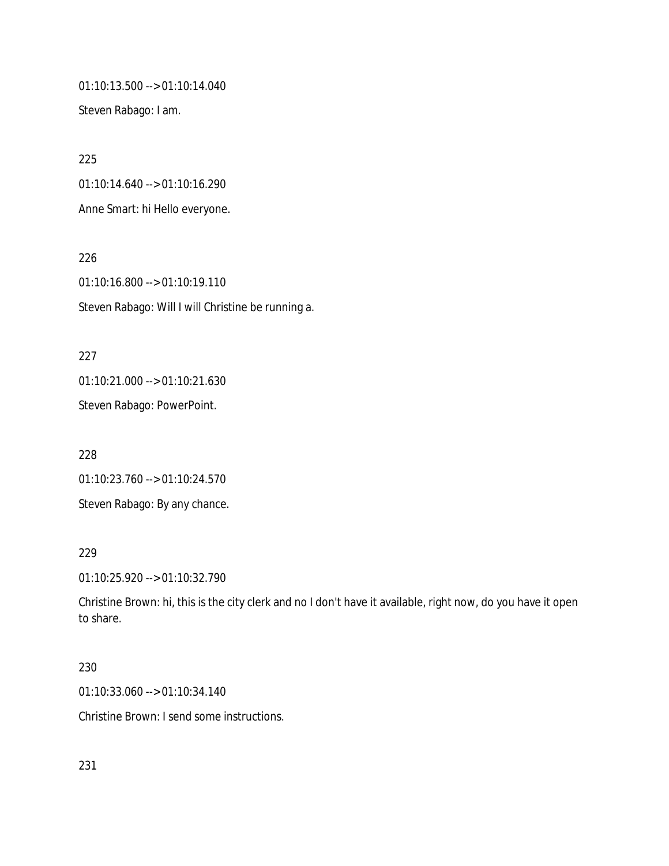01:10:13.500 --> 01:10:14.040

Steven Rabago: I am.

225 01:10:14.640 --> 01:10:16.290 Anne Smart: hi Hello everyone.

226 01:10:16.800 --> 01:10:19.110 Steven Rabago: Will I will Christine be running a.

227 01:10:21.000 --> 01:10:21.630 Steven Rabago: PowerPoint.

228 01:10:23.760 --> 01:10:24.570 Steven Rabago: By any chance.

229

01:10:25.920 --> 01:10:32.790

Christine Brown: hi, this is the city clerk and no I don't have it available, right now, do you have it open to share.

## 230

01:10:33.060 --> 01:10:34.140

Christine Brown: I send some instructions.

231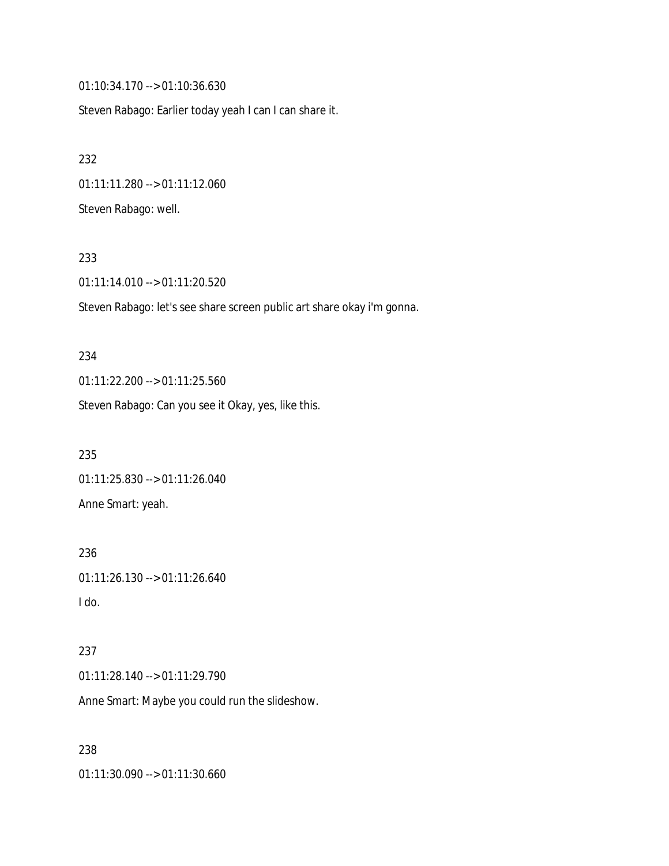01:10:34.170 --> 01:10:36.630

Steven Rabago: Earlier today yeah I can I can share it.

232 01:11:11.280 --> 01:11:12.060 Steven Rabago: well.

#### 233

01:11:14.010 --> 01:11:20.520

Steven Rabago: let's see share screen public art share okay i'm gonna.

234 01:11:22.200 --> 01:11:25.560 Steven Rabago: Can you see it Okay, yes, like this.

235 01:11:25.830 --> 01:11:26.040 Anne Smart: yeah.

236 01:11:26.130 --> 01:11:26.640 I do.

237 01:11:28.140 --> 01:11:29.790 Anne Smart: Maybe you could run the slideshow.

238 01:11:30.090 --> 01:11:30.660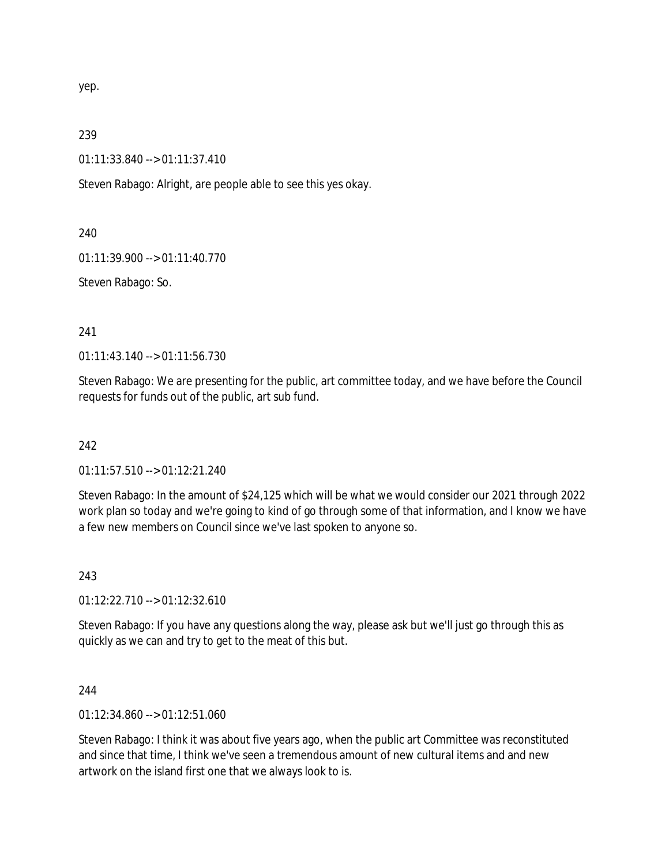yep.

239

01:11:33.840 --> 01:11:37.410

Steven Rabago: Alright, are people able to see this yes okay.

240

01:11:39.900 --> 01:11:40.770

Steven Rabago: So.

241

01:11:43.140 --> 01:11:56.730

Steven Rabago: We are presenting for the public, art committee today, and we have before the Council requests for funds out of the public, art sub fund.

242

01:11:57.510 --> 01:12:21.240

Steven Rabago: In the amount of \$24,125 which will be what we would consider our 2021 through 2022 work plan so today and we're going to kind of go through some of that information, and I know we have a few new members on Council since we've last spoken to anyone so.

243

01:12:22.710 --> 01:12:32.610

Steven Rabago: If you have any questions along the way, please ask but we'll just go through this as quickly as we can and try to get to the meat of this but.

244

01:12:34.860 --> 01:12:51.060

Steven Rabago: I think it was about five years ago, when the public art Committee was reconstituted and since that time, I think we've seen a tremendous amount of new cultural items and and new artwork on the island first one that we always look to is.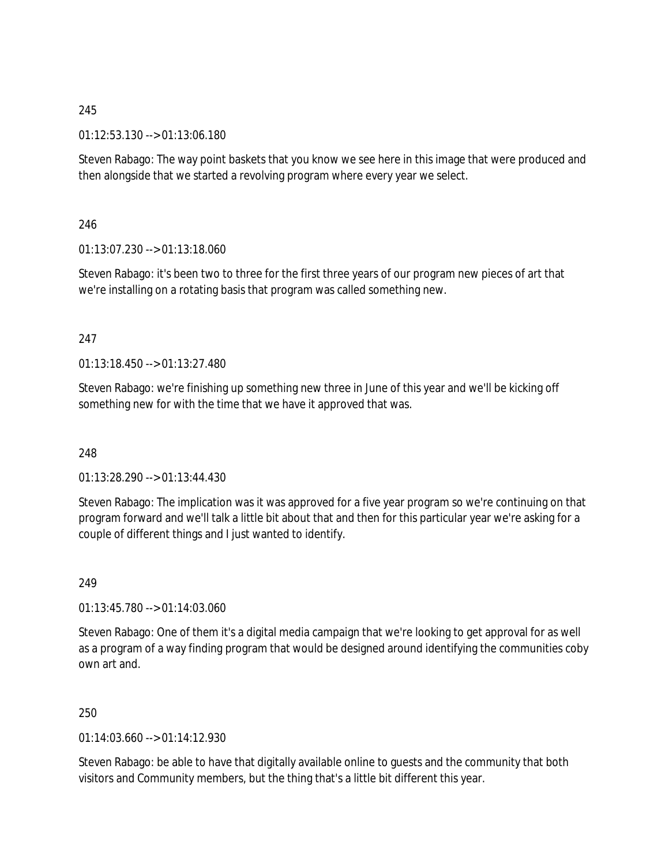## 245

01:12:53.130 --> 01:13:06.180

Steven Rabago: The way point baskets that you know we see here in this image that were produced and then alongside that we started a revolving program where every year we select.

## 246

01:13:07.230 --> 01:13:18.060

Steven Rabago: it's been two to three for the first three years of our program new pieces of art that we're installing on a rotating basis that program was called something new.

## 247

01:13:18.450 --> 01:13:27.480

Steven Rabago: we're finishing up something new three in June of this year and we'll be kicking off something new for with the time that we have it approved that was.

### 248

01:13:28.290 --> 01:13:44.430

Steven Rabago: The implication was it was approved for a five year program so we're continuing on that program forward and we'll talk a little bit about that and then for this particular year we're asking for a couple of different things and I just wanted to identify.

### 249

01:13:45.780 --> 01:14:03.060

Steven Rabago: One of them it's a digital media campaign that we're looking to get approval for as well as a program of a way finding program that would be designed around identifying the communities coby own art and.

250

01:14:03.660 --> 01:14:12.930

Steven Rabago: be able to have that digitally available online to guests and the community that both visitors and Community members, but the thing that's a little bit different this year.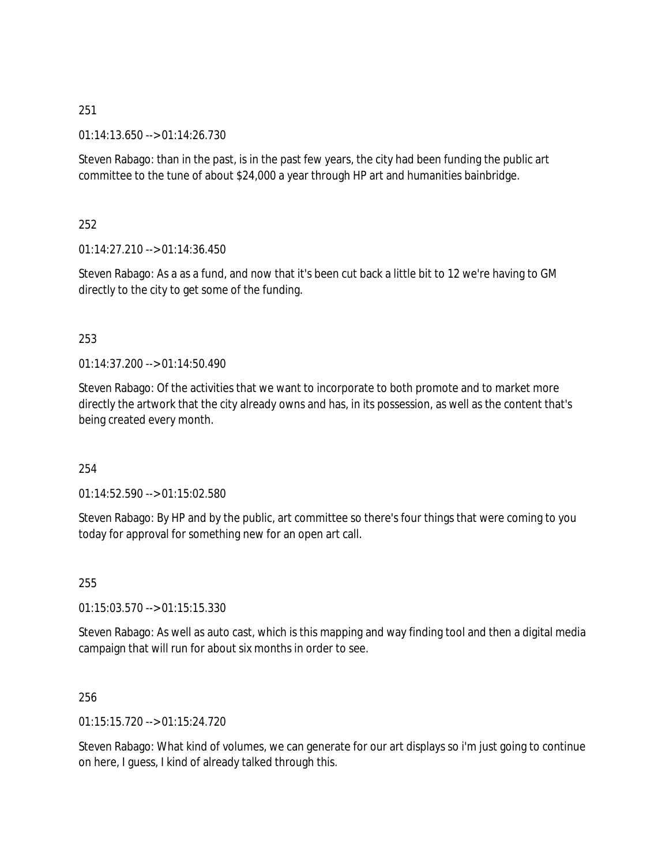251

01:14:13.650 --> 01:14:26.730

Steven Rabago: than in the past, is in the past few years, the city had been funding the public art committee to the tune of about \$24,000 a year through HP art and humanities bainbridge.

252

01:14:27.210 --> 01:14:36.450

Steven Rabago: As a as a fund, and now that it's been cut back a little bit to 12 we're having to GM directly to the city to get some of the funding.

## 253

01:14:37.200 --> 01:14:50.490

Steven Rabago: Of the activities that we want to incorporate to both promote and to market more directly the artwork that the city already owns and has, in its possession, as well as the content that's being created every month.

### 254

01:14:52.590 --> 01:15:02.580

Steven Rabago: By HP and by the public, art committee so there's four things that were coming to you today for approval for something new for an open art call.

255

01:15:03.570 --> 01:15:15.330

Steven Rabago: As well as auto cast, which is this mapping and way finding tool and then a digital media campaign that will run for about six months in order to see.

256

01:15:15.720 --> 01:15:24.720

Steven Rabago: What kind of volumes, we can generate for our art displays so i'm just going to continue on here, I guess, I kind of already talked through this.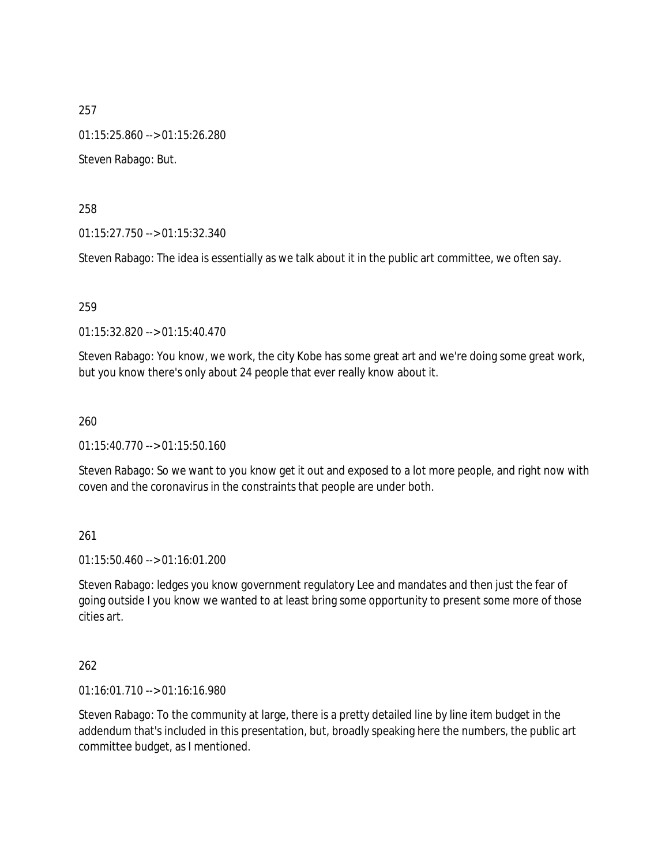257 01:15:25.860 --> 01:15:26.280 Steven Rabago: But.

258

01:15:27.750 --> 01:15:32.340

Steven Rabago: The idea is essentially as we talk about it in the public art committee, we often say.

259

01:15:32.820 --> 01:15:40.470

Steven Rabago: You know, we work, the city Kobe has some great art and we're doing some great work, but you know there's only about 24 people that ever really know about it.

260

01:15:40.770 --> 01:15:50.160

Steven Rabago: So we want to you know get it out and exposed to a lot more people, and right now with coven and the coronavirus in the constraints that people are under both.

261

01:15:50.460 --> 01:16:01.200

Steven Rabago: ledges you know government regulatory Lee and mandates and then just the fear of going outside I you know we wanted to at least bring some opportunity to present some more of those cities art.

262

01:16:01.710 --> 01:16:16.980

Steven Rabago: To the community at large, there is a pretty detailed line by line item budget in the addendum that's included in this presentation, but, broadly speaking here the numbers, the public art committee budget, as I mentioned.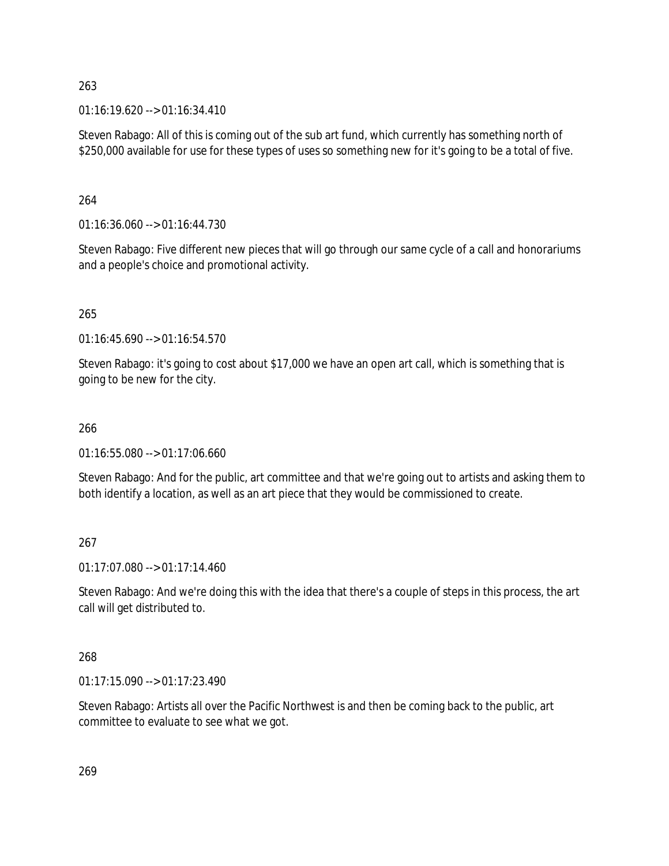263

 $01:16:19.620 \rightarrow 01:16:34.410$ 

Steven Rabago: All of this is coming out of the sub art fund, which currently has something north of \$250,000 available for use for these types of uses so something new for it's going to be a total of five.

264

01:16:36.060 --> 01:16:44.730

Steven Rabago: Five different new pieces that will go through our same cycle of a call and honorariums and a people's choice and promotional activity.

265

01:16:45.690 --> 01:16:54.570

Steven Rabago: it's going to cost about \$17,000 we have an open art call, which is something that is going to be new for the city.

## 266

01:16:55.080 --> 01:17:06.660

Steven Rabago: And for the public, art committee and that we're going out to artists and asking them to both identify a location, as well as an art piece that they would be commissioned to create.

### 267

01:17:07.080 --> 01:17:14.460

Steven Rabago: And we're doing this with the idea that there's a couple of steps in this process, the art call will get distributed to.

## 268

01:17:15.090 --> 01:17:23.490

Steven Rabago: Artists all over the Pacific Northwest is and then be coming back to the public, art committee to evaluate to see what we got.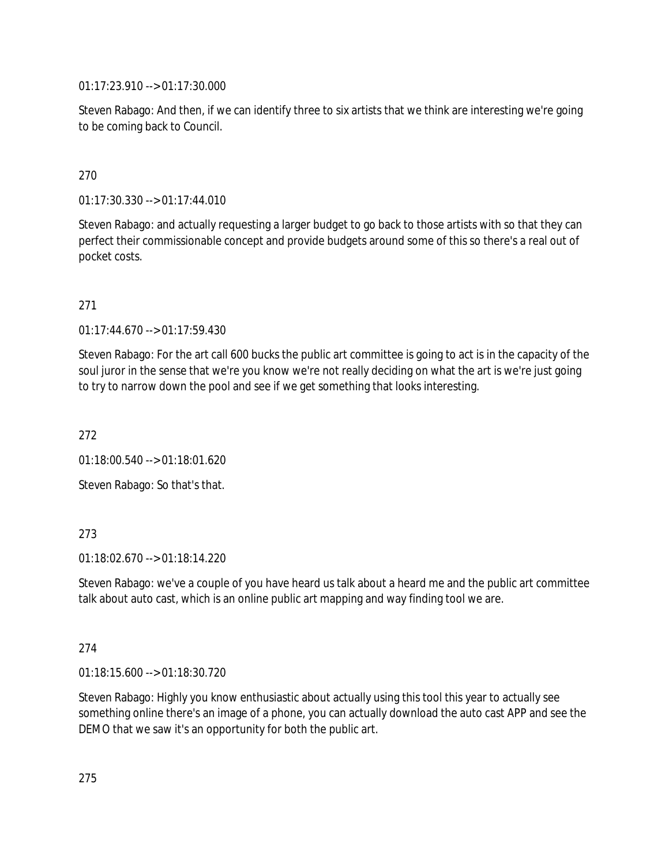01:17:23.910 --> 01:17:30.000

Steven Rabago: And then, if we can identify three to six artists that we think are interesting we're going to be coming back to Council.

# 270

01:17:30.330 --> 01:17:44.010

Steven Rabago: and actually requesting a larger budget to go back to those artists with so that they can perfect their commissionable concept and provide budgets around some of this so there's a real out of pocket costs.

## 271

01:17:44.670 --> 01:17:59.430

Steven Rabago: For the art call 600 bucks the public art committee is going to act is in the capacity of the soul juror in the sense that we're you know we're not really deciding on what the art is we're just going to try to narrow down the pool and see if we get something that looks interesting.

272

01:18:00.540 --> 01:18:01.620

Steven Rabago: So that's that.

## 273

01:18:02.670 --> 01:18:14.220

Steven Rabago: we've a couple of you have heard us talk about a heard me and the public art committee talk about auto cast, which is an online public art mapping and way finding tool we are.

### 274

01:18:15.600 --> 01:18:30.720

Steven Rabago: Highly you know enthusiastic about actually using this tool this year to actually see something online there's an image of a phone, you can actually download the auto cast APP and see the DEMO that we saw it's an opportunity for both the public art.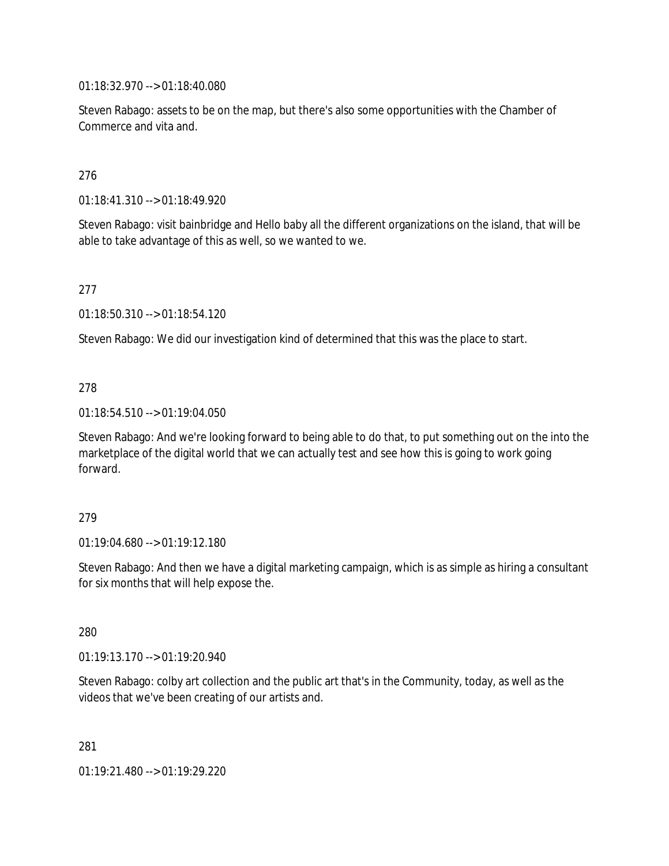01:18:32.970 --> 01:18:40.080

Steven Rabago: assets to be on the map, but there's also some opportunities with the Chamber of Commerce and vita and.

### 276

01:18:41.310 --> 01:18:49.920

Steven Rabago: visit bainbridge and Hello baby all the different organizations on the island, that will be able to take advantage of this as well, so we wanted to we.

### 277

01:18:50.310 --> 01:18:54.120

Steven Rabago: We did our investigation kind of determined that this was the place to start.

### 278

01:18:54.510 --> 01:19:04.050

Steven Rabago: And we're looking forward to being able to do that, to put something out on the into the marketplace of the digital world that we can actually test and see how this is going to work going forward.

### 279

01:19:04.680 --> 01:19:12.180

Steven Rabago: And then we have a digital marketing campaign, which is as simple as hiring a consultant for six months that will help expose the.

280

01:19:13.170 --> 01:19:20.940

Steven Rabago: colby art collection and the public art that's in the Community, today, as well as the videos that we've been creating of our artists and.

281

01:19:21.480 --> 01:19:29.220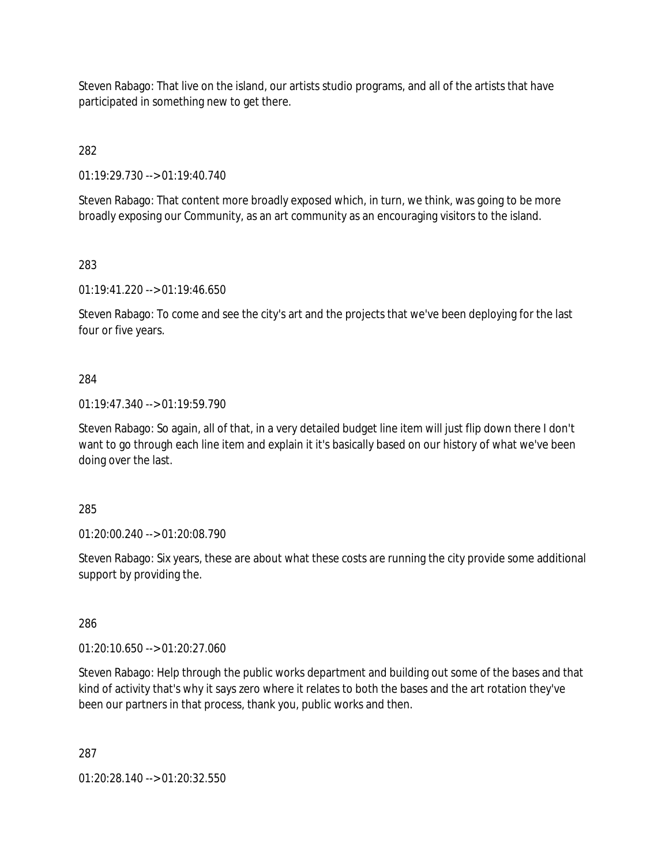Steven Rabago: That live on the island, our artists studio programs, and all of the artists that have participated in something new to get there.

282

01:19:29.730 --> 01:19:40.740

Steven Rabago: That content more broadly exposed which, in turn, we think, was going to be more broadly exposing our Community, as an art community as an encouraging visitors to the island.

283

01:19:41.220 --> 01:19:46.650

Steven Rabago: To come and see the city's art and the projects that we've been deploying for the last four or five years.

### 284

01:19:47.340 --> 01:19:59.790

Steven Rabago: So again, all of that, in a very detailed budget line item will just flip down there I don't want to go through each line item and explain it it's basically based on our history of what we've been doing over the last.

### 285

01:20:00.240 --> 01:20:08.790

Steven Rabago: Six years, these are about what these costs are running the city provide some additional support by providing the.

286

01:20:10.650 --> 01:20:27.060

Steven Rabago: Help through the public works department and building out some of the bases and that kind of activity that's why it says zero where it relates to both the bases and the art rotation they've been our partners in that process, thank you, public works and then.

287

01:20:28.140 --> 01:20:32.550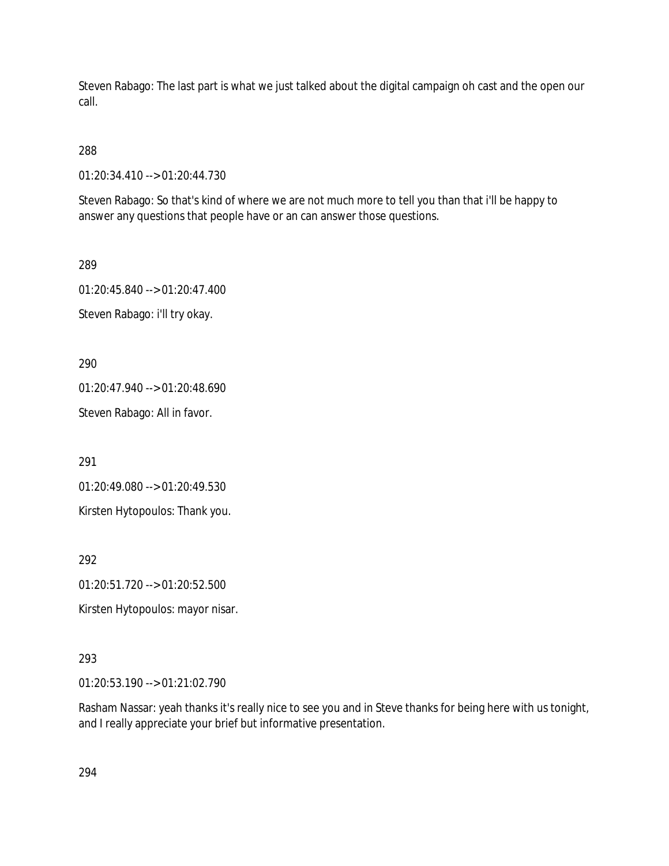Steven Rabago: The last part is what we just talked about the digital campaign oh cast and the open our call.

## 288

01:20:34.410 --> 01:20:44.730

Steven Rabago: So that's kind of where we are not much more to tell you than that i'll be happy to answer any questions that people have or an can answer those questions.

289

01:20:45.840 --> 01:20:47.400 Steven Rabago: i'll try okay.

290

01:20:47.940 --> 01:20:48.690 Steven Rabago: All in favor.

291

01:20:49.080 --> 01:20:49.530

Kirsten Hytopoulos: Thank you.

292

01:20:51.720 --> 01:20:52.500

Kirsten Hytopoulos: mayor nisar.

## 293

01:20:53.190 --> 01:21:02.790

Rasham Nassar: yeah thanks it's really nice to see you and in Steve thanks for being here with us tonight, and I really appreciate your brief but informative presentation.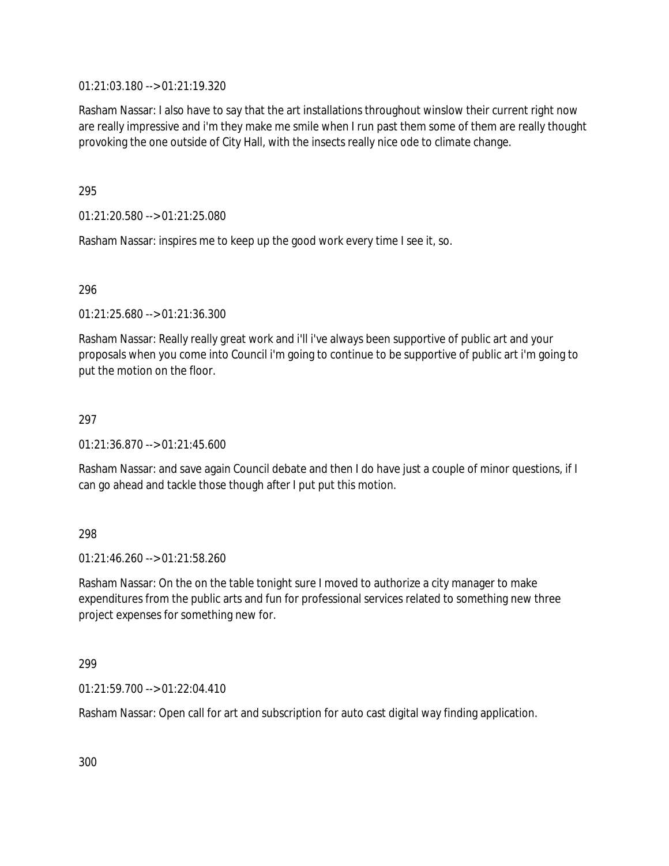01:21:03.180 --> 01:21:19.320

Rasham Nassar: I also have to say that the art installations throughout winslow their current right now are really impressive and i'm they make me smile when I run past them some of them are really thought provoking the one outside of City Hall, with the insects really nice ode to climate change.

295

01:21:20.580 --> 01:21:25.080

Rasham Nassar: inspires me to keep up the good work every time I see it, so.

296

01:21:25.680 --> 01:21:36.300

Rasham Nassar: Really really great work and i'll i've always been supportive of public art and your proposals when you come into Council i'm going to continue to be supportive of public art i'm going to put the motion on the floor.

### 297

01:21:36.870 --> 01:21:45.600

Rasham Nassar: and save again Council debate and then I do have just a couple of minor questions, if I can go ahead and tackle those though after I put put this motion.

### 298

01:21:46.260 --> 01:21:58.260

Rasham Nassar: On the on the table tonight sure I moved to authorize a city manager to make expenditures from the public arts and fun for professional services related to something new three project expenses for something new for.

299

01:21:59.700 --> 01:22:04.410

Rasham Nassar: Open call for art and subscription for auto cast digital way finding application.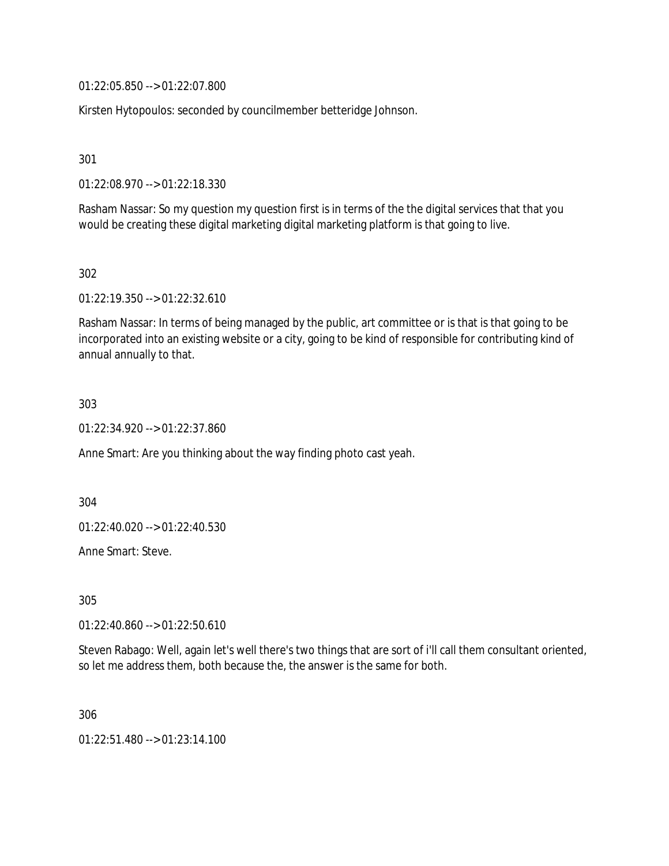01:22:05.850 --> 01:22:07.800

Kirsten Hytopoulos: seconded by councilmember betteridge Johnson.

301

01:22:08.970 --> 01:22:18.330

Rasham Nassar: So my question my question first is in terms of the the digital services that that you would be creating these digital marketing digital marketing platform is that going to live.

302

01:22:19.350 --> 01:22:32.610

Rasham Nassar: In terms of being managed by the public, art committee or is that is that going to be incorporated into an existing website or a city, going to be kind of responsible for contributing kind of annual annually to that.

303

01:22:34.920 --> 01:22:37.860

Anne Smart: Are you thinking about the way finding photo cast yeah.

304

01:22:40.020 --> 01:22:40.530

Anne Smart: Steve.

305

01:22:40.860 --> 01:22:50.610

Steven Rabago: Well, again let's well there's two things that are sort of i'll call them consultant oriented, so let me address them, both because the, the answer is the same for both.

306

01:22:51.480 --> 01:23:14.100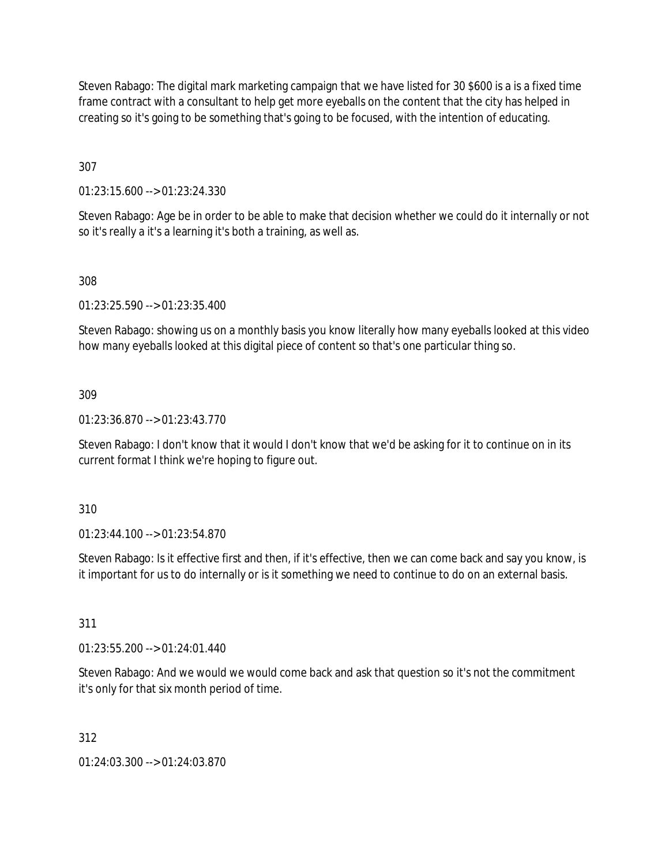Steven Rabago: The digital mark marketing campaign that we have listed for 30 \$600 is a is a fixed time frame contract with a consultant to help get more eyeballs on the content that the city has helped in creating so it's going to be something that's going to be focused, with the intention of educating.

307

01:23:15.600 --> 01:23:24.330

Steven Rabago: Age be in order to be able to make that decision whether we could do it internally or not so it's really a it's a learning it's both a training, as well as.

308

01:23:25.590 --> 01:23:35.400

Steven Rabago: showing us on a monthly basis you know literally how many eyeballs looked at this video how many eyeballs looked at this digital piece of content so that's one particular thing so.

309

01:23:36.870 --> 01:23:43.770

Steven Rabago: I don't know that it would I don't know that we'd be asking for it to continue on in its current format I think we're hoping to figure out.

310

01:23:44.100 --> 01:23:54.870

Steven Rabago: Is it effective first and then, if it's effective, then we can come back and say you know, is it important for us to do internally or is it something we need to continue to do on an external basis.

311

01:23:55.200 --> 01:24:01.440

Steven Rabago: And we would we would come back and ask that question so it's not the commitment it's only for that six month period of time.

312

01:24:03.300 --> 01:24:03.870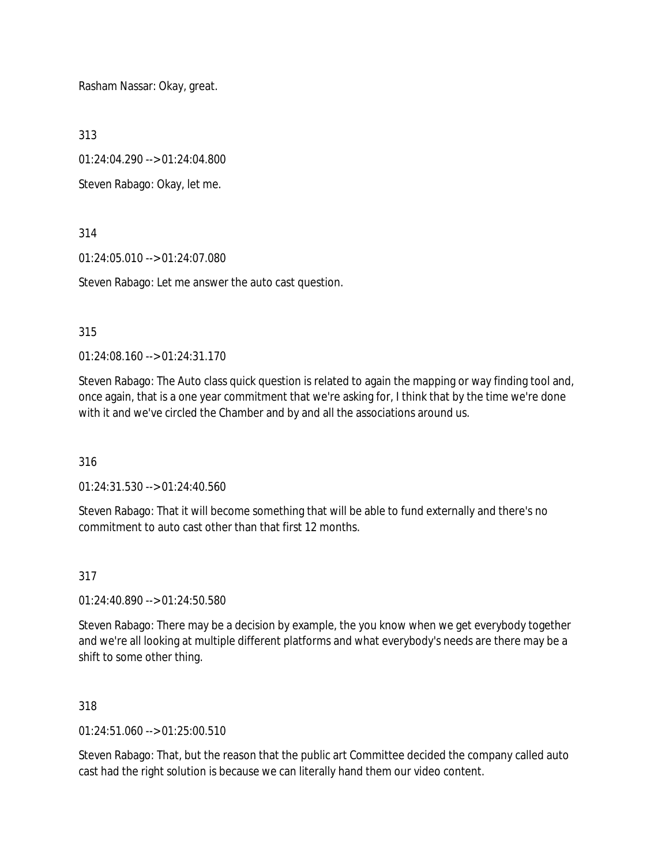Rasham Nassar: Okay, great.

313

01:24:04.290 --> 01:24:04.800

Steven Rabago: Okay, let me.

314

01:24:05.010 --> 01:24:07.080

Steven Rabago: Let me answer the auto cast question.

### 315

01:24:08.160 --> 01:24:31.170

Steven Rabago: The Auto class quick question is related to again the mapping or way finding tool and, once again, that is a one year commitment that we're asking for, I think that by the time we're done with it and we've circled the Chamber and by and all the associations around us.

316

01:24:31.530 --> 01:24:40.560

Steven Rabago: That it will become something that will be able to fund externally and there's no commitment to auto cast other than that first 12 months.

317

01:24:40.890 --> 01:24:50.580

Steven Rabago: There may be a decision by example, the you know when we get everybody together and we're all looking at multiple different platforms and what everybody's needs are there may be a shift to some other thing.

318

 $01:24:51.060 \rightarrow 01:25:00.510$ 

Steven Rabago: That, but the reason that the public art Committee decided the company called auto cast had the right solution is because we can literally hand them our video content.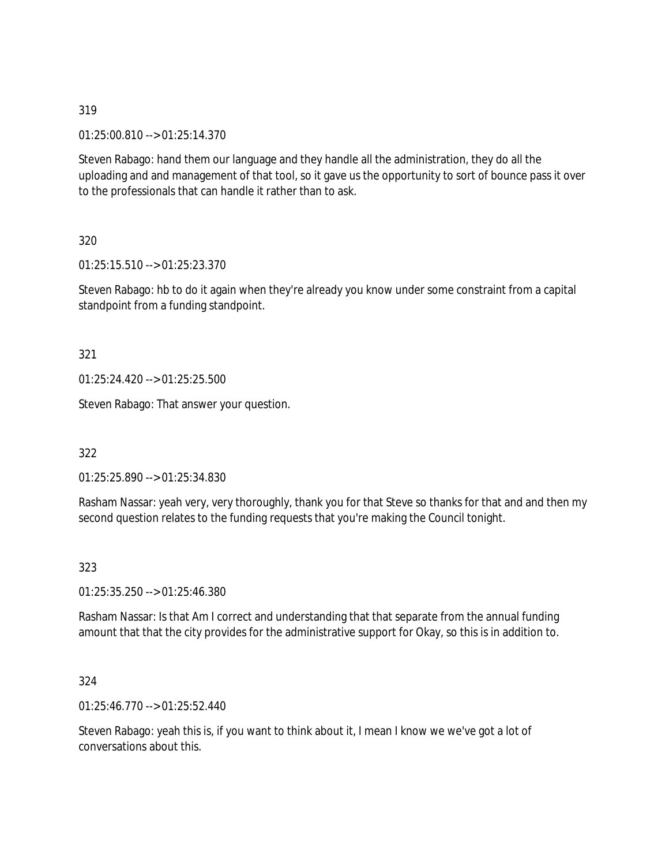319

01:25:00.810 --> 01:25:14.370

Steven Rabago: hand them our language and they handle all the administration, they do all the uploading and and management of that tool, so it gave us the opportunity to sort of bounce pass it over to the professionals that can handle it rather than to ask.

320

01:25:15.510 --> 01:25:23.370

Steven Rabago: hb to do it again when they're already you know under some constraint from a capital standpoint from a funding standpoint.

321

01:25:24.420 --> 01:25:25.500

Steven Rabago: That answer your question.

322

01:25:25.890 --> 01:25:34.830

Rasham Nassar: yeah very, very thoroughly, thank you for that Steve so thanks for that and and then my second question relates to the funding requests that you're making the Council tonight.

323

01:25:35.250 --> 01:25:46.380

Rasham Nassar: Is that Am I correct and understanding that that separate from the annual funding amount that that the city provides for the administrative support for Okay, so this is in addition to.

324

01:25:46.770 --> 01:25:52.440

Steven Rabago: yeah this is, if you want to think about it, I mean I know we we've got a lot of conversations about this.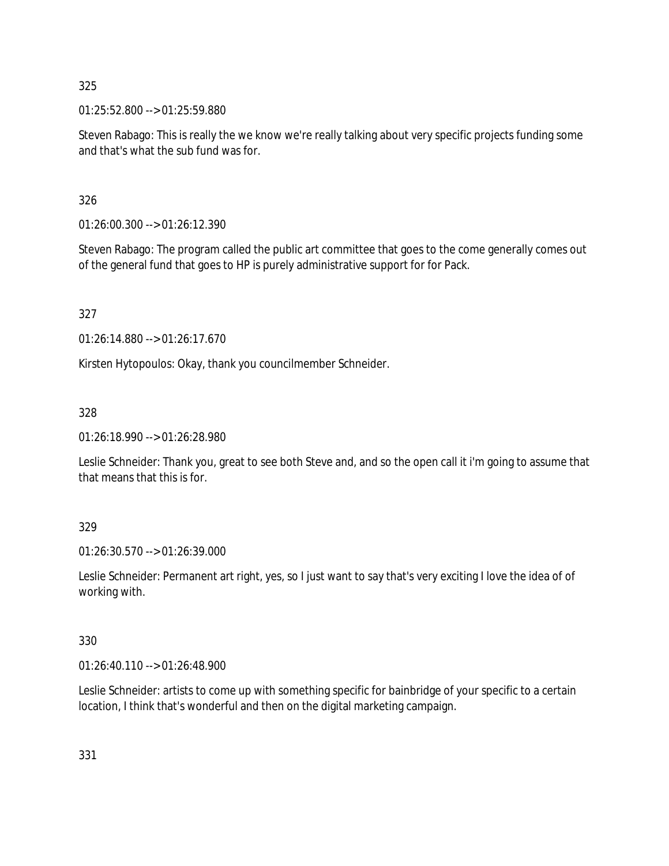325

01:25:52.800 --> 01:25:59.880

Steven Rabago: This is really the we know we're really talking about very specific projects funding some and that's what the sub fund was for.

326

01:26:00.300 --> 01:26:12.390

Steven Rabago: The program called the public art committee that goes to the come generally comes out of the general fund that goes to HP is purely administrative support for for Pack.

327

01:26:14.880 --> 01:26:17.670

Kirsten Hytopoulos: Okay, thank you councilmember Schneider.

328

01:26:18.990 --> 01:26:28.980

Leslie Schneider: Thank you, great to see both Steve and, and so the open call it i'm going to assume that that means that this is for.

329

01:26:30.570 --> 01:26:39.000

Leslie Schneider: Permanent art right, yes, so I just want to say that's very exciting I love the idea of of working with.

330

01:26:40.110 --> 01:26:48.900

Leslie Schneider: artists to come up with something specific for bainbridge of your specific to a certain location, I think that's wonderful and then on the digital marketing campaign.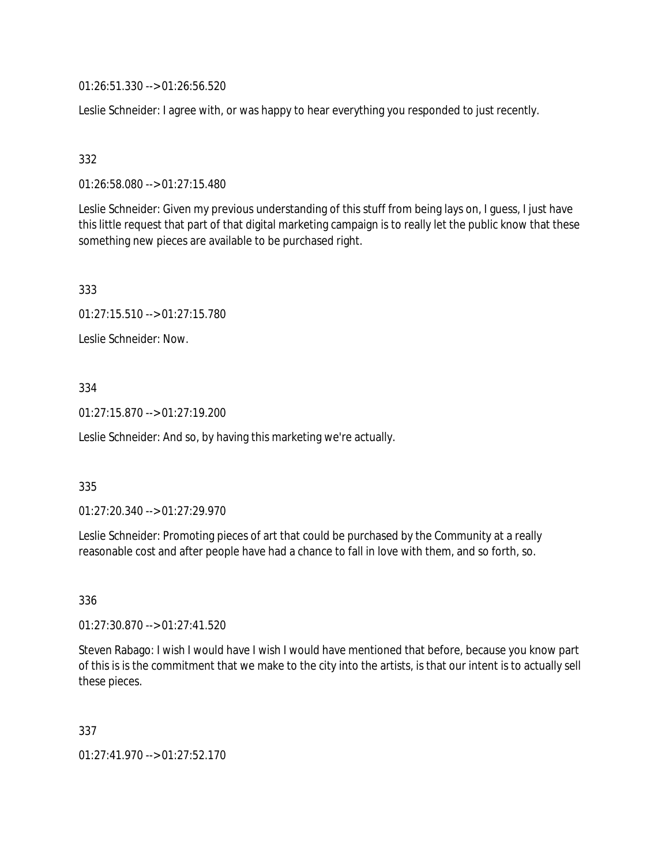01:26:51.330 --> 01:26:56.520

Leslie Schneider: I agree with, or was happy to hear everything you responded to just recently.

## 332

01:26:58.080 --> 01:27:15.480

Leslie Schneider: Given my previous understanding of this stuff from being lays on, I guess, I just have this little request that part of that digital marketing campaign is to really let the public know that these something new pieces are available to be purchased right.

333

01:27:15.510 --> 01:27:15.780

Leslie Schneider: Now.

## 334

01:27:15.870 --> 01:27:19.200

Leslie Schneider: And so, by having this marketing we're actually.

### 335

01:27:20.340 --> 01:27:29.970

Leslie Schneider: Promoting pieces of art that could be purchased by the Community at a really reasonable cost and after people have had a chance to fall in love with them, and so forth, so.

336

01:27:30.870 --> 01:27:41.520

Steven Rabago: I wish I would have I wish I would have mentioned that before, because you know part of this is is the commitment that we make to the city into the artists, is that our intent is to actually sell these pieces.

337

01:27:41.970 --> 01:27:52.170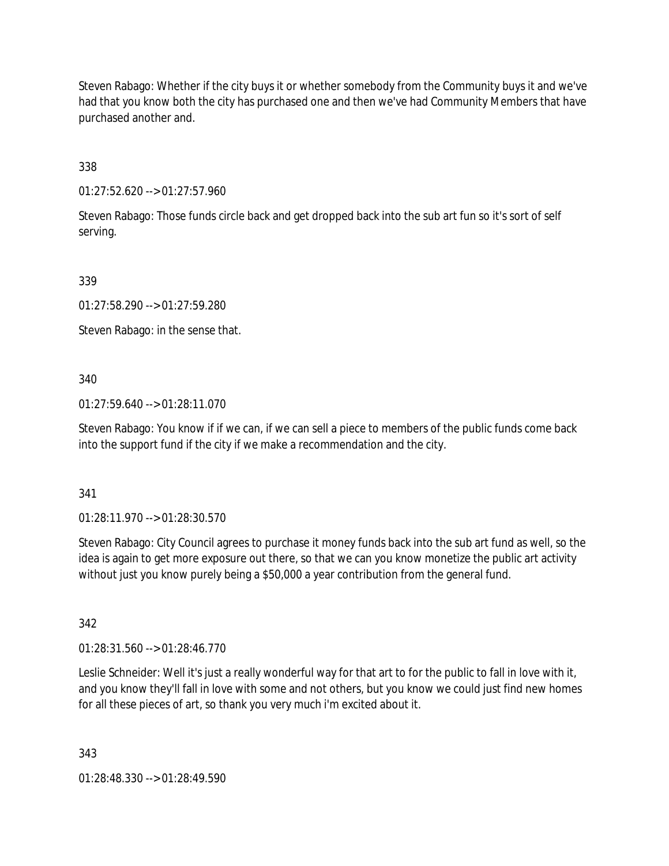Steven Rabago: Whether if the city buys it or whether somebody from the Community buys it and we've had that you know both the city has purchased one and then we've had Community Members that have purchased another and.

338

01:27:52.620 --> 01:27:57.960

Steven Rabago: Those funds circle back and get dropped back into the sub art fun so it's sort of self serving.

339

01:27:58.290 --> 01:27:59.280

Steven Rabago: in the sense that.

340

01:27:59.640 --> 01:28:11.070

Steven Rabago: You know if if we can, if we can sell a piece to members of the public funds come back into the support fund if the city if we make a recommendation and the city.

341

01:28:11.970 --> 01:28:30.570

Steven Rabago: City Council agrees to purchase it money funds back into the sub art fund as well, so the idea is again to get more exposure out there, so that we can you know monetize the public art activity without just you know purely being a \$50,000 a year contribution from the general fund.

342

01:28:31.560 --> 01:28:46.770

Leslie Schneider: Well it's just a really wonderful way for that art to for the public to fall in love with it, and you know they'll fall in love with some and not others, but you know we could just find new homes for all these pieces of art, so thank you very much i'm excited about it.

343

01:28:48.330 --> 01:28:49.590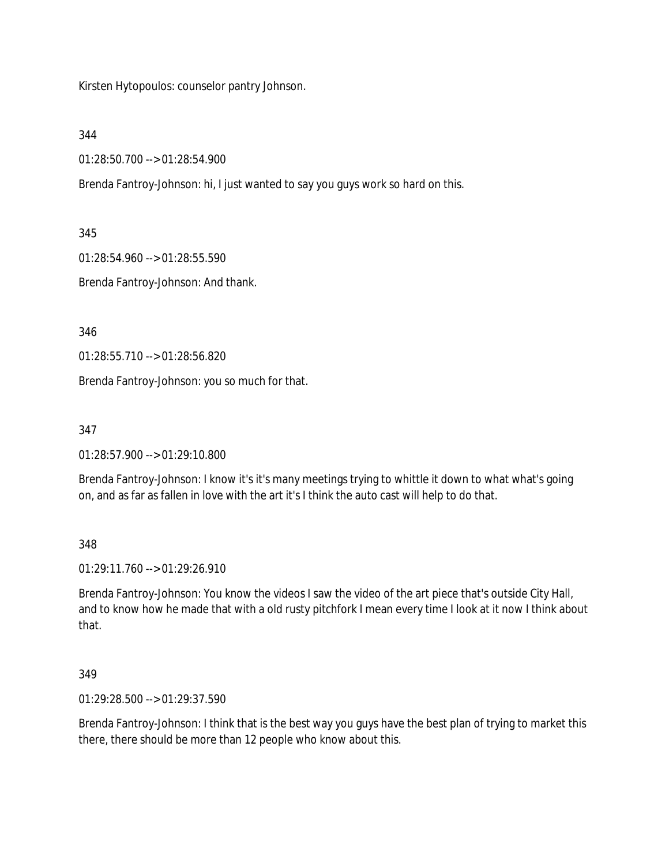Kirsten Hytopoulos: counselor pantry Johnson.

344

01:28:50.700 --> 01:28:54.900

Brenda Fantroy-Johnson: hi, I just wanted to say you guys work so hard on this.

345

01:28:54.960 --> 01:28:55.590

Brenda Fantroy-Johnson: And thank.

346

01:28:55.710 --> 01:28:56.820

Brenda Fantroy-Johnson: you so much for that.

347

01:28:57.900 --> 01:29:10.800

Brenda Fantroy-Johnson: I know it's it's many meetings trying to whittle it down to what what's going on, and as far as fallen in love with the art it's I think the auto cast will help to do that.

348

01:29:11.760 --> 01:29:26.910

Brenda Fantroy-Johnson: You know the videos I saw the video of the art piece that's outside City Hall, and to know how he made that with a old rusty pitchfork I mean every time I look at it now I think about that.

349

01:29:28.500 --> 01:29:37.590

Brenda Fantroy-Johnson: I think that is the best way you guys have the best plan of trying to market this there, there should be more than 12 people who know about this.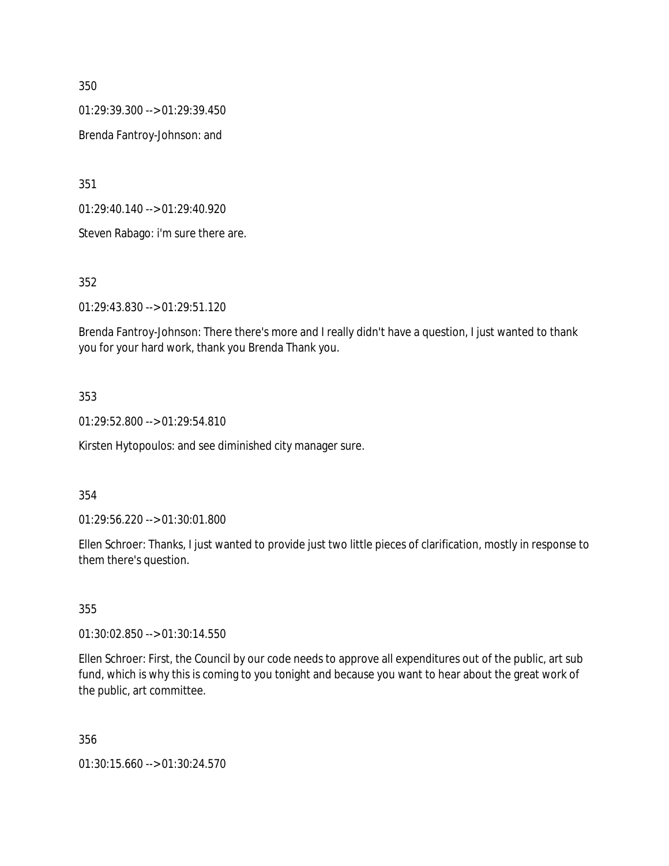350

01:29:39.300 --> 01:29:39.450

Brenda Fantroy-Johnson: and

351

01:29:40.140 --> 01:29:40.920

Steven Rabago: i'm sure there are.

352

01:29:43.830 --> 01:29:51.120

Brenda Fantroy-Johnson: There there's more and I really didn't have a question, I just wanted to thank you for your hard work, thank you Brenda Thank you.

## 353

01:29:52.800 --> 01:29:54.810

Kirsten Hytopoulos: and see diminished city manager sure.

### 354

01:29:56.220 --> 01:30:01.800

Ellen Schroer: Thanks, I just wanted to provide just two little pieces of clarification, mostly in response to them there's question.

### 355

01:30:02.850 --> 01:30:14.550

Ellen Schroer: First, the Council by our code needs to approve all expenditures out of the public, art sub fund, which is why this is coming to you tonight and because you want to hear about the great work of the public, art committee.

### 356

01:30:15.660 --> 01:30:24.570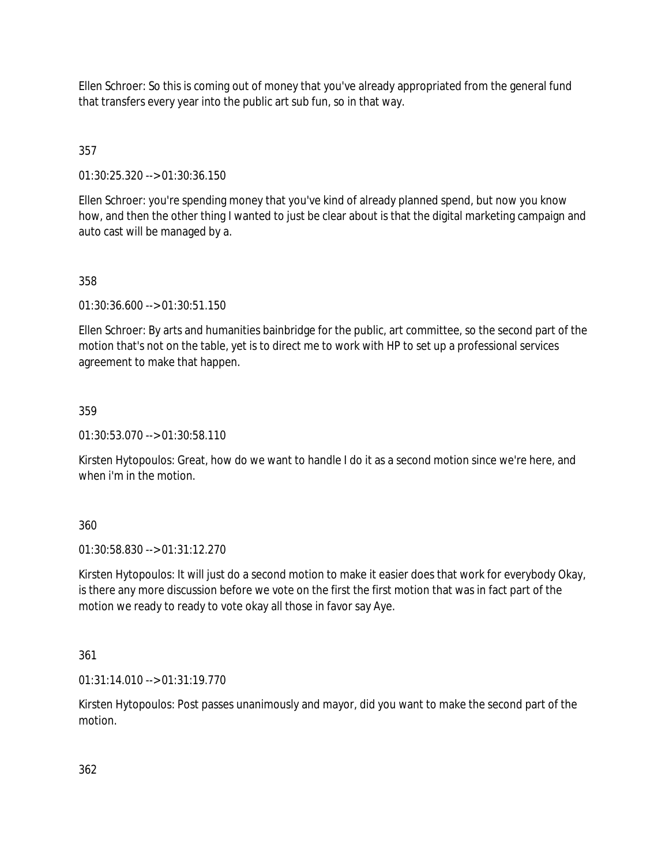Ellen Schroer: So this is coming out of money that you've already appropriated from the general fund that transfers every year into the public art sub fun, so in that way.

# 357

01:30:25.320 --> 01:30:36.150

Ellen Schroer: you're spending money that you've kind of already planned spend, but now you know how, and then the other thing I wanted to just be clear about is that the digital marketing campaign and auto cast will be managed by a.

## 358

01:30:36.600 --> 01:30:51.150

Ellen Schroer: By arts and humanities bainbridge for the public, art committee, so the second part of the motion that's not on the table, yet is to direct me to work with HP to set up a professional services agreement to make that happen.

## 359

01:30:53.070 --> 01:30:58.110

Kirsten Hytopoulos: Great, how do we want to handle I do it as a second motion since we're here, and when i'm in the motion.

### 360

01:30:58.830 --> 01:31:12.270

Kirsten Hytopoulos: It will just do a second motion to make it easier does that work for everybody Okay, is there any more discussion before we vote on the first the first motion that was in fact part of the motion we ready to ready to vote okay all those in favor say Aye.

### 361

01:31:14.010 --> 01:31:19.770

Kirsten Hytopoulos: Post passes unanimously and mayor, did you want to make the second part of the motion.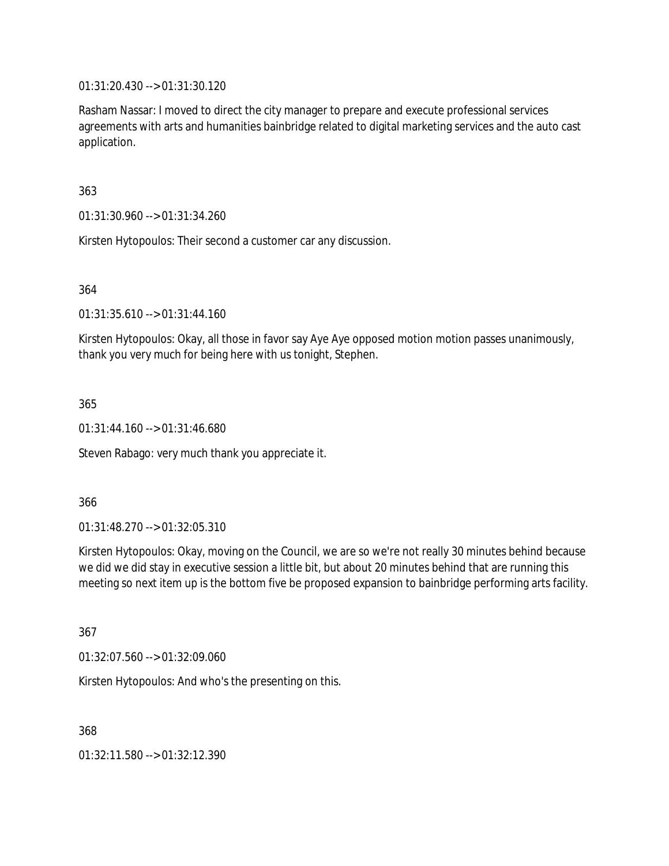01:31:20.430 --> 01:31:30.120

Rasham Nassar: I moved to direct the city manager to prepare and execute professional services agreements with arts and humanities bainbridge related to digital marketing services and the auto cast application.

363

01:31:30.960 --> 01:31:34.260

Kirsten Hytopoulos: Their second a customer car any discussion.

364

01:31:35.610 --> 01:31:44.160

Kirsten Hytopoulos: Okay, all those in favor say Aye Aye opposed motion motion passes unanimously, thank you very much for being here with us tonight, Stephen.

365

01:31:44.160 --> 01:31:46.680

Steven Rabago: very much thank you appreciate it.

366

01:31:48.270 --> 01:32:05.310

Kirsten Hytopoulos: Okay, moving on the Council, we are so we're not really 30 minutes behind because we did we did stay in executive session a little bit, but about 20 minutes behind that are running this meeting so next item up is the bottom five be proposed expansion to bainbridge performing arts facility.

367

01:32:07.560 --> 01:32:09.060

Kirsten Hytopoulos: And who's the presenting on this.

368

01:32:11.580 --> 01:32:12.390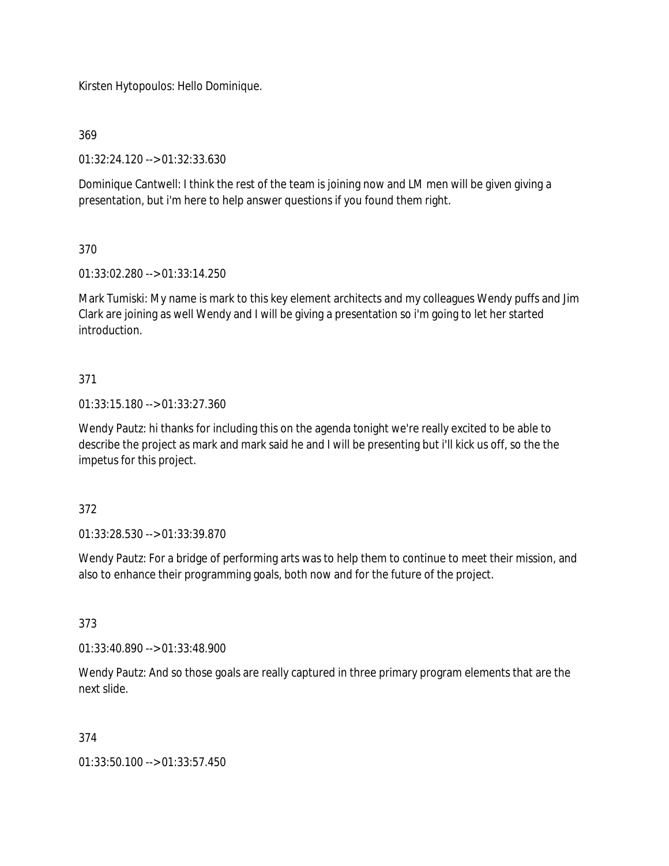Kirsten Hytopoulos: Hello Dominique.

369

01:32:24.120 --> 01:32:33.630

Dominique Cantwell: I think the rest of the team is joining now and LM men will be given giving a presentation, but i'm here to help answer questions if you found them right.

## 370

01:33:02.280 --> 01:33:14.250

Mark Tumiski: My name is mark to this key element architects and my colleagues Wendy puffs and Jim Clark are joining as well Wendy and I will be giving a presentation so i'm going to let her started introduction.

## 371

01:33:15.180 --> 01:33:27.360

Wendy Pautz: hi thanks for including this on the agenda tonight we're really excited to be able to describe the project as mark and mark said he and I will be presenting but i'll kick us off, so the the impetus for this project.

## 372

01:33:28.530 --> 01:33:39.870

Wendy Pautz: For a bridge of performing arts was to help them to continue to meet their mission, and also to enhance their programming goals, both now and for the future of the project.

## 373

01:33:40.890 --> 01:33:48.900

Wendy Pautz: And so those goals are really captured in three primary program elements that are the next slide.

## 374

01:33:50.100 --> 01:33:57.450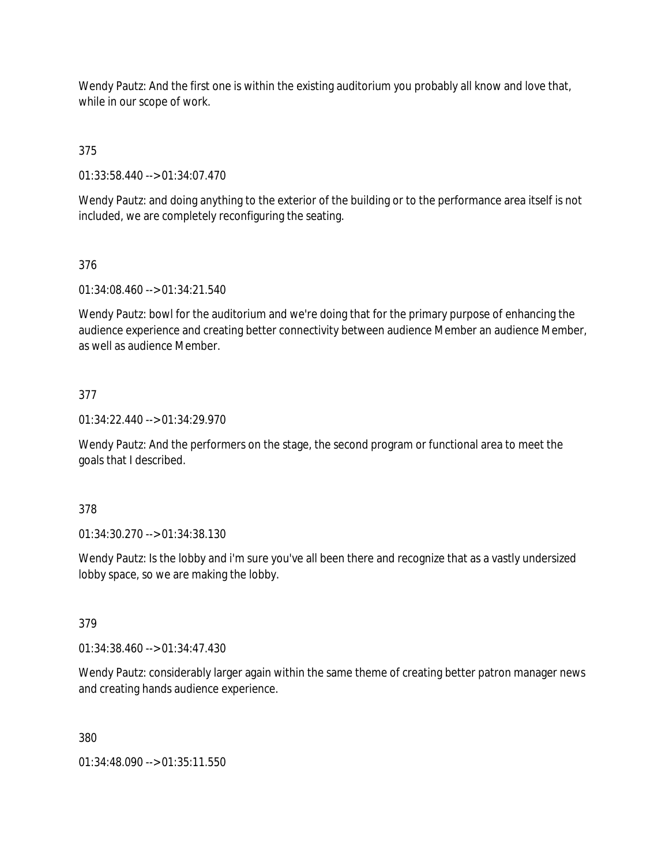Wendy Pautz: And the first one is within the existing auditorium you probably all know and love that, while in our scope of work.

375

01:33:58.440 --> 01:34:07.470

Wendy Pautz: and doing anything to the exterior of the building or to the performance area itself is not included, we are completely reconfiguring the seating.

## 376

01:34:08.460 --> 01:34:21.540

Wendy Pautz: bowl for the auditorium and we're doing that for the primary purpose of enhancing the audience experience and creating better connectivity between audience Member an audience Member, as well as audience Member.

## 377

01:34:22.440 --> 01:34:29.970

Wendy Pautz: And the performers on the stage, the second program or functional area to meet the goals that I described.

### 378

01:34:30.270 --> 01:34:38.130

Wendy Pautz: Is the lobby and i'm sure you've all been there and recognize that as a vastly undersized lobby space, so we are making the lobby.

### 379

01:34:38.460 --> 01:34:47.430

Wendy Pautz: considerably larger again within the same theme of creating better patron manager news and creating hands audience experience.

### 380

01:34:48.090 --> 01:35:11.550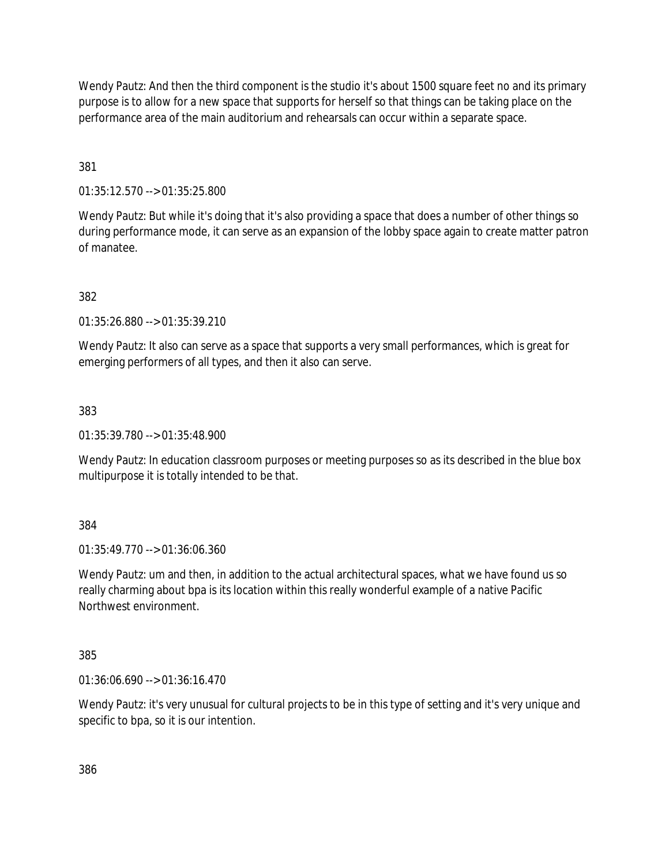Wendy Pautz: And then the third component is the studio it's about 1500 square feet no and its primary purpose is to allow for a new space that supports for herself so that things can be taking place on the performance area of the main auditorium and rehearsals can occur within a separate space.

381

01:35:12.570 --> 01:35:25.800

Wendy Pautz: But while it's doing that it's also providing a space that does a number of other things so during performance mode, it can serve as an expansion of the lobby space again to create matter patron of manatee.

382

01:35:26.880 --> 01:35:39.210

Wendy Pautz: It also can serve as a space that supports a very small performances, which is great for emerging performers of all types, and then it also can serve.

383

01:35:39.780 --> 01:35:48.900

Wendy Pautz: In education classroom purposes or meeting purposes so as its described in the blue box multipurpose it is totally intended to be that.

384

01:35:49.770 --> 01:36:06.360

Wendy Pautz: um and then, in addition to the actual architectural spaces, what we have found us so really charming about bpa is its location within this really wonderful example of a native Pacific Northwest environment.

385

01:36:06.690 --> 01:36:16.470

Wendy Pautz: it's very unusual for cultural projects to be in this type of setting and it's very unique and specific to bpa, so it is our intention.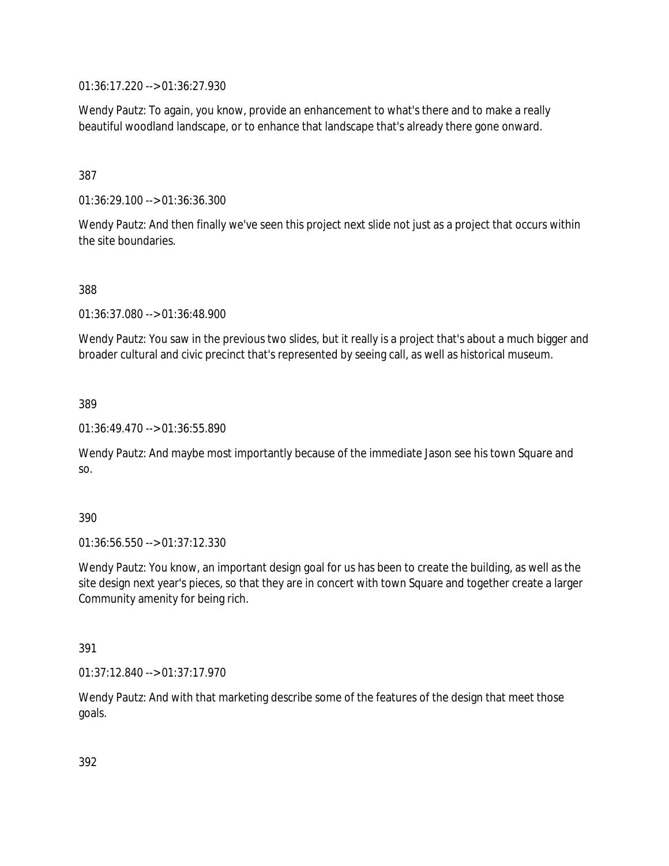01:36:17.220 --> 01:36:27.930

Wendy Pautz: To again, you know, provide an enhancement to what's there and to make a really beautiful woodland landscape, or to enhance that landscape that's already there gone onward.

387

01:36:29.100 --> 01:36:36.300

Wendy Pautz: And then finally we've seen this project next slide not just as a project that occurs within the site boundaries.

388

01:36:37.080 --> 01:36:48.900

Wendy Pautz: You saw in the previous two slides, but it really is a project that's about a much bigger and broader cultural and civic precinct that's represented by seeing call, as well as historical museum.

389

01:36:49.470 --> 01:36:55.890

Wendy Pautz: And maybe most importantly because of the immediate Jason see his town Square and so.

#### 390

01:36:56.550 --> 01:37:12.330

Wendy Pautz: You know, an important design goal for us has been to create the building, as well as the site design next year's pieces, so that they are in concert with town Square and together create a larger Community amenity for being rich.

391

01:37:12.840 --> 01:37:17.970

Wendy Pautz: And with that marketing describe some of the features of the design that meet those goals.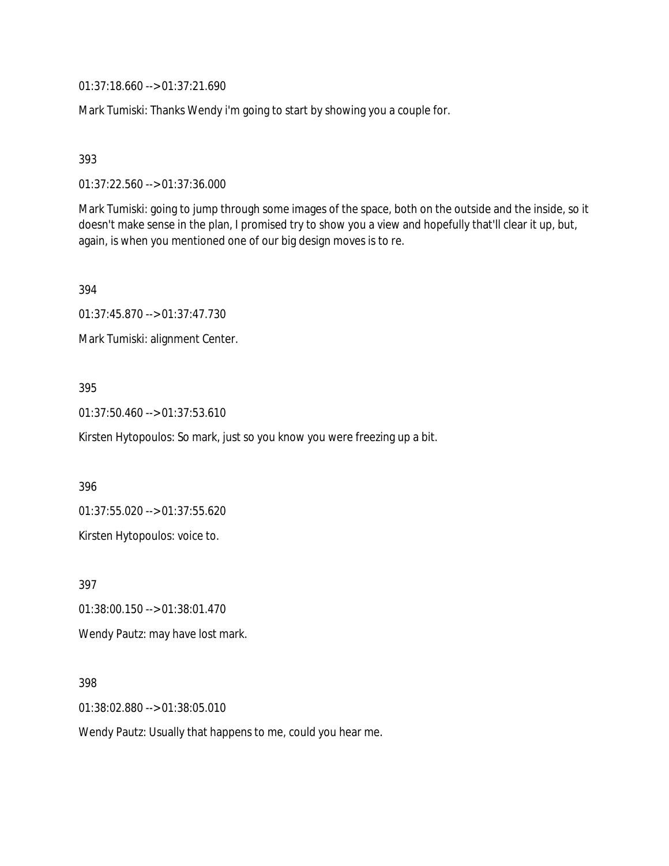01:37:18.660 --> 01:37:21.690

Mark Tumiski: Thanks Wendy i'm going to start by showing you a couple for.

393

01:37:22.560 --> 01:37:36.000

Mark Tumiski: going to jump through some images of the space, both on the outside and the inside, so it doesn't make sense in the plan, I promised try to show you a view and hopefully that'll clear it up, but, again, is when you mentioned one of our big design moves is to re.

394

01:37:45.870 --> 01:37:47.730

Mark Tumiski: alignment Center.

### 395

01:37:50.460 --> 01:37:53.610

Kirsten Hytopoulos: So mark, just so you know you were freezing up a bit.

396

01:37:55.020 --> 01:37:55.620

Kirsten Hytopoulos: voice to.

397

01:38:00.150 --> 01:38:01.470

Wendy Pautz: may have lost mark.

398

01:38:02.880 --> 01:38:05.010

Wendy Pautz: Usually that happens to me, could you hear me.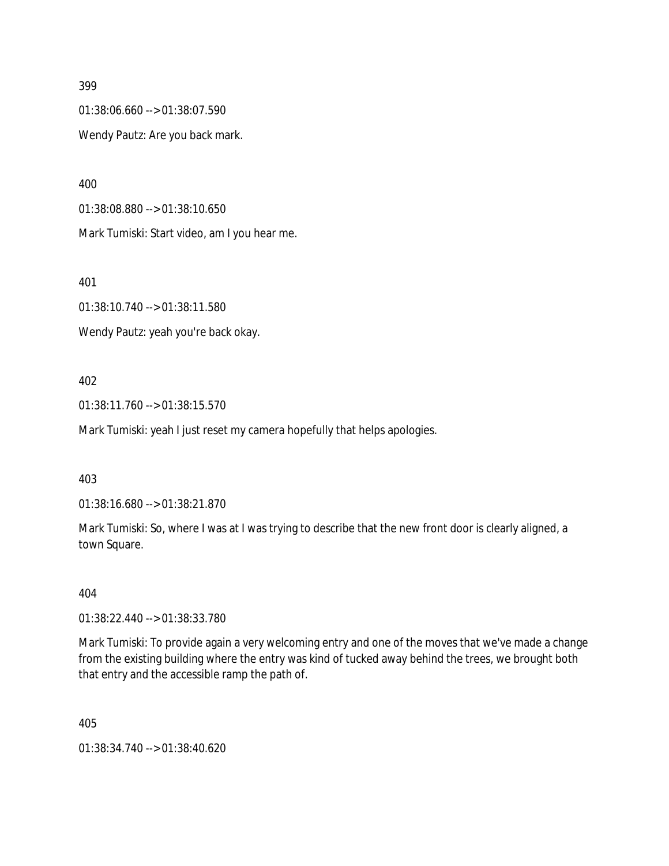#### 399

01:38:06.660 --> 01:38:07.590 Wendy Pautz: Are you back mark.

400

01:38:08.880 --> 01:38:10.650

Mark Tumiski: Start video, am I you hear me.

401

01:38:10.740 --> 01:38:11.580

Wendy Pautz: yeah you're back okay.

### 402

01:38:11.760 --> 01:38:15.570

Mark Tumiski: yeah I just reset my camera hopefully that helps apologies.

#### 403

01:38:16.680 --> 01:38:21.870

Mark Tumiski: So, where I was at I was trying to describe that the new front door is clearly aligned, a town Square.

404

01:38:22.440 --> 01:38:33.780

Mark Tumiski: To provide again a very welcoming entry and one of the moves that we've made a change from the existing building where the entry was kind of tucked away behind the trees, we brought both that entry and the accessible ramp the path of.

405

01:38:34.740 --> 01:38:40.620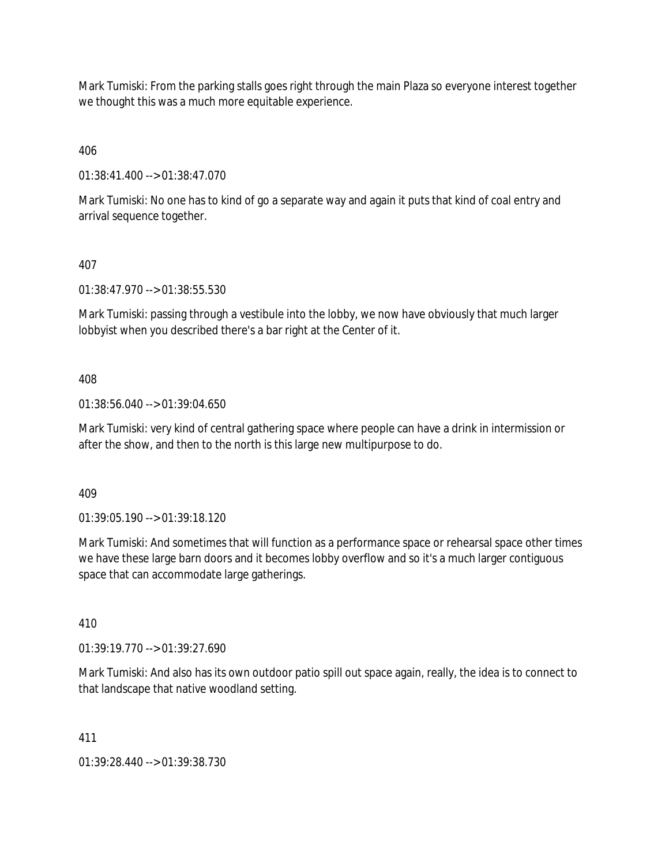Mark Tumiski: From the parking stalls goes right through the main Plaza so everyone interest together we thought this was a much more equitable experience.

406

01:38:41.400 --> 01:38:47.070

Mark Tumiski: No one has to kind of go a separate way and again it puts that kind of coal entry and arrival sequence together.

## 407

01:38:47.970 --> 01:38:55.530

Mark Tumiski: passing through a vestibule into the lobby, we now have obviously that much larger lobbyist when you described there's a bar right at the Center of it.

408

01:38:56.040 --> 01:39:04.650

Mark Tumiski: very kind of central gathering space where people can have a drink in intermission or after the show, and then to the north is this large new multipurpose to do.

409

01:39:05.190 --> 01:39:18.120

Mark Tumiski: And sometimes that will function as a performance space or rehearsal space other times we have these large barn doors and it becomes lobby overflow and so it's a much larger contiguous space that can accommodate large gatherings.

410

01:39:19.770 --> 01:39:27.690

Mark Tumiski: And also has its own outdoor patio spill out space again, really, the idea is to connect to that landscape that native woodland setting.

411

01:39:28.440 --> 01:39:38.730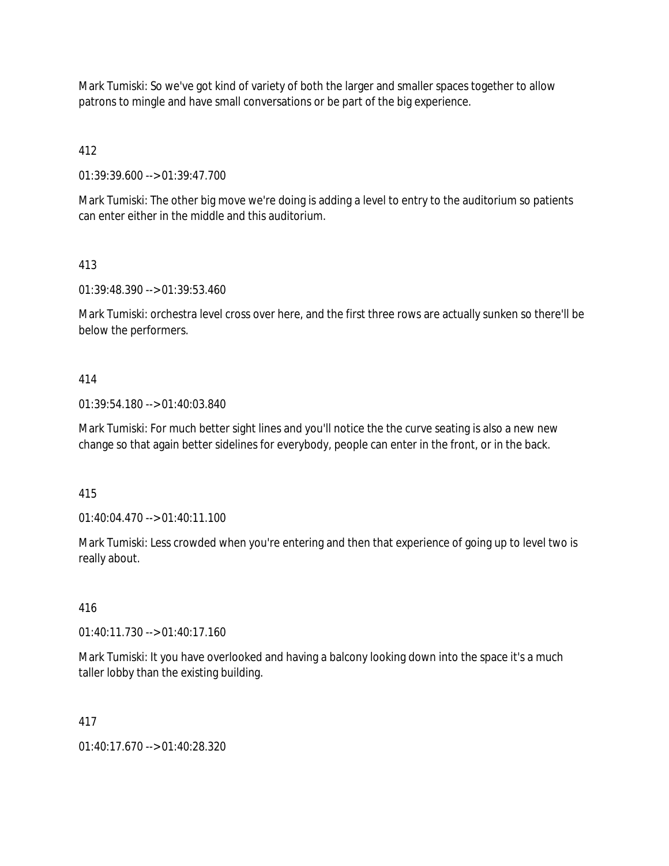Mark Tumiski: So we've got kind of variety of both the larger and smaller spaces together to allow patrons to mingle and have small conversations or be part of the big experience.

412

01:39:39.600 --> 01:39:47.700

Mark Tumiski: The other big move we're doing is adding a level to entry to the auditorium so patients can enter either in the middle and this auditorium.

413

01:39:48.390 --> 01:39:53.460

Mark Tumiski: orchestra level cross over here, and the first three rows are actually sunken so there'll be below the performers.

### 414

01:39:54.180 --> 01:40:03.840

Mark Tumiski: For much better sight lines and you'll notice the the curve seating is also a new new change so that again better sidelines for everybody, people can enter in the front, or in the back.

415

01:40:04.470 --> 01:40:11.100

Mark Tumiski: Less crowded when you're entering and then that experience of going up to level two is really about.

416

01:40:11.730 --> 01:40:17.160

Mark Tumiski: It you have overlooked and having a balcony looking down into the space it's a much taller lobby than the existing building.

417

01:40:17.670 --> 01:40:28.320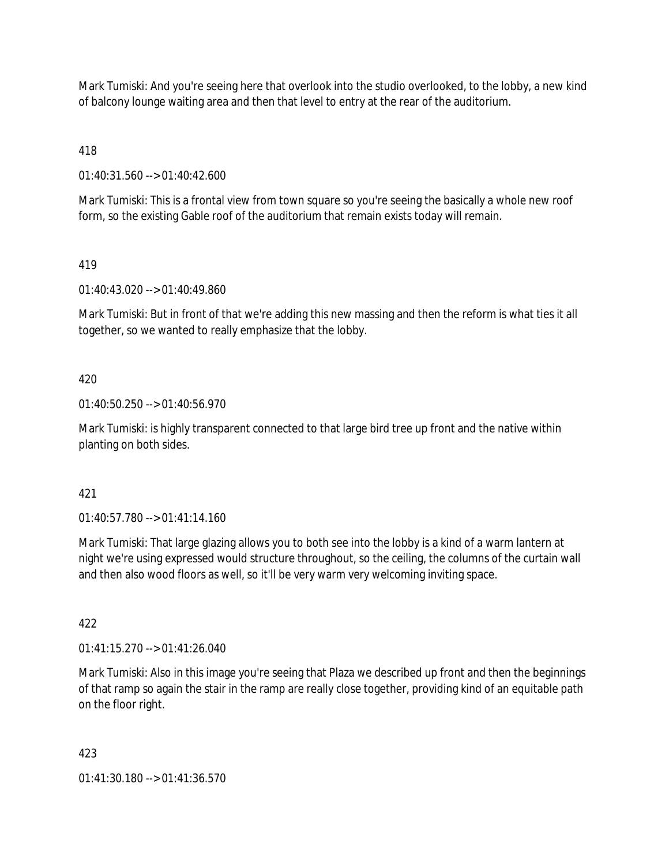Mark Tumiski: And you're seeing here that overlook into the studio overlooked, to the lobby, a new kind of balcony lounge waiting area and then that level to entry at the rear of the auditorium.

418

01:40:31.560 --> 01:40:42.600

Mark Tumiski: This is a frontal view from town square so you're seeing the basically a whole new roof form, so the existing Gable roof of the auditorium that remain exists today will remain.

## 419

01:40:43.020 --> 01:40:49.860

Mark Tumiski: But in front of that we're adding this new massing and then the reform is what ties it all together, so we wanted to really emphasize that the lobby.

# 420

01:40:50.250 --> 01:40:56.970

Mark Tumiski: is highly transparent connected to that large bird tree up front and the native within planting on both sides.

## 421

01:40:57.780 --> 01:41:14.160

Mark Tumiski: That large glazing allows you to both see into the lobby is a kind of a warm lantern at night we're using expressed would structure throughout, so the ceiling, the columns of the curtain wall and then also wood floors as well, so it'll be very warm very welcoming inviting space.

## 422

01:41:15.270 --> 01:41:26.040

Mark Tumiski: Also in this image you're seeing that Plaza we described up front and then the beginnings of that ramp so again the stair in the ramp are really close together, providing kind of an equitable path on the floor right.

## 423

01:41:30.180 --> 01:41:36.570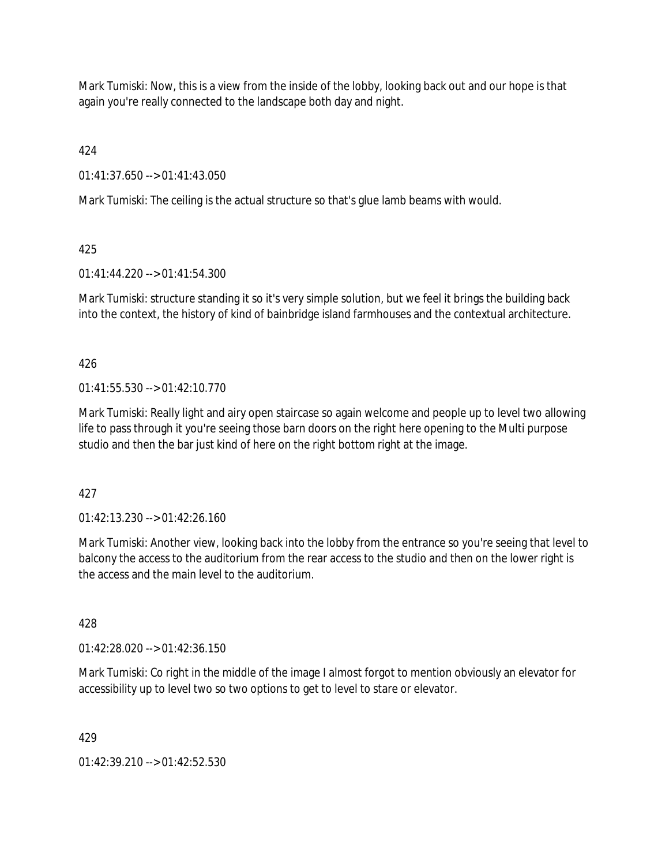Mark Tumiski: Now, this is a view from the inside of the lobby, looking back out and our hope is that again you're really connected to the landscape both day and night.

424

01:41:37.650 --> 01:41:43.050

Mark Tumiski: The ceiling is the actual structure so that's glue lamb beams with would.

425

01:41:44.220 --> 01:41:54.300

Mark Tumiski: structure standing it so it's very simple solution, but we feel it brings the building back into the context, the history of kind of bainbridge island farmhouses and the contextual architecture.

426

01:41:55.530 --> 01:42:10.770

Mark Tumiski: Really light and airy open staircase so again welcome and people up to level two allowing life to pass through it you're seeing those barn doors on the right here opening to the Multi purpose studio and then the bar just kind of here on the right bottom right at the image.

427

01:42:13.230 --> 01:42:26.160

Mark Tumiski: Another view, looking back into the lobby from the entrance so you're seeing that level to balcony the access to the auditorium from the rear access to the studio and then on the lower right is the access and the main level to the auditorium.

428

01:42:28.020 --> 01:42:36.150

Mark Tumiski: Co right in the middle of the image I almost forgot to mention obviously an elevator for accessibility up to level two so two options to get to level to stare or elevator.

429

01:42:39.210 --> 01:42:52.530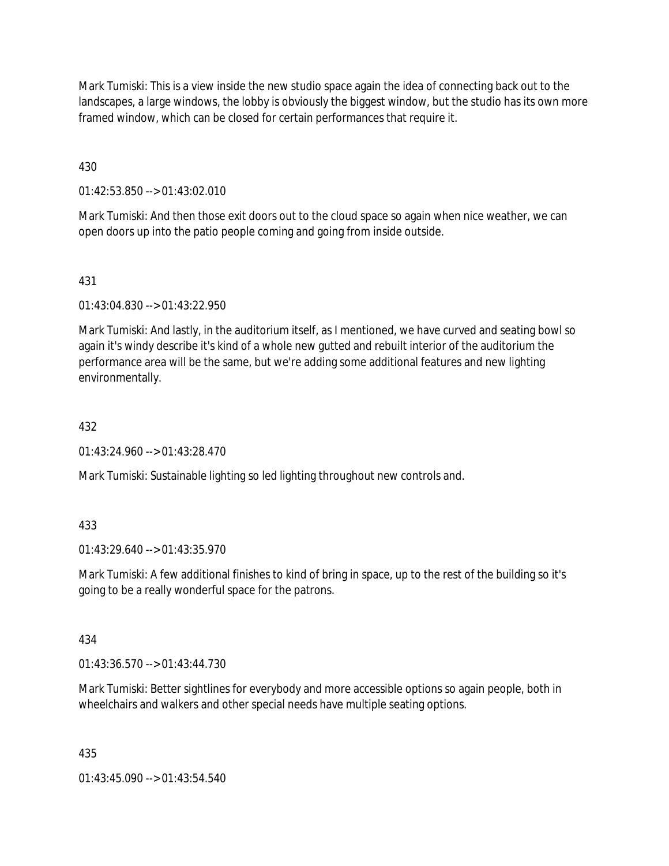Mark Tumiski: This is a view inside the new studio space again the idea of connecting back out to the landscapes, a large windows, the lobby is obviously the biggest window, but the studio has its own more framed window, which can be closed for certain performances that require it.

430

01:42:53.850 --> 01:43:02.010

Mark Tumiski: And then those exit doors out to the cloud space so again when nice weather, we can open doors up into the patio people coming and going from inside outside.

# 431

01:43:04.830 --> 01:43:22.950

Mark Tumiski: And lastly, in the auditorium itself, as I mentioned, we have curved and seating bowl so again it's windy describe it's kind of a whole new gutted and rebuilt interior of the auditorium the performance area will be the same, but we're adding some additional features and new lighting environmentally.

## 432

01:43:24.960 --> 01:43:28.470

Mark Tumiski: Sustainable lighting so led lighting throughout new controls and.

## 433

01:43:29.640 --> 01:43:35.970

Mark Tumiski: A few additional finishes to kind of bring in space, up to the rest of the building so it's going to be a really wonderful space for the patrons.

## 434

01:43:36.570 --> 01:43:44.730

Mark Tumiski: Better sightlines for everybody and more accessible options so again people, both in wheelchairs and walkers and other special needs have multiple seating options.

## 435

01:43:45.090 --> 01:43:54.540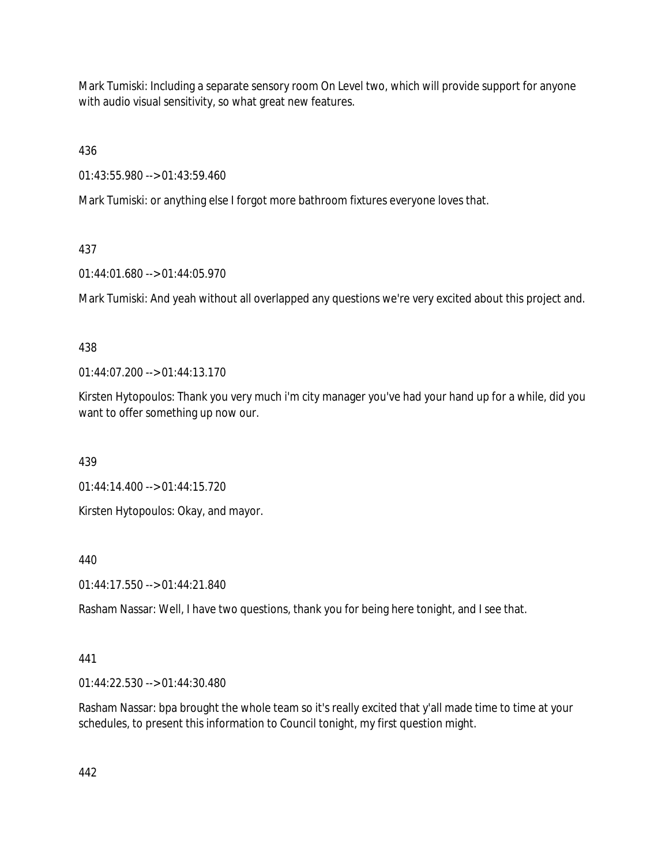Mark Tumiski: Including a separate sensory room On Level two, which will provide support for anyone with audio visual sensitivity, so what great new features.

436

01:43:55.980 --> 01:43:59.460

Mark Tumiski: or anything else I forgot more bathroom fixtures everyone loves that.

# 437

01:44:01.680 --> 01:44:05.970

Mark Tumiski: And yeah without all overlapped any questions we're very excited about this project and.

# 438

01:44:07.200 --> 01:44:13.170

Kirsten Hytopoulos: Thank you very much i'm city manager you've had your hand up for a while, did you want to offer something up now our.

439

01:44:14.400 --> 01:44:15.720

Kirsten Hytopoulos: Okay, and mayor.

440

01:44:17.550 --> 01:44:21.840

Rasham Nassar: Well, I have two questions, thank you for being here tonight, and I see that.

# 441

01:44:22.530 --> 01:44:30.480

Rasham Nassar: bpa brought the whole team so it's really excited that y'all made time to time at your schedules, to present this information to Council tonight, my first question might.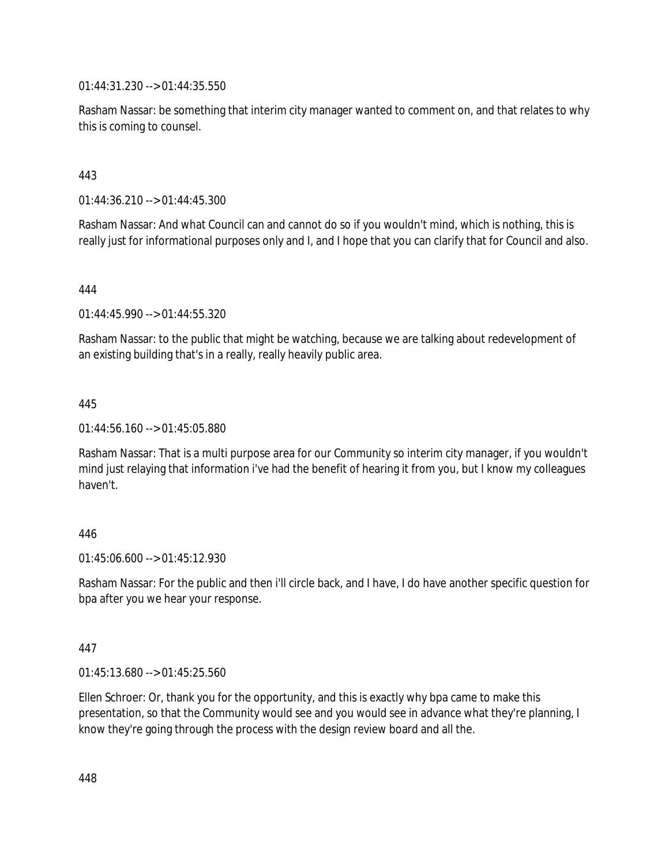01:44:31.230 --> 01:44:35.550

Rasham Nassar: be something that interim city manager wanted to comment on, and that relates to why this is coming to counsel.

443

01:44:36.210 --> 01:44:45.300

Rasham Nassar: And what Council can and cannot do so if you wouldn't mind, which is nothing, this is really just for informational purposes only and I, and I hope that you can clarify that for Council and also.

444

01:44:45.990 --> 01:44:55.320

Rasham Nassar: to the public that might be watching, because we are talking about redevelopment of an existing building that's in a really, really heavily public area.

445

01:44:56.160 --> 01:45:05.880

Rasham Nassar: That is a multi purpose area for our Community so interim city manager, if you wouldn't mind just relaying that information i've had the benefit of hearing it from you, but I know my colleagues haven't.

### 446

01:45:06.600 --> 01:45:12.930

Rasham Nassar: For the public and then i'll circle back, and I have, I do have another specific question for bpa after you we hear your response.

### 447

01:45:13.680 --> 01:45:25.560

Ellen Schroer: Or, thank you for the opportunity, and this is exactly why bpa came to make this presentation, so that the Community would see and you would see in advance what they're planning, I know they're going through the process with the design review board and all the.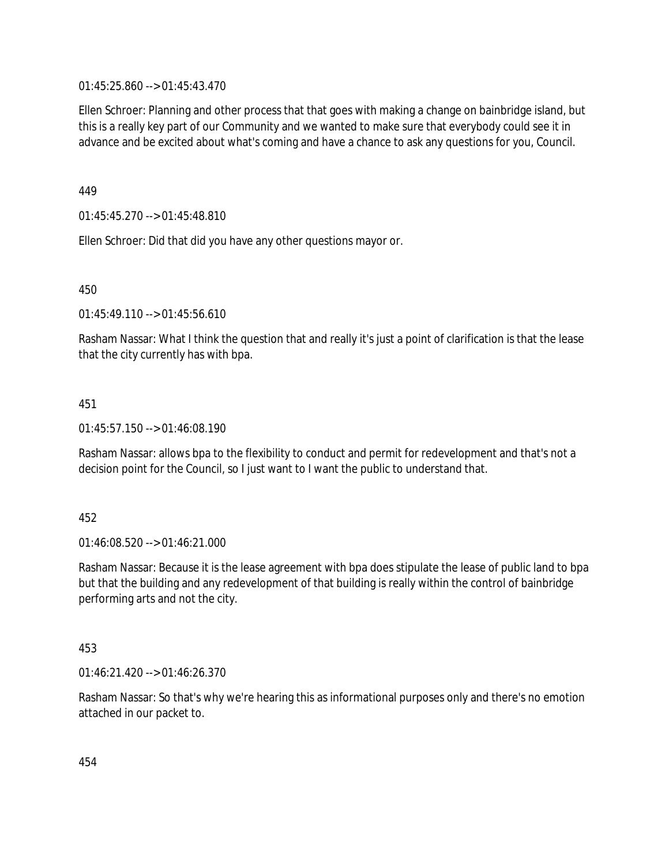01:45:25.860 --> 01:45:43.470

Ellen Schroer: Planning and other process that that goes with making a change on bainbridge island, but this is a really key part of our Community and we wanted to make sure that everybody could see it in advance and be excited about what's coming and have a chance to ask any questions for you, Council.

449

01:45:45.270 --> 01:45:48.810

Ellen Schroer: Did that did you have any other questions mayor or.

450

01:45:49.110 --> 01:45:56.610

Rasham Nassar: What I think the question that and really it's just a point of clarification is that the lease that the city currently has with bpa.

451

01:45:57.150 --> 01:46:08.190

Rasham Nassar: allows bpa to the flexibility to conduct and permit for redevelopment and that's not a decision point for the Council, so I just want to I want the public to understand that.

452

01:46:08.520 --> 01:46:21.000

Rasham Nassar: Because it is the lease agreement with bpa does stipulate the lease of public land to bpa but that the building and any redevelopment of that building is really within the control of bainbridge performing arts and not the city.

453

01:46:21.420 --> 01:46:26.370

Rasham Nassar: So that's why we're hearing this as informational purposes only and there's no emotion attached in our packet to.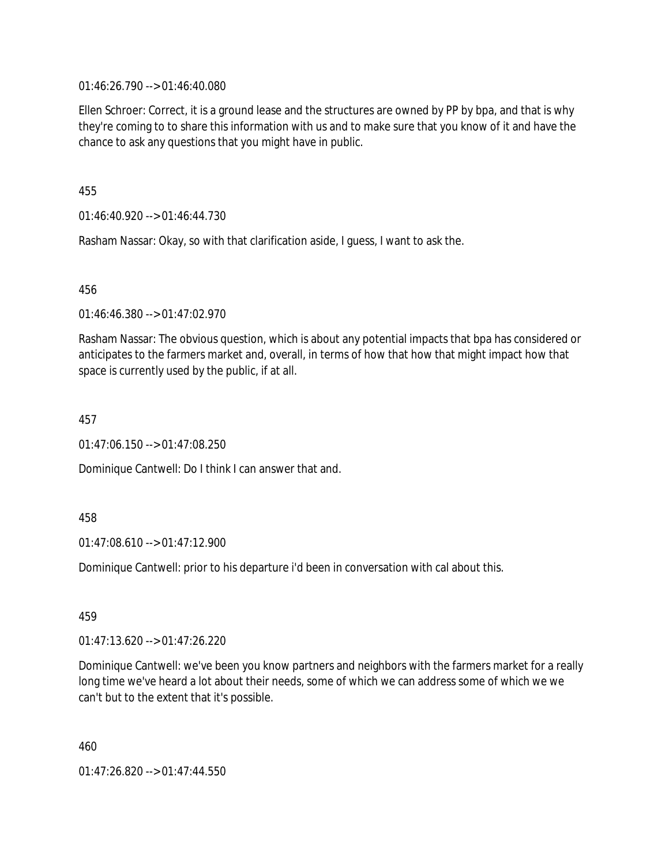01:46:26.790 --> 01:46:40.080

Ellen Schroer: Correct, it is a ground lease and the structures are owned by PP by bpa, and that is why they're coming to to share this information with us and to make sure that you know of it and have the chance to ask any questions that you might have in public.

455

01:46:40.920 --> 01:46:44.730

Rasham Nassar: Okay, so with that clarification aside, I guess, I want to ask the.

456

01:46:46.380 --> 01:47:02.970

Rasham Nassar: The obvious question, which is about any potential impacts that bpa has considered or anticipates to the farmers market and, overall, in terms of how that how that might impact how that space is currently used by the public, if at all.

457

01:47:06.150 --> 01:47:08.250

Dominique Cantwell: Do I think I can answer that and.

458

01:47:08.610 --> 01:47:12.900

Dominique Cantwell: prior to his departure i'd been in conversation with cal about this.

459

01:47:13.620 --> 01:47:26.220

Dominique Cantwell: we've been you know partners and neighbors with the farmers market for a really long time we've heard a lot about their needs, some of which we can address some of which we we can't but to the extent that it's possible.

460

01:47:26.820 --> 01:47:44.550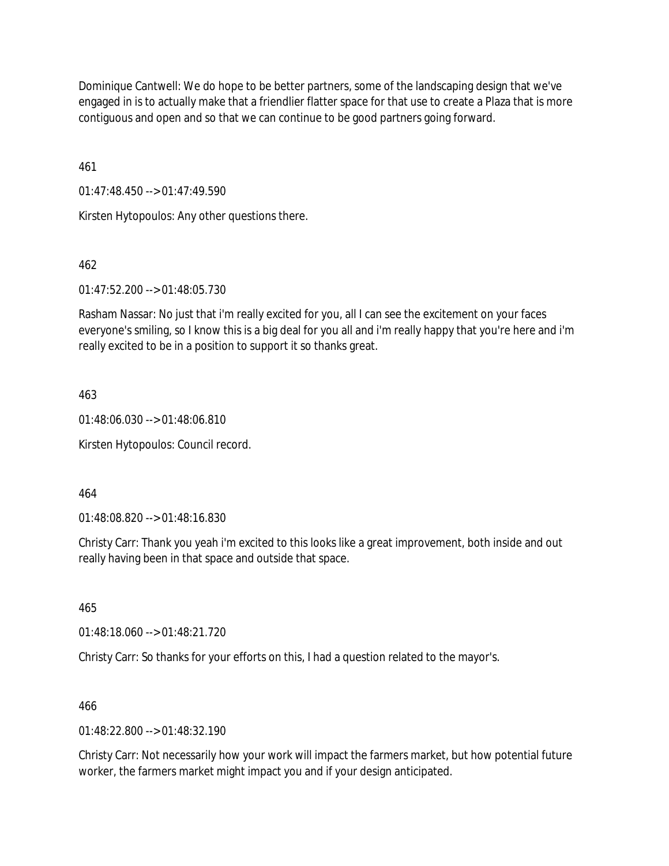Dominique Cantwell: We do hope to be better partners, some of the landscaping design that we've engaged in is to actually make that a friendlier flatter space for that use to create a Plaza that is more contiguous and open and so that we can continue to be good partners going forward.

461

01:47:48.450 --> 01:47:49.590

Kirsten Hytopoulos: Any other questions there.

462

01:47:52.200 --> 01:48:05.730

Rasham Nassar: No just that i'm really excited for you, all I can see the excitement on your faces everyone's smiling, so I know this is a big deal for you all and i'm really happy that you're here and i'm really excited to be in a position to support it so thanks great.

463

01:48:06.030 --> 01:48:06.810

Kirsten Hytopoulos: Council record.

464

01:48:08.820 --> 01:48:16.830

Christy Carr: Thank you yeah i'm excited to this looks like a great improvement, both inside and out really having been in that space and outside that space.

465

01:48:18.060 --> 01:48:21.720

Christy Carr: So thanks for your efforts on this, I had a question related to the mayor's.

466

 $01.48.22.800 -5.01.48.32.190$ 

Christy Carr: Not necessarily how your work will impact the farmers market, but how potential future worker, the farmers market might impact you and if your design anticipated.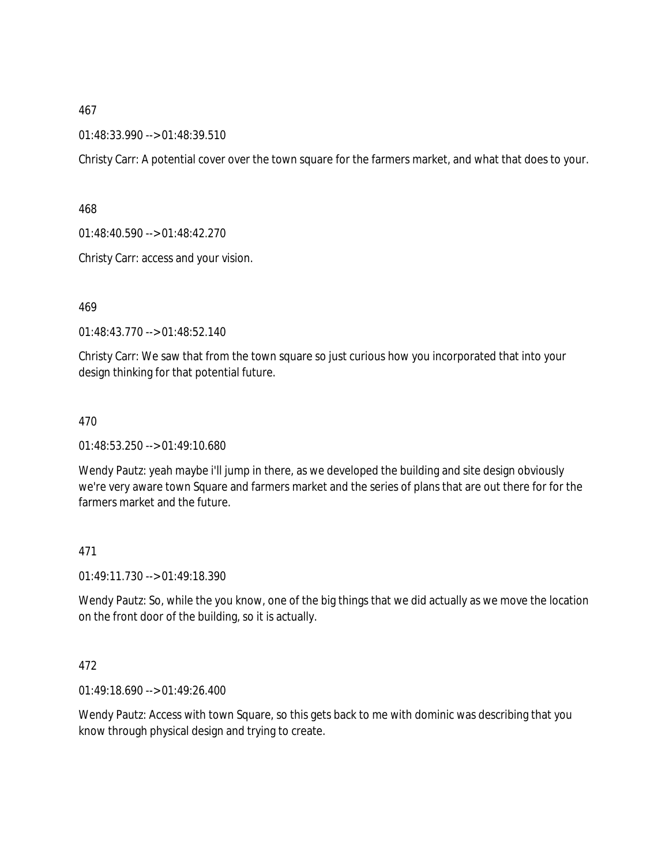01:48:33.990 --> 01:48:39.510

Christy Carr: A potential cover over the town square for the farmers market, and what that does to your.

468

01:48:40.590 --> 01:48:42.270

Christy Carr: access and your vision.

469

01:48:43.770 --> 01:48:52.140

Christy Carr: We saw that from the town square so just curious how you incorporated that into your design thinking for that potential future.

470

01:48:53.250 --> 01:49:10.680

Wendy Pautz: yeah maybe i'll jump in there, as we developed the building and site design obviously we're very aware town Square and farmers market and the series of plans that are out there for for the farmers market and the future.

471

01:49:11.730 --> 01:49:18.390

Wendy Pautz: So, while the you know, one of the big things that we did actually as we move the location on the front door of the building, so it is actually.

472

01:49:18.690 --> 01:49:26.400

Wendy Pautz: Access with town Square, so this gets back to me with dominic was describing that you know through physical design and trying to create.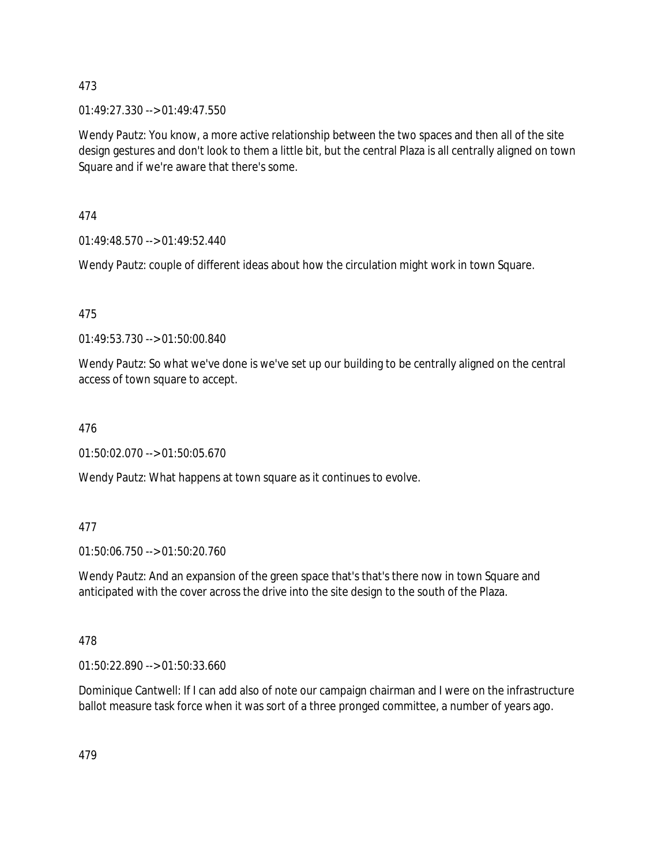01:49:27.330 --> 01:49:47.550

Wendy Pautz: You know, a more active relationship between the two spaces and then all of the site design gestures and don't look to them a little bit, but the central Plaza is all centrally aligned on town Square and if we're aware that there's some.

474

01:49:48.570 --> 01:49:52.440

Wendy Pautz: couple of different ideas about how the circulation might work in town Square.

475

01:49:53.730 --> 01:50:00.840

Wendy Pautz: So what we've done is we've set up our building to be centrally aligned on the central access of town square to accept.

476

01:50:02.070 --> 01:50:05.670

Wendy Pautz: What happens at town square as it continues to evolve.

## 477

01:50:06.750 --> 01:50:20.760

Wendy Pautz: And an expansion of the green space that's that's there now in town Square and anticipated with the cover across the drive into the site design to the south of the Plaza.

478

01:50:22.890 --> 01:50:33.660

Dominique Cantwell: If I can add also of note our campaign chairman and I were on the infrastructure ballot measure task force when it was sort of a three pronged committee, a number of years ago.

479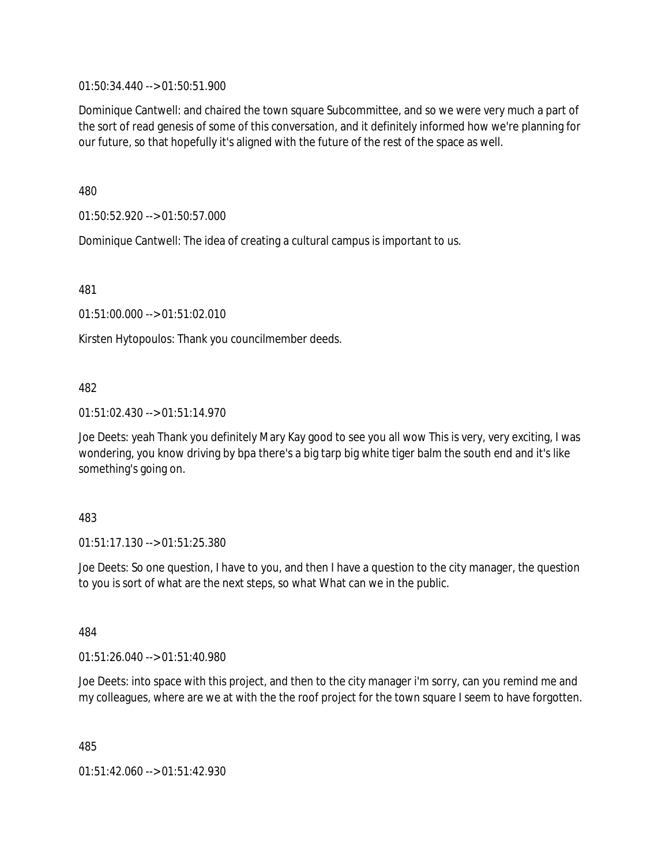01:50:34.440 --> 01:50:51.900

Dominique Cantwell: and chaired the town square Subcommittee, and so we were very much a part of the sort of read genesis of some of this conversation, and it definitely informed how we're planning for our future, so that hopefully it's aligned with the future of the rest of the space as well.

480

01:50:52.920 --> 01:50:57.000

Dominique Cantwell: The idea of creating a cultural campus is important to us.

481

01:51:00.000 --> 01:51:02.010

Kirsten Hytopoulos: Thank you councilmember deeds.

### 482

01:51:02.430 --> 01:51:14.970

Joe Deets: yeah Thank you definitely Mary Kay good to see you all wow This is very, very exciting, I was wondering, you know driving by bpa there's a big tarp big white tiger balm the south end and it's like something's going on.

### 483

01:51:17.130 --> 01:51:25.380

Joe Deets: So one question, I have to you, and then I have a question to the city manager, the question to you is sort of what are the next steps, so what What can we in the public.

484

01:51:26.040 --> 01:51:40.980

Joe Deets: into space with this project, and then to the city manager i'm sorry, can you remind me and my colleagues, where are we at with the the roof project for the town square I seem to have forgotten.

485

01:51:42.060 --> 01:51:42.930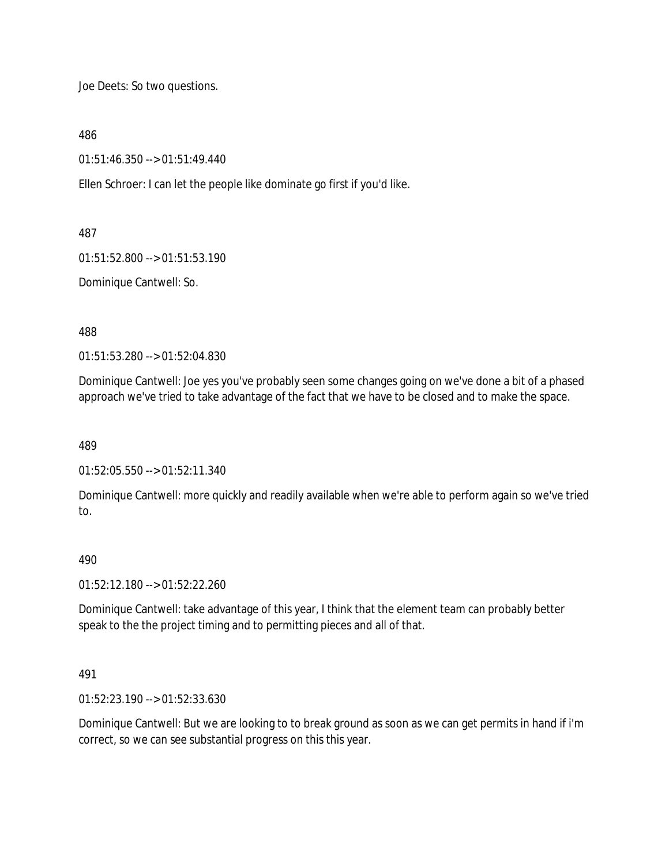Joe Deets: So two questions.

486

01:51:46.350 --> 01:51:49.440

Ellen Schroer: I can let the people like dominate go first if you'd like.

487

01:51:52.800 --> 01:51:53.190

Dominique Cantwell: So.

488

01:51:53.280 --> 01:52:04.830

Dominique Cantwell: Joe yes you've probably seen some changes going on we've done a bit of a phased approach we've tried to take advantage of the fact that we have to be closed and to make the space.

489

01:52:05.550 --> 01:52:11.340

Dominique Cantwell: more quickly and readily available when we're able to perform again so we've tried to.

### 490

01:52:12.180 --> 01:52:22.260

Dominique Cantwell: take advantage of this year, I think that the element team can probably better speak to the the project timing and to permitting pieces and all of that.

### 491

01:52:23.190 --> 01:52:33.630

Dominique Cantwell: But we are looking to to break ground as soon as we can get permits in hand if i'm correct, so we can see substantial progress on this this year.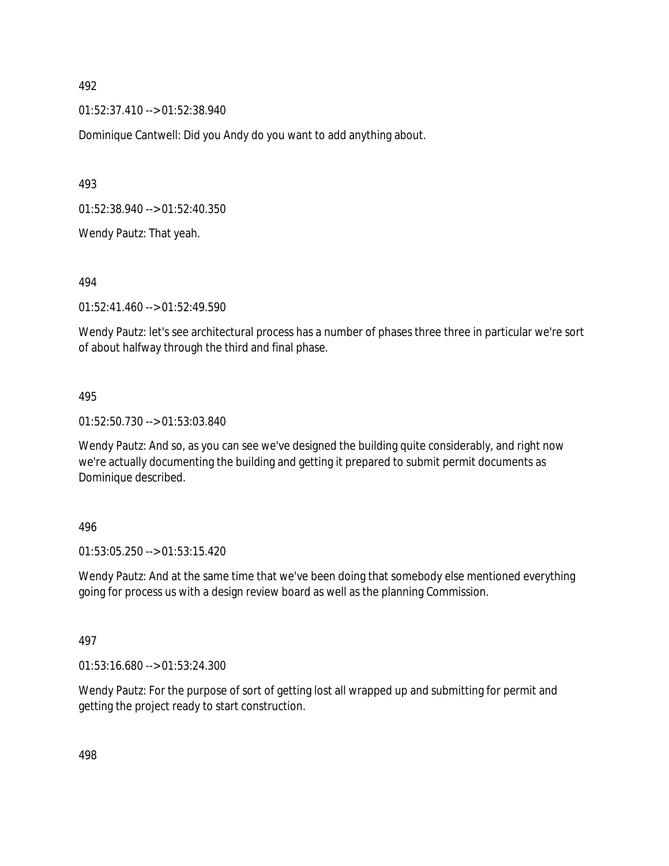01:52:37.410 --> 01:52:38.940

Dominique Cantwell: Did you Andy do you want to add anything about.

493

01:52:38.940 --> 01:52:40.350

Wendy Pautz: That yeah.

494

01:52:41.460 --> 01:52:49.590

Wendy Pautz: let's see architectural process has a number of phases three three in particular we're sort of about halfway through the third and final phase.

#### 495

01:52:50.730 --> 01:53:03.840

Wendy Pautz: And so, as you can see we've designed the building quite considerably, and right now we're actually documenting the building and getting it prepared to submit permit documents as Dominique described.

#### 496

01:53:05.250 --> 01:53:15.420

Wendy Pautz: And at the same time that we've been doing that somebody else mentioned everything going for process us with a design review board as well as the planning Commission.

### 497

01:53:16.680 --> 01:53:24.300

Wendy Pautz: For the purpose of sort of getting lost all wrapped up and submitting for permit and getting the project ready to start construction.

498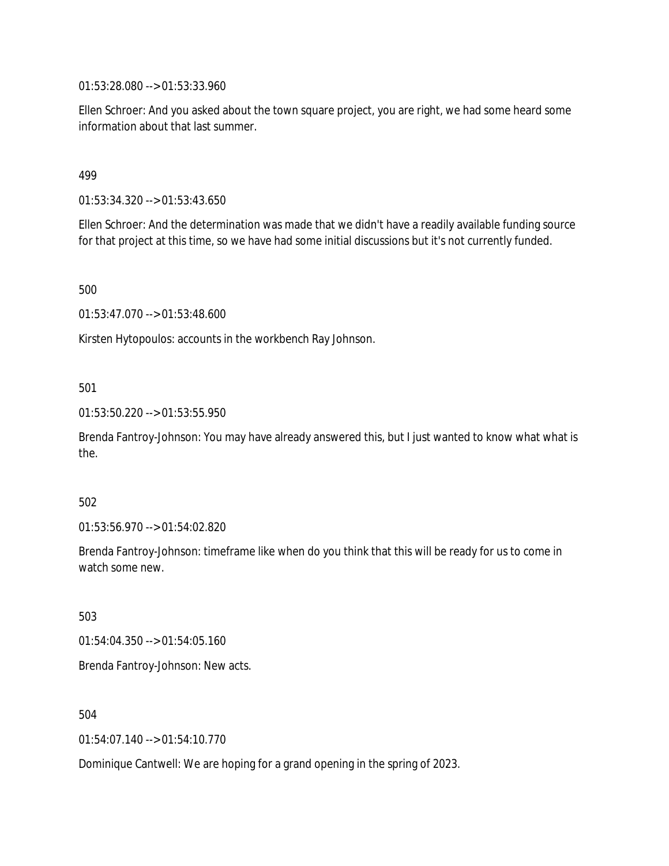01:53:28.080 --> 01:53:33.960

Ellen Schroer: And you asked about the town square project, you are right, we had some heard some information about that last summer.

### 499

01:53:34.320 --> 01:53:43.650

Ellen Schroer: And the determination was made that we didn't have a readily available funding source for that project at this time, so we have had some initial discussions but it's not currently funded.

500

01:53:47.070 --> 01:53:48.600

Kirsten Hytopoulos: accounts in the workbench Ray Johnson.

### 501

01:53:50.220 --> 01:53:55.950

Brenda Fantroy-Johnson: You may have already answered this, but I just wanted to know what what is the.

#### 502

01:53:56.970 --> 01:54:02.820

Brenda Fantroy-Johnson: timeframe like when do you think that this will be ready for us to come in watch some new.

503

01:54:04.350 --> 01:54:05.160

Brenda Fantroy-Johnson: New acts.

504

01:54:07.140 --> 01:54:10.770

Dominique Cantwell: We are hoping for a grand opening in the spring of 2023.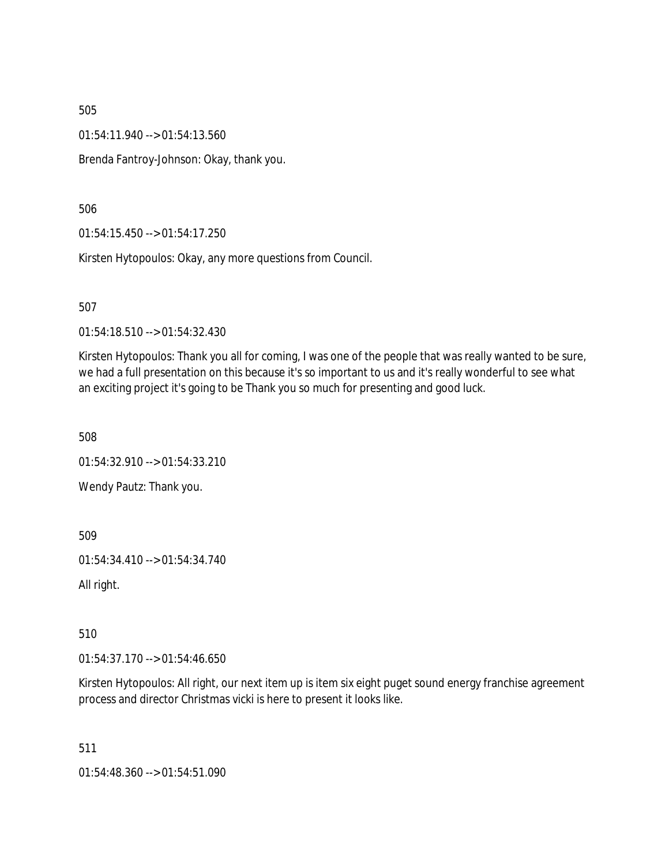01:54:11.940 --> 01:54:13.560

Brenda Fantroy-Johnson: Okay, thank you.

506

01:54:15.450 --> 01:54:17.250

Kirsten Hytopoulos: Okay, any more questions from Council.

507

01:54:18.510 --> 01:54:32.430

Kirsten Hytopoulos: Thank you all for coming, I was one of the people that was really wanted to be sure, we had a full presentation on this because it's so important to us and it's really wonderful to see what an exciting project it's going to be Thank you so much for presenting and good luck.

508

01:54:32.910 --> 01:54:33.210

Wendy Pautz: Thank you.

509

01:54:34.410 --> 01:54:34.740

All right.

510

01:54:37.170 --> 01:54:46.650

Kirsten Hytopoulos: All right, our next item up is item six eight puget sound energy franchise agreement process and director Christmas vicki is here to present it looks like.

511

01:54:48.360 --> 01:54:51.090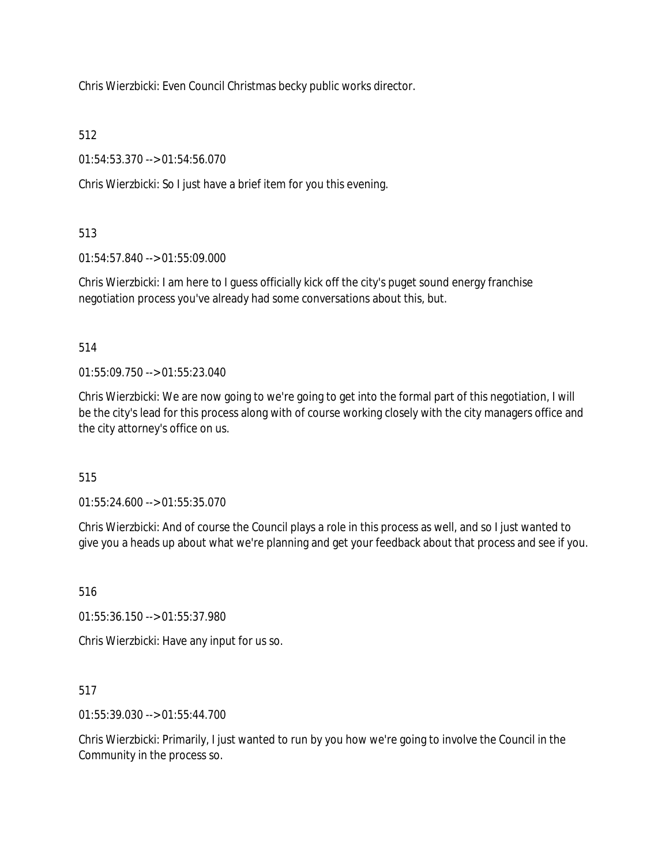Chris Wierzbicki: Even Council Christmas becky public works director.

512

01:54:53.370 --> 01:54:56.070

Chris Wierzbicki: So I just have a brief item for you this evening.

# 513

01:54:57.840 --> 01:55:09.000

Chris Wierzbicki: I am here to I guess officially kick off the city's puget sound energy franchise negotiation process you've already had some conversations about this, but.

514

01:55:09.750 --> 01:55:23.040

Chris Wierzbicki: We are now going to we're going to get into the formal part of this negotiation, I will be the city's lead for this process along with of course working closely with the city managers office and the city attorney's office on us.

515

01:55:24.600 --> 01:55:35.070

Chris Wierzbicki: And of course the Council plays a role in this process as well, and so I just wanted to give you a heads up about what we're planning and get your feedback about that process and see if you.

516

01:55:36.150 --> 01:55:37.980

Chris Wierzbicki: Have any input for us so.

517

01:55:39.030 --> 01:55:44.700

Chris Wierzbicki: Primarily, I just wanted to run by you how we're going to involve the Council in the Community in the process so.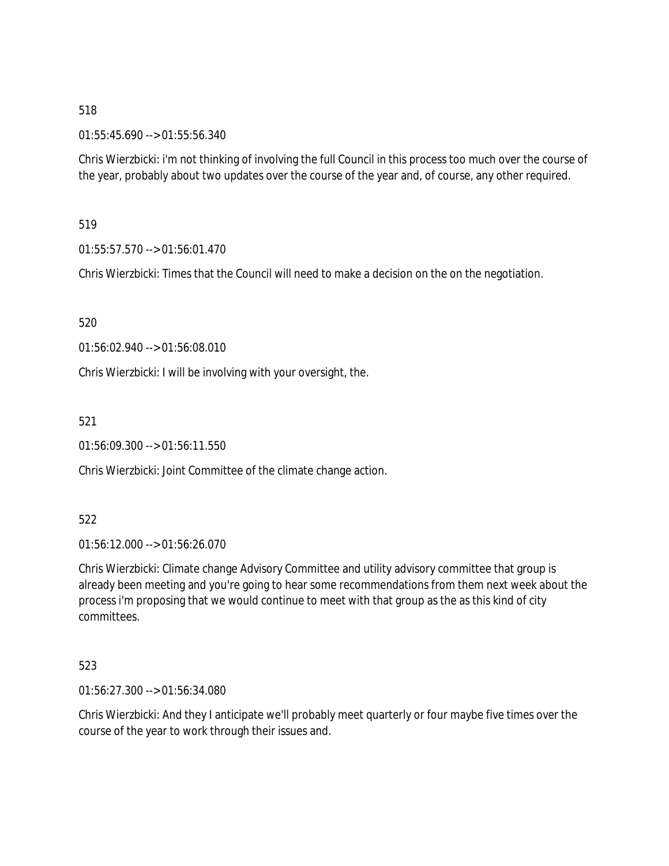01:55:45.690 --> 01:55:56.340

Chris Wierzbicki: i'm not thinking of involving the full Council in this process too much over the course of the year, probably about two updates over the course of the year and, of course, any other required.

519

01:55:57.570 --> 01:56:01.470

Chris Wierzbicki: Times that the Council will need to make a decision on the on the negotiation.

520

01:56:02.940 --> 01:56:08.010

Chris Wierzbicki: I will be involving with your oversight, the.

521

01:56:09.300 --> 01:56:11.550

Chris Wierzbicki: Joint Committee of the climate change action.

522

01:56:12.000 --> 01:56:26.070

Chris Wierzbicki: Climate change Advisory Committee and utility advisory committee that group is already been meeting and you're going to hear some recommendations from them next week about the process i'm proposing that we would continue to meet with that group as the as this kind of city committees.

523

01:56:27.300 --> 01:56:34.080

Chris Wierzbicki: And they I anticipate we'll probably meet quarterly or four maybe five times over the course of the year to work through their issues and.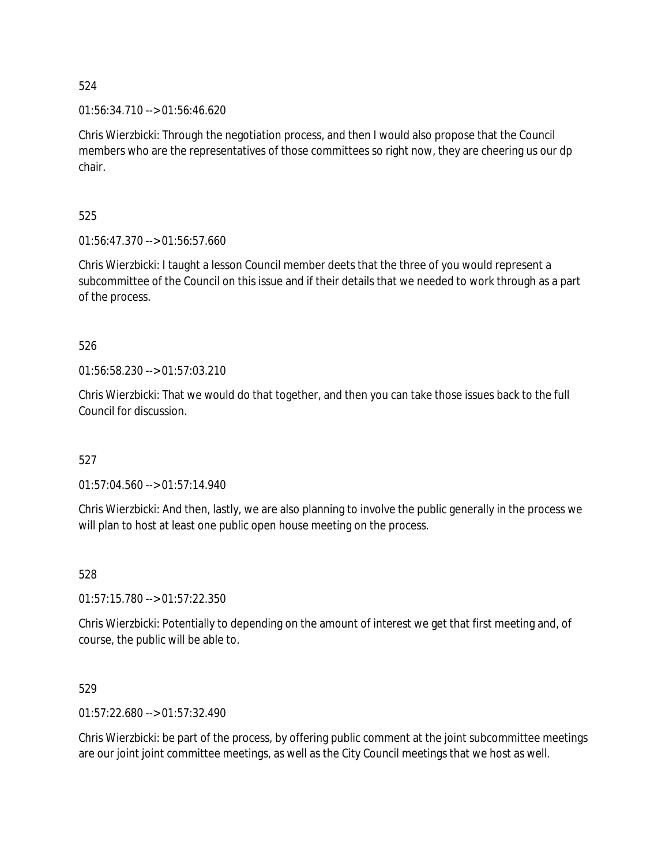01:56:34.710 --> 01:56:46.620

Chris Wierzbicki: Through the negotiation process, and then I would also propose that the Council members who are the representatives of those committees so right now, they are cheering us our dp chair.

525

01:56:47.370 --> 01:56:57.660

Chris Wierzbicki: I taught a lesson Council member deets that the three of you would represent a subcommittee of the Council on this issue and if their details that we needed to work through as a part of the process.

526

01:56:58.230 --> 01:57:03.210

Chris Wierzbicki: That we would do that together, and then you can take those issues back to the full Council for discussion.

527

01:57:04.560 --> 01:57:14.940

Chris Wierzbicki: And then, lastly, we are also planning to involve the public generally in the process we will plan to host at least one public open house meeting on the process.

528

01:57:15.780 --> 01:57:22.350

Chris Wierzbicki: Potentially to depending on the amount of interest we get that first meeting and, of course, the public will be able to.

529

01:57:22.680 --> 01:57:32.490

Chris Wierzbicki: be part of the process, by offering public comment at the joint subcommittee meetings are our joint joint committee meetings, as well as the City Council meetings that we host as well.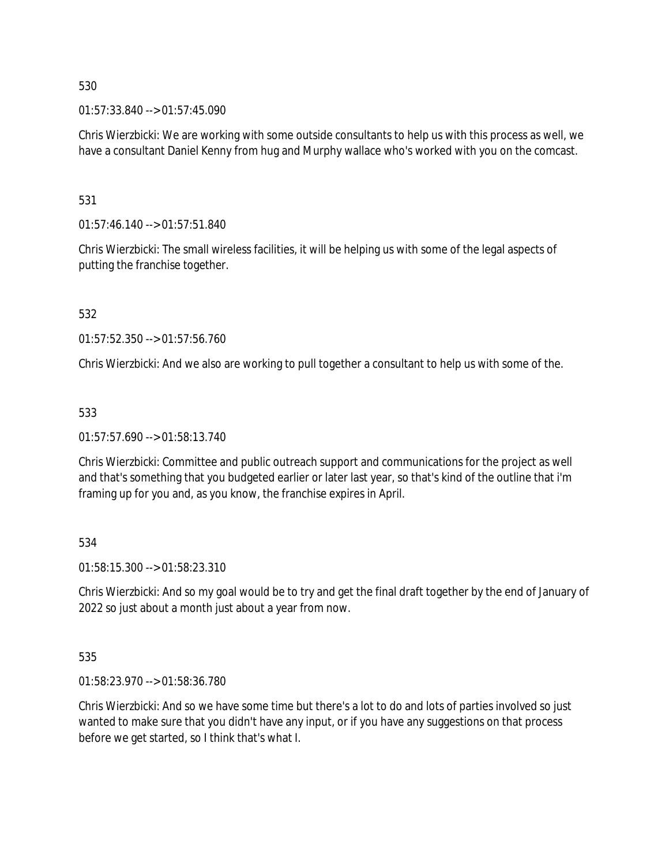01:57:33.840 --> 01:57:45.090

Chris Wierzbicki: We are working with some outside consultants to help us with this process as well, we have a consultant Daniel Kenny from hug and Murphy wallace who's worked with you on the comcast.

531

01:57:46.140 --> 01:57:51.840

Chris Wierzbicki: The small wireless facilities, it will be helping us with some of the legal aspects of putting the franchise together.

532

01:57:52.350 --> 01:57:56.760

Chris Wierzbicki: And we also are working to pull together a consultant to help us with some of the.

533

01:57:57.690 --> 01:58:13.740

Chris Wierzbicki: Committee and public outreach support and communications for the project as well and that's something that you budgeted earlier or later last year, so that's kind of the outline that i'm framing up for you and, as you know, the franchise expires in April.

534

01:58:15.300 --> 01:58:23.310

Chris Wierzbicki: And so my goal would be to try and get the final draft together by the end of January of 2022 so just about a month just about a year from now.

535

01:58:23.970 --> 01:58:36.780

Chris Wierzbicki: And so we have some time but there's a lot to do and lots of parties involved so just wanted to make sure that you didn't have any input, or if you have any suggestions on that process before we get started, so I think that's what I.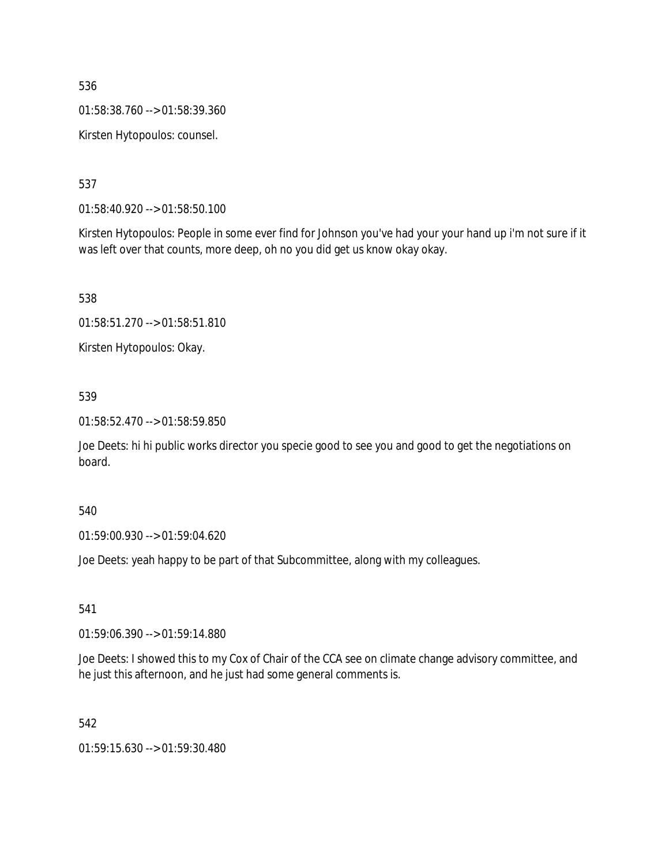01:58:38.760 --> 01:58:39.360

Kirsten Hytopoulos: counsel.

537

01:58:40.920 --> 01:58:50.100

Kirsten Hytopoulos: People in some ever find for Johnson you've had your your hand up i'm not sure if it was left over that counts, more deep, oh no you did get us know okay okay.

538

01:58:51.270 --> 01:58:51.810

Kirsten Hytopoulos: Okay.

### 539

01:58:52.470 --> 01:58:59.850

Joe Deets: hi hi public works director you specie good to see you and good to get the negotiations on board.

540

01:59:00.930 --> 01:59:04.620

Joe Deets: yeah happy to be part of that Subcommittee, along with my colleagues.

541

01:59:06.390 --> 01:59:14.880

Joe Deets: I showed this to my Cox of Chair of the CCA see on climate change advisory committee, and he just this afternoon, and he just had some general comments is.

542

01:59:15.630 --> 01:59:30.480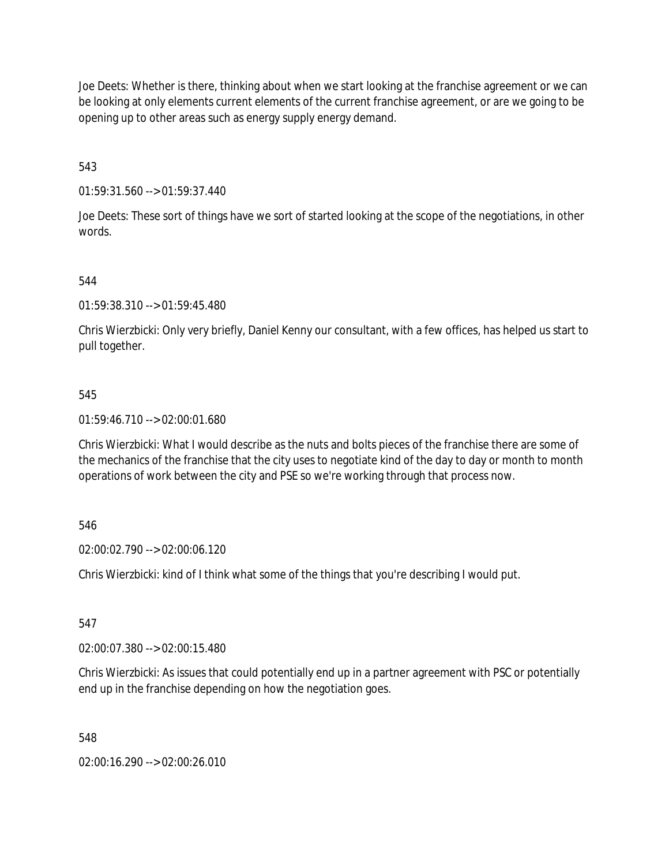Joe Deets: Whether is there, thinking about when we start looking at the franchise agreement or we can be looking at only elements current elements of the current franchise agreement, or are we going to be opening up to other areas such as energy supply energy demand.

543

01:59:31.560 --> 01:59:37.440

Joe Deets: These sort of things have we sort of started looking at the scope of the negotiations, in other words.

544

01:59:38.310 --> 01:59:45.480

Chris Wierzbicki: Only very briefly, Daniel Kenny our consultant, with a few offices, has helped us start to pull together.

### 545

01:59:46.710 --> 02:00:01.680

Chris Wierzbicki: What I would describe as the nuts and bolts pieces of the franchise there are some of the mechanics of the franchise that the city uses to negotiate kind of the day to day or month to month operations of work between the city and PSE so we're working through that process now.

546

02:00:02.790 --> 02:00:06.120

Chris Wierzbicki: kind of I think what some of the things that you're describing I would put.

547

02:00:07.380 --> 02:00:15.480

Chris Wierzbicki: As issues that could potentially end up in a partner agreement with PSC or potentially end up in the franchise depending on how the negotiation goes.

548

02:00:16.290 --> 02:00:26.010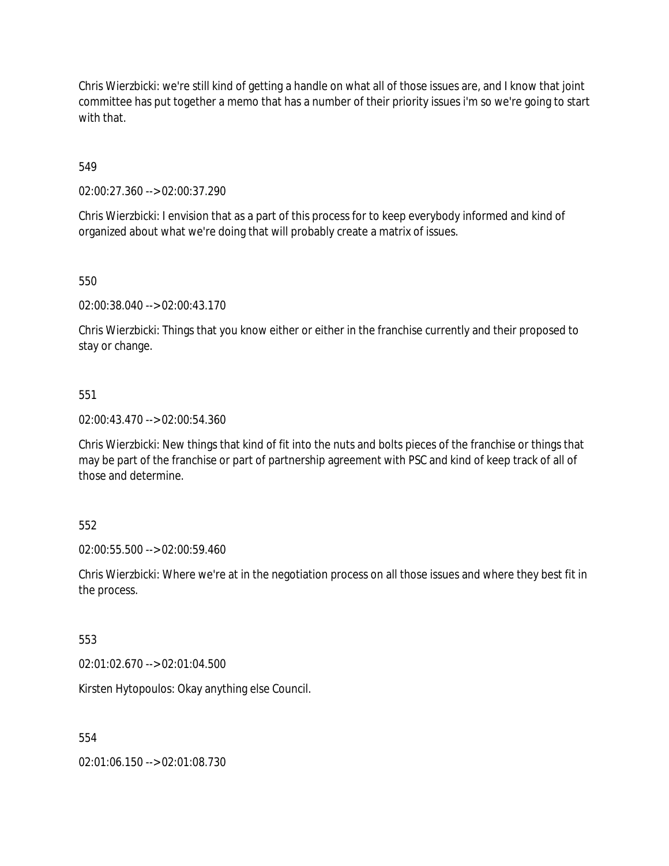Chris Wierzbicki: we're still kind of getting a handle on what all of those issues are, and I know that joint committee has put together a memo that has a number of their priority issues i'm so we're going to start with that.

549

02:00:27.360 --> 02:00:37.290

Chris Wierzbicki: I envision that as a part of this process for to keep everybody informed and kind of organized about what we're doing that will probably create a matrix of issues.

550

02:00:38.040 --> 02:00:43.170

Chris Wierzbicki: Things that you know either or either in the franchise currently and their proposed to stay or change.

551

02:00:43.470 --> 02:00:54.360

Chris Wierzbicki: New things that kind of fit into the nuts and bolts pieces of the franchise or things that may be part of the franchise or part of partnership agreement with PSC and kind of keep track of all of those and determine.

552

02:00:55.500 --> 02:00:59.460

Chris Wierzbicki: Where we're at in the negotiation process on all those issues and where they best fit in the process.

553

02:01:02.670 --> 02:01:04.500

Kirsten Hytopoulos: Okay anything else Council.

554

02:01:06.150 --> 02:01:08.730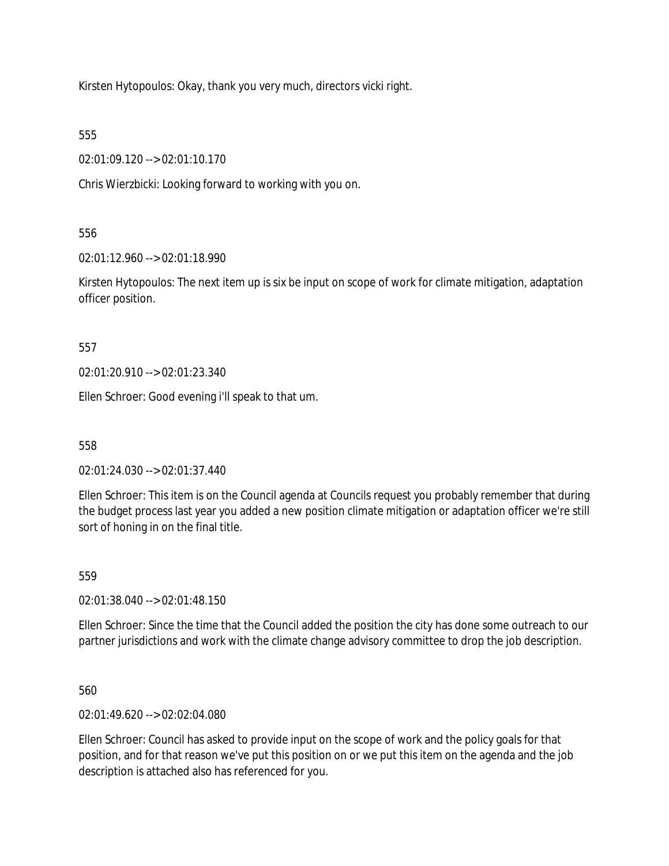Kirsten Hytopoulos: Okay, thank you very much, directors vicki right.

555

02:01:09.120 --> 02:01:10.170

Chris Wierzbicki: Looking forward to working with you on.

556

02:01:12.960 --> 02:01:18.990

Kirsten Hytopoulos: The next item up is six be input on scope of work for climate mitigation, adaptation officer position.

557

02:01:20.910 --> 02:01:23.340

Ellen Schroer: Good evening i'll speak to that um.

558

02:01:24.030 --> 02:01:37.440

Ellen Schroer: This item is on the Council agenda at Councils request you probably remember that during the budget process last year you added a new position climate mitigation or adaptation officer we're still sort of honing in on the final title.

559

02:01:38.040 --> 02:01:48.150

Ellen Schroer: Since the time that the Council added the position the city has done some outreach to our partner jurisdictions and work with the climate change advisory committee to drop the job description.

560

02:01:49.620 --> 02:02:04.080

Ellen Schroer: Council has asked to provide input on the scope of work and the policy goals for that position, and for that reason we've put this position on or we put this item on the agenda and the job description is attached also has referenced for you.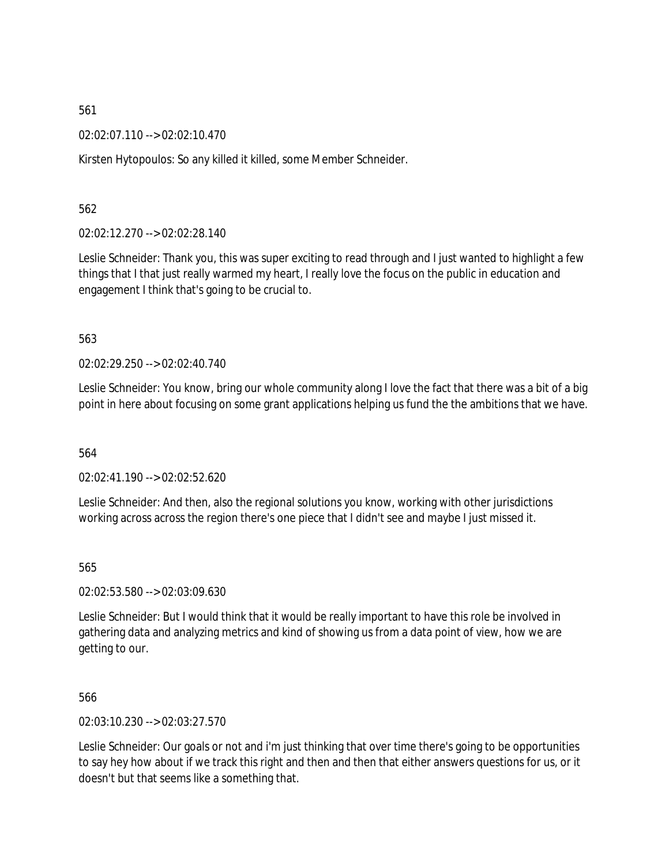02:02:07.110 --> 02:02:10.470

Kirsten Hytopoulos: So any killed it killed, some Member Schneider.

562

02:02:12.270 --> 02:02:28.140

Leslie Schneider: Thank you, this was super exciting to read through and I just wanted to highlight a few things that I that just really warmed my heart, I really love the focus on the public in education and engagement I think that's going to be crucial to.

563

02:02:29.250 --> 02:02:40.740

Leslie Schneider: You know, bring our whole community along I love the fact that there was a bit of a big point in here about focusing on some grant applications helping us fund the the ambitions that we have.

564

02:02:41.190 --> 02:02:52.620

Leslie Schneider: And then, also the regional solutions you know, working with other jurisdictions working across across the region there's one piece that I didn't see and maybe I just missed it.

565

02:02:53.580 --> 02:03:09.630

Leslie Schneider: But I would think that it would be really important to have this role be involved in gathering data and analyzing metrics and kind of showing us from a data point of view, how we are getting to our.

566

02:03:10.230 --> 02:03:27.570

Leslie Schneider: Our goals or not and i'm just thinking that over time there's going to be opportunities to say hey how about if we track this right and then and then that either answers questions for us, or it doesn't but that seems like a something that.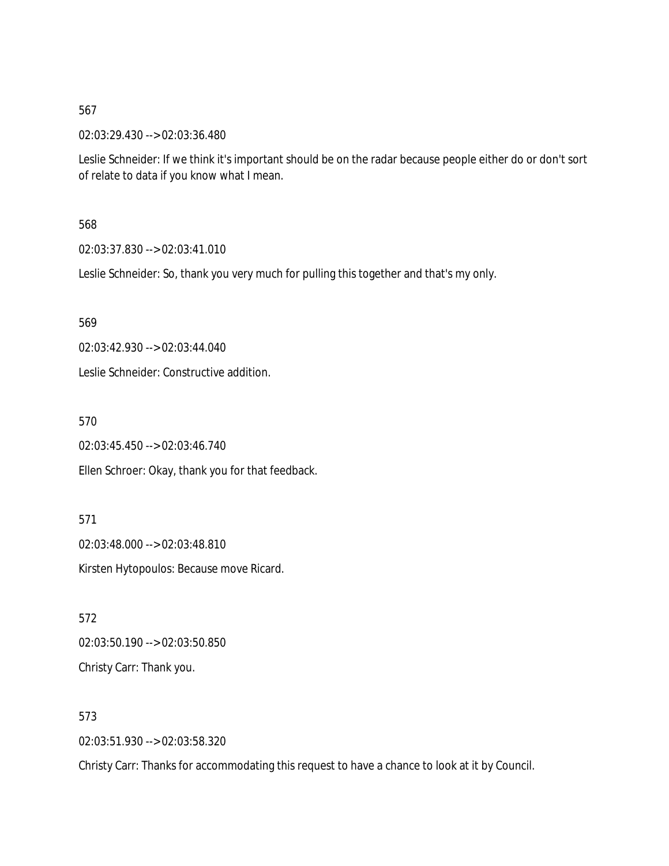02:03:29.430 --> 02:03:36.480

Leslie Schneider: If we think it's important should be on the radar because people either do or don't sort of relate to data if you know what I mean.

### 568

02:03:37.830 --> 02:03:41.010

Leslie Schneider: So, thank you very much for pulling this together and that's my only.

569

02:03:42.930 --> 02:03:44.040

Leslie Schneider: Constructive addition.

570

02:03:45.450 --> 02:03:46.740

Ellen Schroer: Okay, thank you for that feedback.

571

02:03:48.000 --> 02:03:48.810

Kirsten Hytopoulos: Because move Ricard.

572 02:03:50.190 --> 02:03:50.850 Christy Carr: Thank you.

573

02:03:51.930 --> 02:03:58.320

Christy Carr: Thanks for accommodating this request to have a chance to look at it by Council.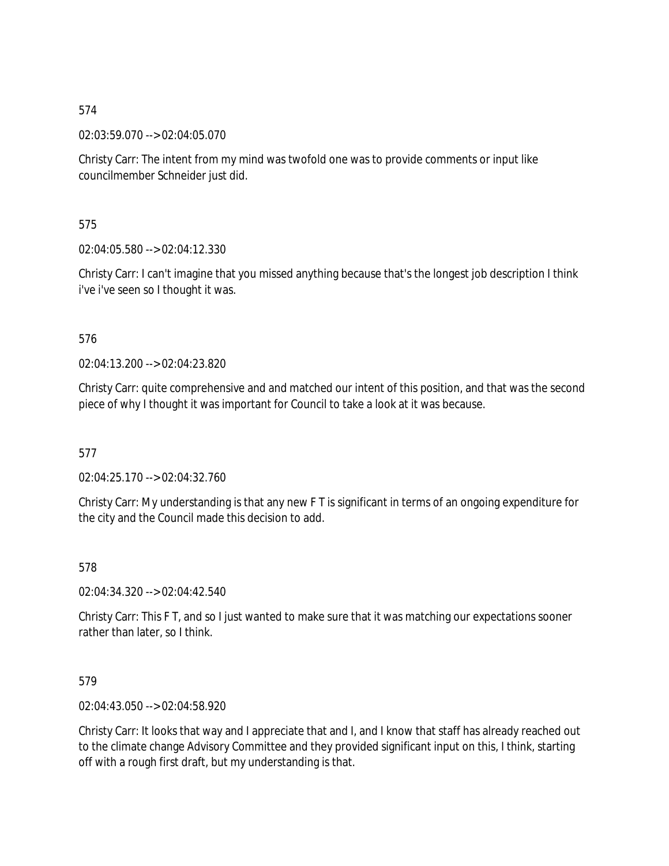02:03:59.070 --> 02:04:05.070

Christy Carr: The intent from my mind was twofold one was to provide comments or input like councilmember Schneider just did.

575

02:04:05.580 --> 02:04:12.330

Christy Carr: I can't imagine that you missed anything because that's the longest job description I think i've i've seen so I thought it was.

## 576

02:04:13.200 --> 02:04:23.820

Christy Carr: quite comprehensive and and matched our intent of this position, and that was the second piece of why I thought it was important for Council to take a look at it was because.

577

02:04:25.170 --> 02:04:32.760

Christy Carr: My understanding is that any new F T is significant in terms of an ongoing expenditure for the city and the Council made this decision to add.

578

02:04:34.320 --> 02:04:42.540

Christy Carr: This F T, and so I just wanted to make sure that it was matching our expectations sooner rather than later, so I think.

## 579

02:04:43.050 --> 02:04:58.920

Christy Carr: It looks that way and I appreciate that and I, and I know that staff has already reached out to the climate change Advisory Committee and they provided significant input on this, I think, starting off with a rough first draft, but my understanding is that.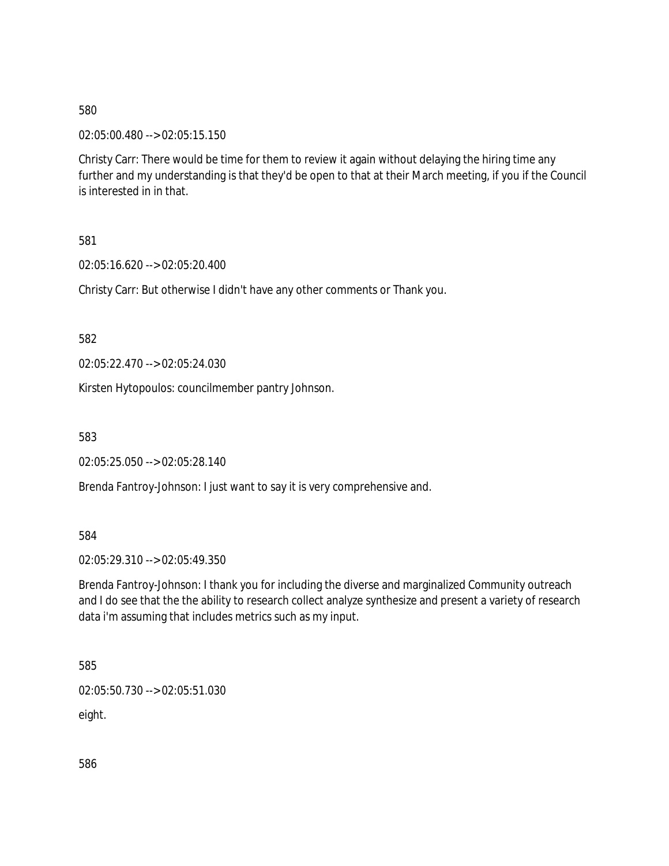02:05:00.480 --> 02:05:15.150

Christy Carr: There would be time for them to review it again without delaying the hiring time any further and my understanding is that they'd be open to that at their March meeting, if you if the Council is interested in in that.

581

02:05:16.620 --> 02:05:20.400

Christy Carr: But otherwise I didn't have any other comments or Thank you.

582

02:05:22.470 --> 02:05:24.030

Kirsten Hytopoulos: councilmember pantry Johnson.

583

02:05:25.050 --> 02:05:28.140

Brenda Fantroy-Johnson: I just want to say it is very comprehensive and.

584

02:05:29.310 --> 02:05:49.350

Brenda Fantroy-Johnson: I thank you for including the diverse and marginalized Community outreach and I do see that the the ability to research collect analyze synthesize and present a variety of research data i'm assuming that includes metrics such as my input.

585

02:05:50.730 --> 02:05:51.030

eight.

586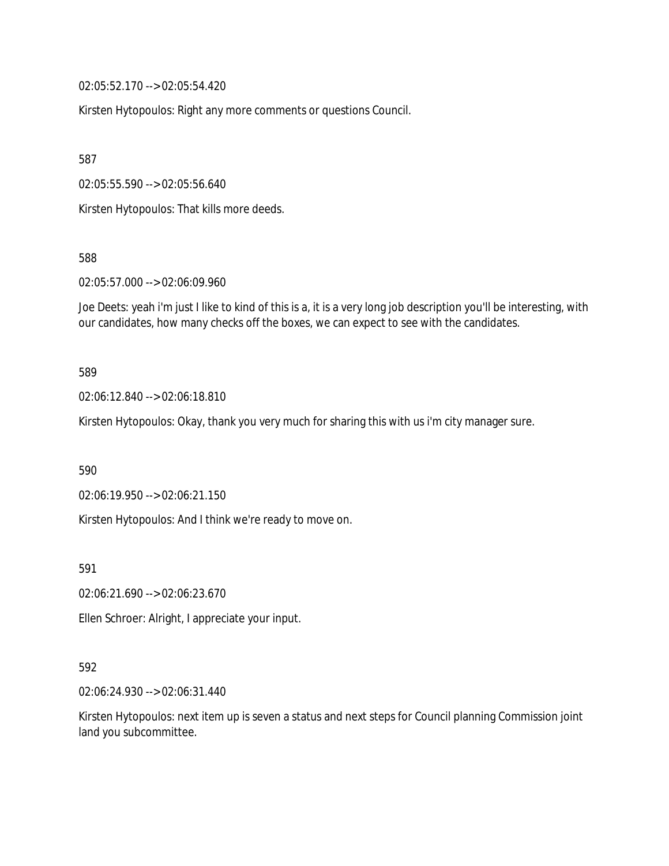02:05:52.170 --> 02:05:54.420

Kirsten Hytopoulos: Right any more comments or questions Council.

587

02:05:55.590 --> 02:05:56.640

Kirsten Hytopoulos: That kills more deeds.

588

02:05:57.000 --> 02:06:09.960

Joe Deets: yeah i'm just I like to kind of this is a, it is a very long job description you'll be interesting, with our candidates, how many checks off the boxes, we can expect to see with the candidates.

589

02:06:12.840 --> 02:06:18.810

Kirsten Hytopoulos: Okay, thank you very much for sharing this with us i'm city manager sure.

590

02:06:19.950 --> 02:06:21.150

Kirsten Hytopoulos: And I think we're ready to move on.

591

02:06:21.690 --> 02:06:23.670

Ellen Schroer: Alright, I appreciate your input.

#### 592

02:06:24.930 --> 02:06:31.440

Kirsten Hytopoulos: next item up is seven a status and next steps for Council planning Commission joint land you subcommittee.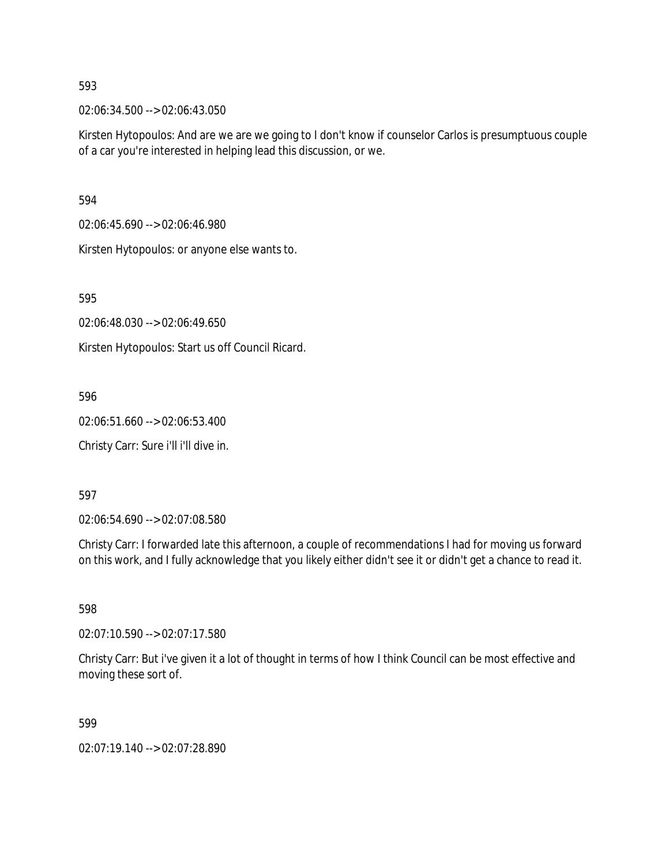02:06:34.500 --> 02:06:43.050

Kirsten Hytopoulos: And are we are we going to I don't know if counselor Carlos is presumptuous couple of a car you're interested in helping lead this discussion, or we.

594

02:06:45.690 --> 02:06:46.980

Kirsten Hytopoulos: or anyone else wants to.

595

02:06:48.030 --> 02:06:49.650

Kirsten Hytopoulos: Start us off Council Ricard.

596

02:06:51.660 --> 02:06:53.400

Christy Carr: Sure i'll i'll dive in.

597

02:06:54.690 --> 02:07:08.580

Christy Carr: I forwarded late this afternoon, a couple of recommendations I had for moving us forward on this work, and I fully acknowledge that you likely either didn't see it or didn't get a chance to read it.

598

02:07:10.590 --> 02:07:17.580

Christy Carr: But i've given it a lot of thought in terms of how I think Council can be most effective and moving these sort of.

599

02:07:19.140 --> 02:07:28.890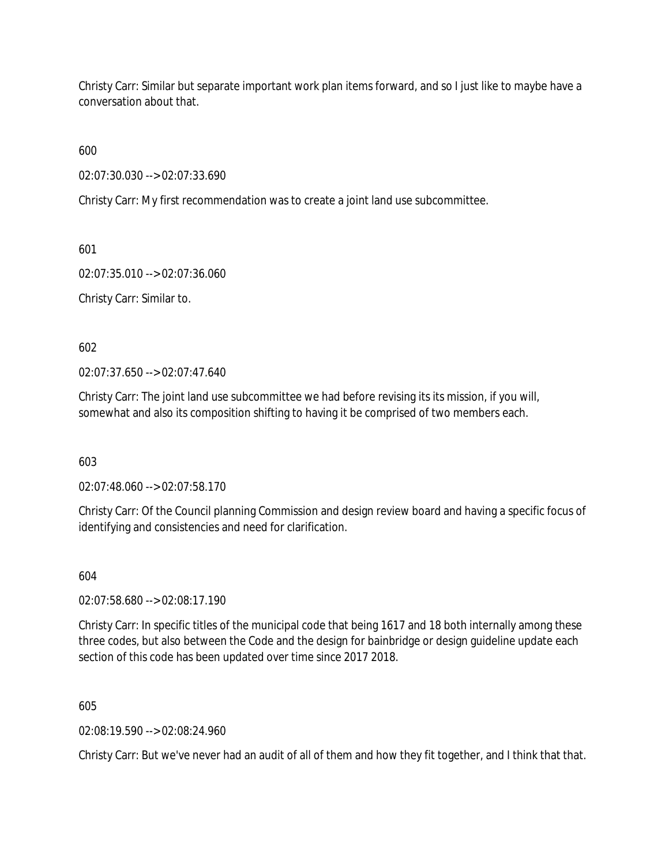Christy Carr: Similar but separate important work plan items forward, and so I just like to maybe have a conversation about that.

600

02:07:30.030 --> 02:07:33.690

Christy Carr: My first recommendation was to create a joint land use subcommittee.

601

02:07:35.010 --> 02:07:36.060

Christy Carr: Similar to.

602

02:07:37.650 --> 02:07:47.640

Christy Carr: The joint land use subcommittee we had before revising its its mission, if you will, somewhat and also its composition shifting to having it be comprised of two members each.

603

02:07:48.060 --> 02:07:58.170

Christy Carr: Of the Council planning Commission and design review board and having a specific focus of identifying and consistencies and need for clarification.

604

02:07:58.680 --> 02:08:17.190

Christy Carr: In specific titles of the municipal code that being 1617 and 18 both internally among these three codes, but also between the Code and the design for bainbridge or design guideline update each section of this code has been updated over time since 2017 2018.

605

02:08:19.590 --> 02:08:24.960

Christy Carr: But we've never had an audit of all of them and how they fit together, and I think that that.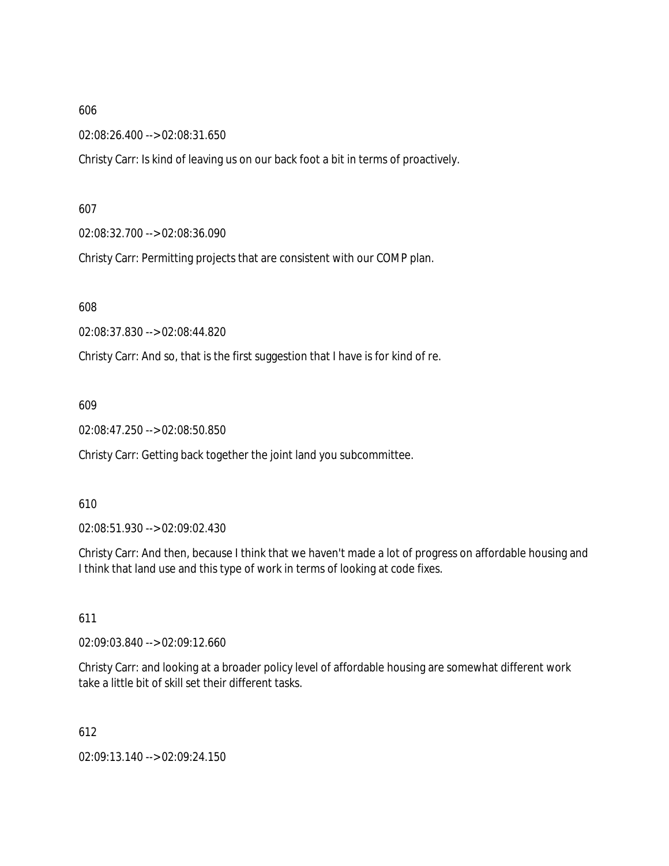02:08:26.400 --> 02:08:31.650

Christy Carr: Is kind of leaving us on our back foot a bit in terms of proactively.

607

02:08:32.700 --> 02:08:36.090

Christy Carr: Permitting projects that are consistent with our COMP plan.

608

02:08:37.830 --> 02:08:44.820

Christy Carr: And so, that is the first suggestion that I have is for kind of re.

609

02:08:47.250 --> 02:08:50.850

Christy Carr: Getting back together the joint land you subcommittee.

610

02:08:51.930 --> 02:09:02.430

Christy Carr: And then, because I think that we haven't made a lot of progress on affordable housing and I think that land use and this type of work in terms of looking at code fixes.

611

02:09:03.840 --> 02:09:12.660

Christy Carr: and looking at a broader policy level of affordable housing are somewhat different work take a little bit of skill set their different tasks.

612

02:09:13.140 --> 02:09:24.150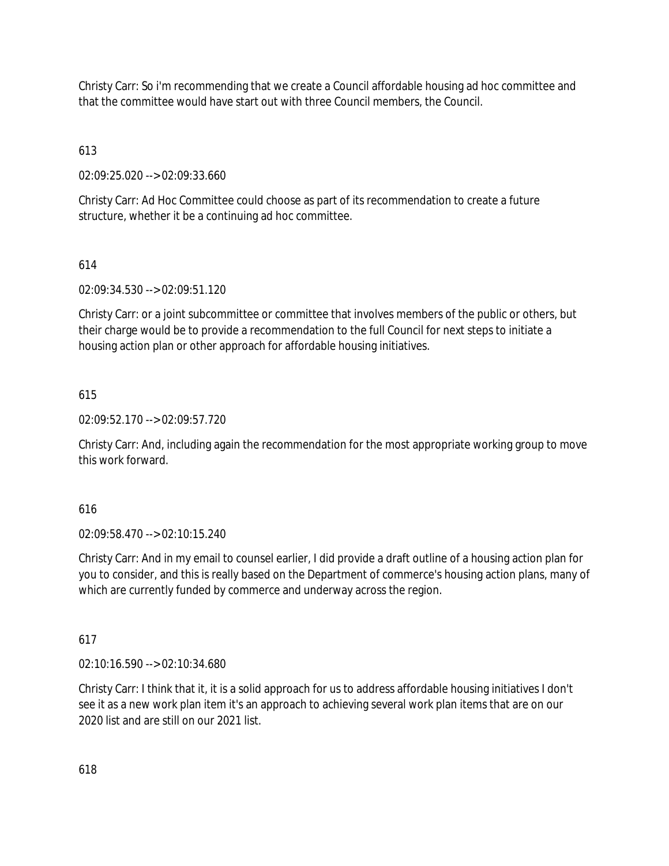Christy Carr: So i'm recommending that we create a Council affordable housing ad hoc committee and that the committee would have start out with three Council members, the Council.

613

02:09:25.020 --> 02:09:33.660

Christy Carr: Ad Hoc Committee could choose as part of its recommendation to create a future structure, whether it be a continuing ad hoc committee.

# 614

02:09:34.530 --> 02:09:51.120

Christy Carr: or a joint subcommittee or committee that involves members of the public or others, but their charge would be to provide a recommendation to the full Council for next steps to initiate a housing action plan or other approach for affordable housing initiatives.

# 615

02:09:52.170 --> 02:09:57.720

Christy Carr: And, including again the recommendation for the most appropriate working group to move this work forward.

## 616

02:09:58.470 --> 02:10:15.240

Christy Carr: And in my email to counsel earlier, I did provide a draft outline of a housing action plan for you to consider, and this is really based on the Department of commerce's housing action plans, many of which are currently funded by commerce and underway across the region.

## 617

02:10:16.590 --> 02:10:34.680

Christy Carr: I think that it, it is a solid approach for us to address affordable housing initiatives I don't see it as a new work plan item it's an approach to achieving several work plan items that are on our 2020 list and are still on our 2021 list.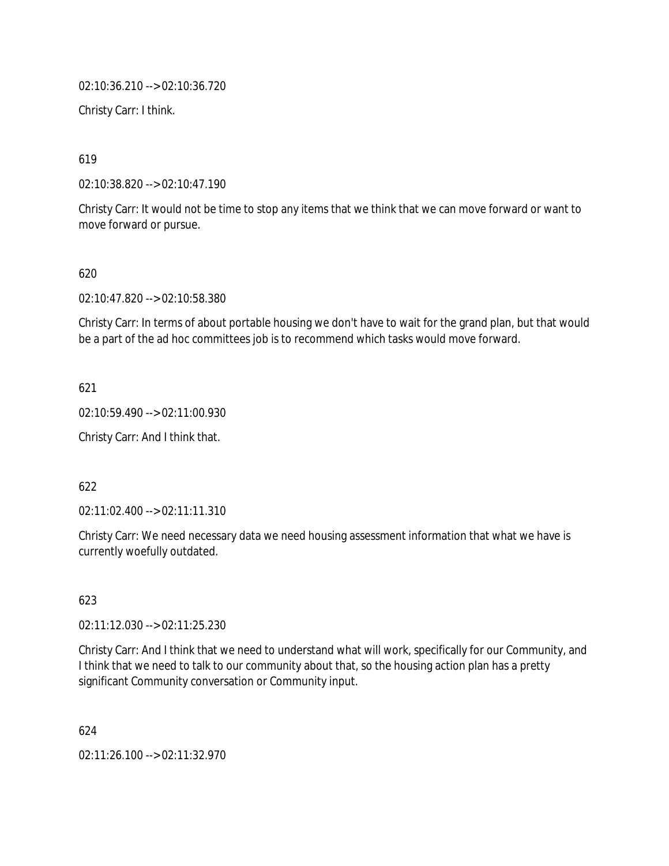02:10:36.210 --> 02:10:36.720

Christy Carr: I think.

619

02:10:38.820 --> 02:10:47.190

Christy Carr: It would not be time to stop any items that we think that we can move forward or want to move forward or pursue.

620

02:10:47.820 --> 02:10:58.380

Christy Carr: In terms of about portable housing we don't have to wait for the grand plan, but that would be a part of the ad hoc committees job is to recommend which tasks would move forward.

621

02:10:59.490 --> 02:11:00.930

Christy Carr: And I think that.

622

02:11:02.400 --> 02:11:11.310

Christy Carr: We need necessary data we need housing assessment information that what we have is currently woefully outdated.

623

02:11:12.030 --> 02:11:25.230

Christy Carr: And I think that we need to understand what will work, specifically for our Community, and I think that we need to talk to our community about that, so the housing action plan has a pretty significant Community conversation or Community input.

624

02:11:26.100 --> 02:11:32.970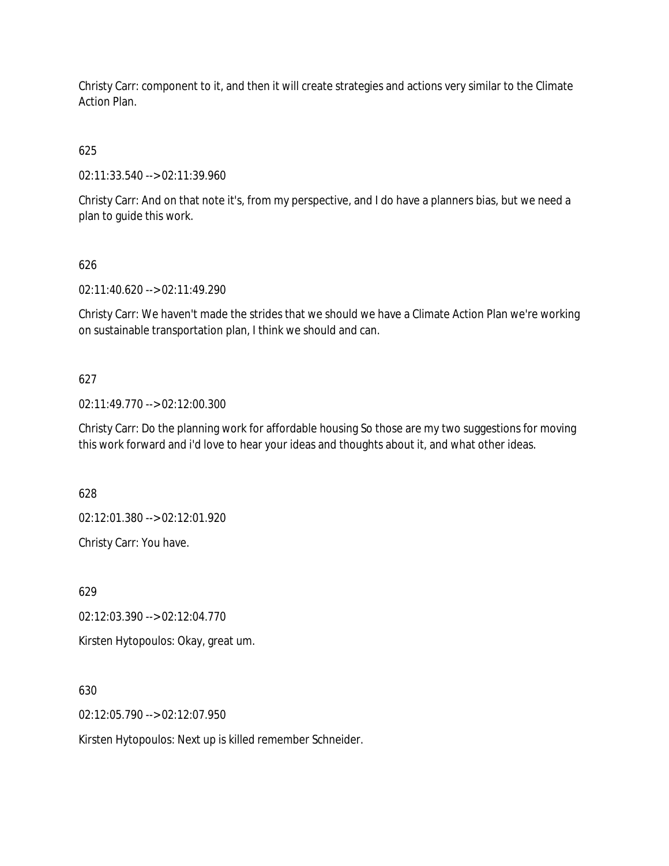Christy Carr: component to it, and then it will create strategies and actions very similar to the Climate Action Plan.

625

02:11:33.540 --> 02:11:39.960

Christy Carr: And on that note it's, from my perspective, and I do have a planners bias, but we need a plan to guide this work.

# 626

02:11:40.620 --> 02:11:49.290

Christy Carr: We haven't made the strides that we should we have a Climate Action Plan we're working on sustainable transportation plan, I think we should and can.

# 627

02:11:49.770 --> 02:12:00.300

Christy Carr: Do the planning work for affordable housing So those are my two suggestions for moving this work forward and i'd love to hear your ideas and thoughts about it, and what other ideas.

628

02:12:01.380 --> 02:12:01.920

Christy Carr: You have.

629

02:12:03.390 --> 02:12:04.770

Kirsten Hytopoulos: Okay, great um.

630

02:12:05.790 --> 02:12:07.950

Kirsten Hytopoulos: Next up is killed remember Schneider.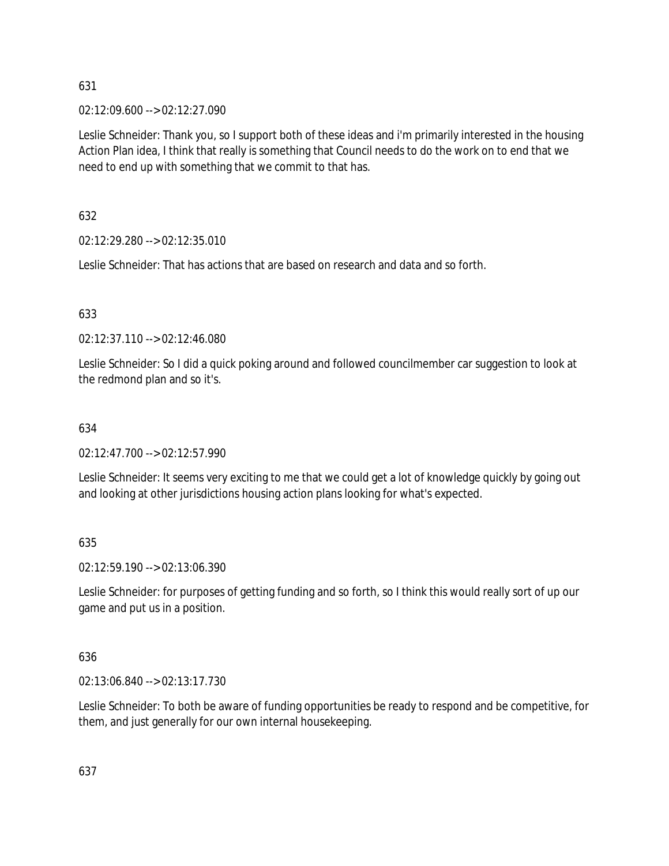02:12:09.600 --> 02:12:27.090

Leslie Schneider: Thank you, so I support both of these ideas and i'm primarily interested in the housing Action Plan idea, I think that really is something that Council needs to do the work on to end that we need to end up with something that we commit to that has.

632

02:12:29.280 --> 02:12:35.010

Leslie Schneider: That has actions that are based on research and data and so forth.

# 633

02:12:37.110 --> 02:12:46.080

Leslie Schneider: So I did a quick poking around and followed councilmember car suggestion to look at the redmond plan and so it's.

## 634

02:12:47.700 --> 02:12:57.990

Leslie Schneider: It seems very exciting to me that we could get a lot of knowledge quickly by going out and looking at other jurisdictions housing action plans looking for what's expected.

635

02:12:59.190 --> 02:13:06.390

Leslie Schneider: for purposes of getting funding and so forth, so I think this would really sort of up our game and put us in a position.

## 636

02:13:06.840 --> 02:13:17.730

Leslie Schneider: To both be aware of funding opportunities be ready to respond and be competitive, for them, and just generally for our own internal housekeeping.

637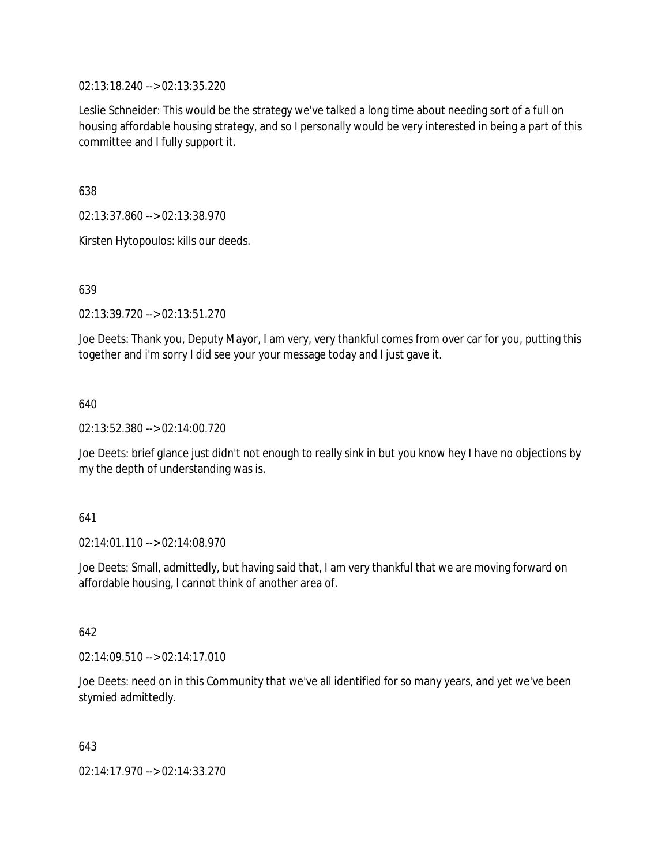02:13:18.240 --> 02:13:35.220

Leslie Schneider: This would be the strategy we've talked a long time about needing sort of a full on housing affordable housing strategy, and so I personally would be very interested in being a part of this committee and I fully support it.

638

02:13:37.860 --> 02:13:38.970

Kirsten Hytopoulos: kills our deeds.

639

02:13:39.720 --> 02:13:51.270

Joe Deets: Thank you, Deputy Mayor, I am very, very thankful comes from over car for you, putting this together and i'm sorry I did see your your message today and I just gave it.

640

02:13:52.380 --> 02:14:00.720

Joe Deets: brief glance just didn't not enough to really sink in but you know hey I have no objections by my the depth of understanding was is.

641

02:14:01.110 --> 02:14:08.970

Joe Deets: Small, admittedly, but having said that, I am very thankful that we are moving forward on affordable housing, I cannot think of another area of.

642

02:14:09.510 --> 02:14:17.010

Joe Deets: need on in this Community that we've all identified for so many years, and yet we've been stymied admittedly.

643

02:14:17.970 --> 02:14:33.270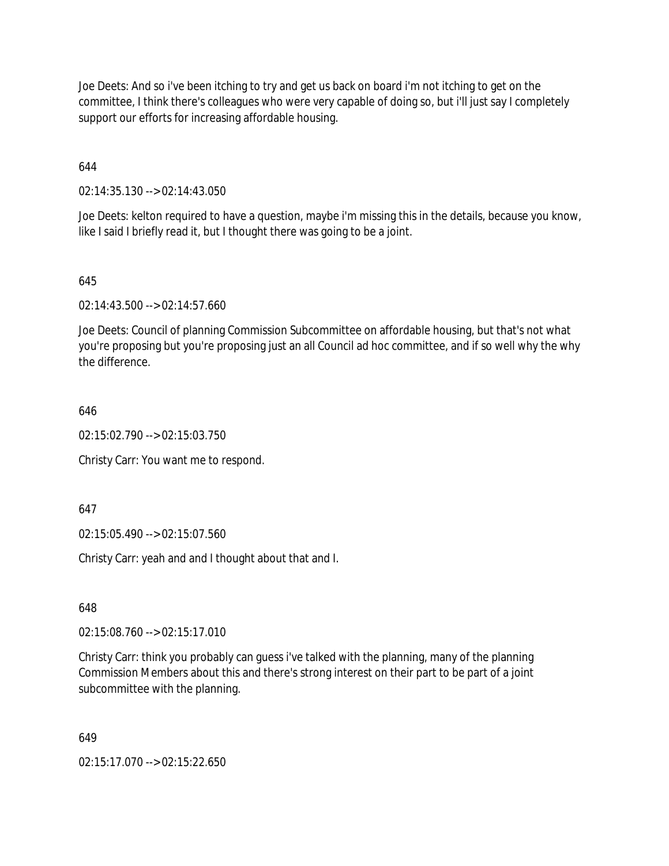Joe Deets: And so i've been itching to try and get us back on board i'm not itching to get on the committee, I think there's colleagues who were very capable of doing so, but i'll just say I completely support our efforts for increasing affordable housing.

644

02:14:35.130 --> 02:14:43.050

Joe Deets: kelton required to have a question, maybe i'm missing this in the details, because you know, like I said I briefly read it, but I thought there was going to be a joint.

645

02:14:43.500 --> 02:14:57.660

Joe Deets: Council of planning Commission Subcommittee on affordable housing, but that's not what you're proposing but you're proposing just an all Council ad hoc committee, and if so well why the why the difference.

646

02:15:02.790 --> 02:15:03.750

Christy Carr: You want me to respond.

647

02:15:05.490 --> 02:15:07.560

Christy Carr: yeah and and I thought about that and I.

648

02:15:08.760 --> 02:15:17.010

Christy Carr: think you probably can guess i've talked with the planning, many of the planning Commission Members about this and there's strong interest on their part to be part of a joint subcommittee with the planning.

649

02:15:17.070 --> 02:15:22.650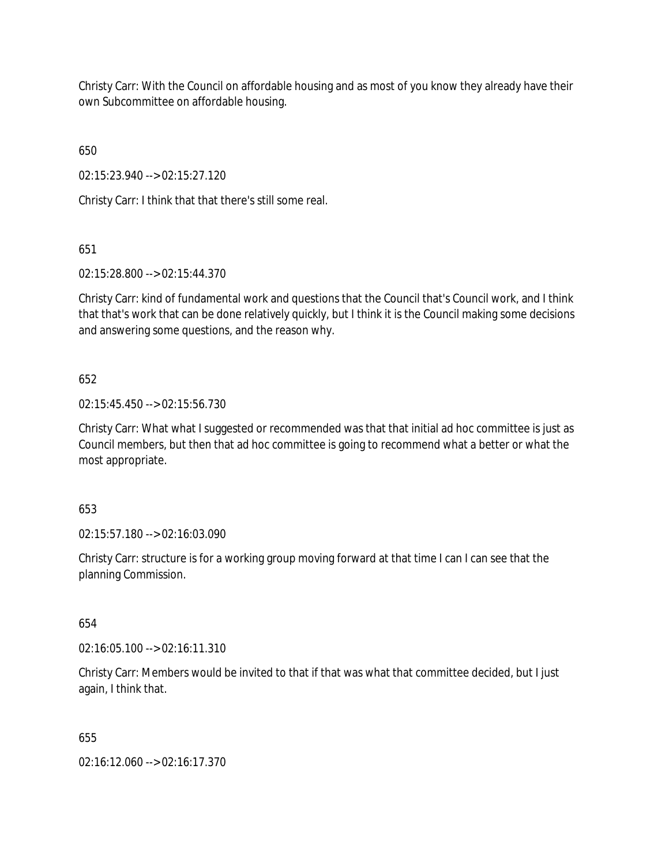Christy Carr: With the Council on affordable housing and as most of you know they already have their own Subcommittee on affordable housing.

650

02:15:23.940 --> 02:15:27.120

Christy Carr: I think that that there's still some real.

651

02:15:28.800 --> 02:15:44.370

Christy Carr: kind of fundamental work and questions that the Council that's Council work, and I think that that's work that can be done relatively quickly, but I think it is the Council making some decisions and answering some questions, and the reason why.

## 652

02:15:45.450 --> 02:15:56.730

Christy Carr: What what I suggested or recommended was that that initial ad hoc committee is just as Council members, but then that ad hoc committee is going to recommend what a better or what the most appropriate.

## 653

02:15:57.180 --> 02:16:03.090

Christy Carr: structure is for a working group moving forward at that time I can I can see that the planning Commission.

654

02:16:05.100 --> 02:16:11.310

Christy Carr: Members would be invited to that if that was what that committee decided, but I just again, I think that.

655

02:16:12.060 --> 02:16:17.370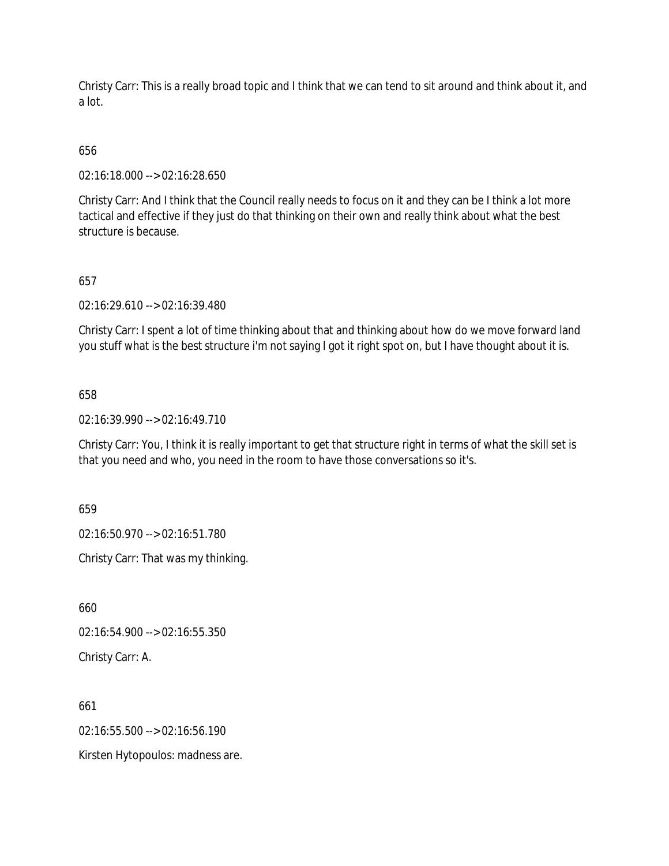Christy Carr: This is a really broad topic and I think that we can tend to sit around and think about it, and a lot.

## 656

02:16:18.000 --> 02:16:28.650

Christy Carr: And I think that the Council really needs to focus on it and they can be I think a lot more tactical and effective if they just do that thinking on their own and really think about what the best structure is because.

### 657

02:16:29.610 --> 02:16:39.480

Christy Carr: I spent a lot of time thinking about that and thinking about how do we move forward land you stuff what is the best structure i'm not saying I got it right spot on, but I have thought about it is.

#### 658

02:16:39.990 --> 02:16:49.710

Christy Carr: You, I think it is really important to get that structure right in terms of what the skill set is that you need and who, you need in the room to have those conversations so it's.

659

02:16:50.970 --> 02:16:51.780

Christy Carr: That was my thinking.

660

02:16:54.900 --> 02:16:55.350

Christy Carr: A.

661

02:16:55.500 --> 02:16:56.190

Kirsten Hytopoulos: madness are.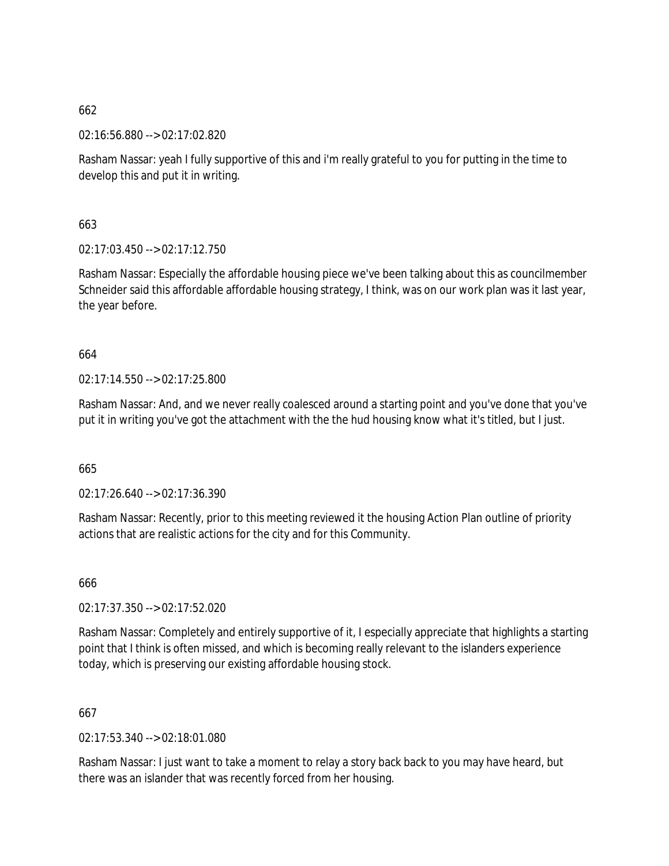02:16:56.880 --> 02:17:02.820

Rasham Nassar: yeah I fully supportive of this and i'm really grateful to you for putting in the time to develop this and put it in writing.

663

02:17:03.450 --> 02:17:12.750

Rasham Nassar: Especially the affordable housing piece we've been talking about this as councilmember Schneider said this affordable affordable housing strategy, I think, was on our work plan was it last year, the year before.

664

02:17:14.550 --> 02:17:25.800

Rasham Nassar: And, and we never really coalesced around a starting point and you've done that you've put it in writing you've got the attachment with the the hud housing know what it's titled, but I just.

665

02:17:26.640 --> 02:17:36.390

Rasham Nassar: Recently, prior to this meeting reviewed it the housing Action Plan outline of priority actions that are realistic actions for the city and for this Community.

666

02:17:37.350 --> 02:17:52.020

Rasham Nassar: Completely and entirely supportive of it, I especially appreciate that highlights a starting point that I think is often missed, and which is becoming really relevant to the islanders experience today, which is preserving our existing affordable housing stock.

667

02:17:53.340 --> 02:18:01.080

Rasham Nassar: I just want to take a moment to relay a story back back to you may have heard, but there was an islander that was recently forced from her housing.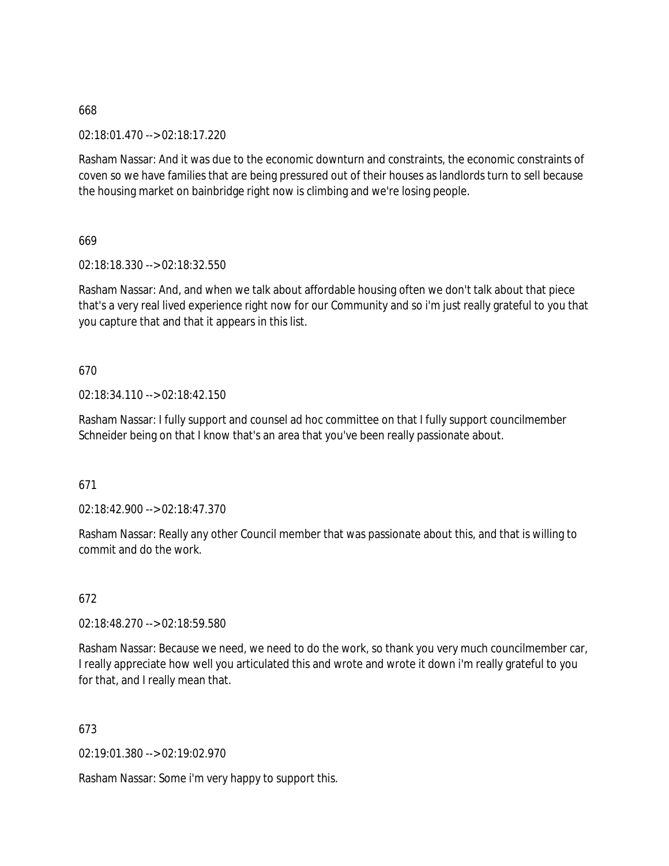02:18:01.470 --> 02:18:17.220

Rasham Nassar: And it was due to the economic downturn and constraints, the economic constraints of coven so we have families that are being pressured out of their houses as landlords turn to sell because the housing market on bainbridge right now is climbing and we're losing people.

669

02:18:18.330 --> 02:18:32.550

Rasham Nassar: And, and when we talk about affordable housing often we don't talk about that piece that's a very real lived experience right now for our Community and so i'm just really grateful to you that you capture that and that it appears in this list.

670

02:18:34.110 --> 02:18:42.150

Rasham Nassar: I fully support and counsel ad hoc committee on that I fully support councilmember Schneider being on that I know that's an area that you've been really passionate about.

671

 $02.18.42.900 -5.02.18.47.370$ 

Rasham Nassar: Really any other Council member that was passionate about this, and that is willing to commit and do the work.

672

02:18:48.270 --> 02:18:59.580

Rasham Nassar: Because we need, we need to do the work, so thank you very much councilmember car, I really appreciate how well you articulated this and wrote and wrote it down i'm really grateful to you for that, and I really mean that.

673

02:19:01.380 --> 02:19:02.970

Rasham Nassar: Some i'm very happy to support this.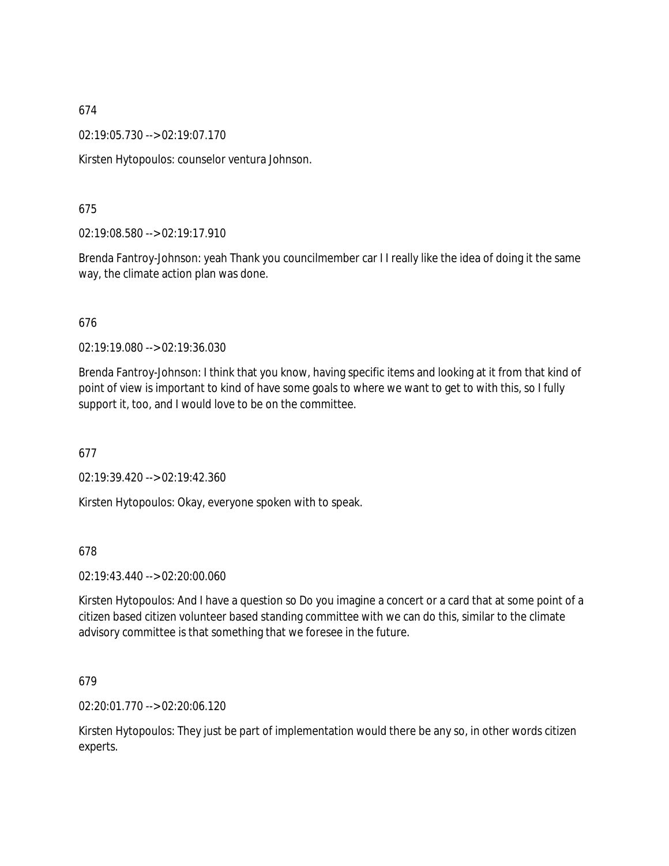02:19:05.730 --> 02:19:07.170

Kirsten Hytopoulos: counselor ventura Johnson.

### 675

02:19:08.580 --> 02:19:17.910

Brenda Fantroy-Johnson: yeah Thank you councilmember car I I really like the idea of doing it the same way, the climate action plan was done.

### 676

02:19:19.080 --> 02:19:36.030

Brenda Fantroy-Johnson: I think that you know, having specific items and looking at it from that kind of point of view is important to kind of have some goals to where we want to get to with this, so I fully support it, too, and I would love to be on the committee.

### 677

02:19:39.420 --> 02:19:42.360

Kirsten Hytopoulos: Okay, everyone spoken with to speak.

### 678

02:19:43.440 --> 02:20:00.060

Kirsten Hytopoulos: And I have a question so Do you imagine a concert or a card that at some point of a citizen based citizen volunteer based standing committee with we can do this, similar to the climate advisory committee is that something that we foresee in the future.

### 679

02:20:01.770 --> 02:20:06.120

Kirsten Hytopoulos: They just be part of implementation would there be any so, in other words citizen experts.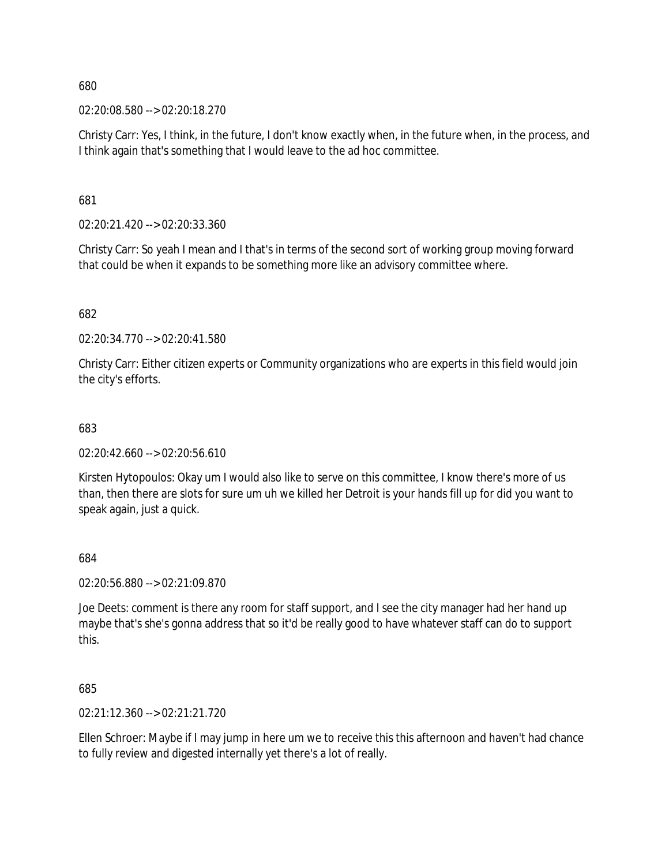02:20:08.580 --> 02:20:18.270

Christy Carr: Yes, I think, in the future, I don't know exactly when, in the future when, in the process, and I think again that's something that I would leave to the ad hoc committee.

681

02:20:21.420 --> 02:20:33.360

Christy Carr: So yeah I mean and I that's in terms of the second sort of working group moving forward that could be when it expands to be something more like an advisory committee where.

682

02:20:34.770 --> 02:20:41.580

Christy Carr: Either citizen experts or Community organizations who are experts in this field would join the city's efforts.

683

 $02:20:42.660 \rightarrow 02:20:56.610$ 

Kirsten Hytopoulos: Okay um I would also like to serve on this committee, I know there's more of us than, then there are slots for sure um uh we killed her Detroit is your hands fill up for did you want to speak again, just a quick.

684

02:20:56.880 --> 02:21:09.870

Joe Deets: comment is there any room for staff support, and I see the city manager had her hand up maybe that's she's gonna address that so it'd be really good to have whatever staff can do to support this.

685

02:21:12.360 --> 02:21:21.720

Ellen Schroer: Maybe if I may jump in here um we to receive this this afternoon and haven't had chance to fully review and digested internally yet there's a lot of really.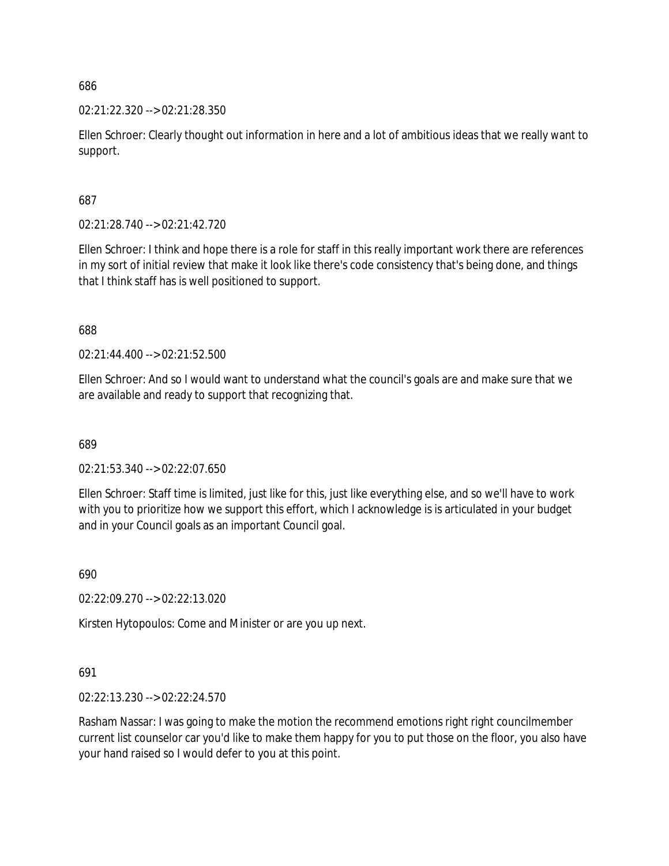02:21:22.320 --> 02:21:28.350

Ellen Schroer: Clearly thought out information in here and a lot of ambitious ideas that we really want to support.

687

02:21:28.740 --> 02:21:42.720

Ellen Schroer: I think and hope there is a role for staff in this really important work there are references in my sort of initial review that make it look like there's code consistency that's being done, and things that I think staff has is well positioned to support.

688

02:21:44.400 --> 02:21:52.500

Ellen Schroer: And so I would want to understand what the council's goals are and make sure that we are available and ready to support that recognizing that.

689

02:21:53.340 --> 02:22:07.650

Ellen Schroer: Staff time is limited, just like for this, just like everything else, and so we'll have to work with you to prioritize how we support this effort, which I acknowledge is is articulated in your budget and in your Council goals as an important Council goal.

690

02:22:09.270 --> 02:22:13.020

Kirsten Hytopoulos: Come and Minister or are you up next.

691

02:22:13.230 --> 02:22:24.570

Rasham Nassar: I was going to make the motion the recommend emotions right right councilmember current list counselor car you'd like to make them happy for you to put those on the floor, you also have your hand raised so I would defer to you at this point.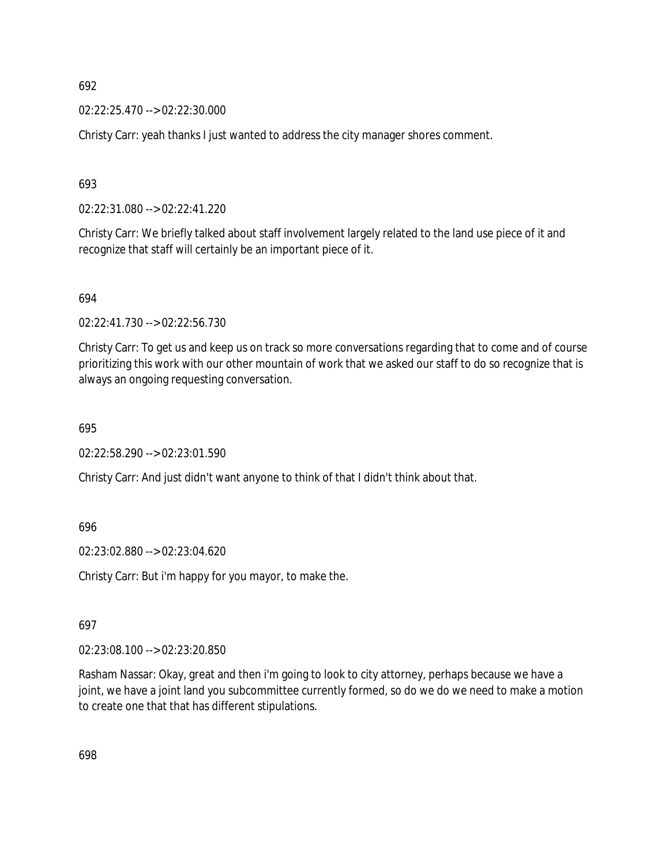02:22:25.470 --> 02:22:30.000

Christy Carr: yeah thanks I just wanted to address the city manager shores comment.

693

02:22:31.080 --> 02:22:41.220

Christy Carr: We briefly talked about staff involvement largely related to the land use piece of it and recognize that staff will certainly be an important piece of it.

694

02:22:41.730 --> 02:22:56.730

Christy Carr: To get us and keep us on track so more conversations regarding that to come and of course prioritizing this work with our other mountain of work that we asked our staff to do so recognize that is always an ongoing requesting conversation.

695

02:22:58.290 --> 02:23:01.590

Christy Carr: And just didn't want anyone to think of that I didn't think about that.

696

02:23:02.880 --> 02:23:04.620

Christy Carr: But i'm happy for you mayor, to make the.

697

02:23:08.100 --> 02:23:20.850

Rasham Nassar: Okay, great and then i'm going to look to city attorney, perhaps because we have a joint, we have a joint land you subcommittee currently formed, so do we do we need to make a motion to create one that that has different stipulations.

698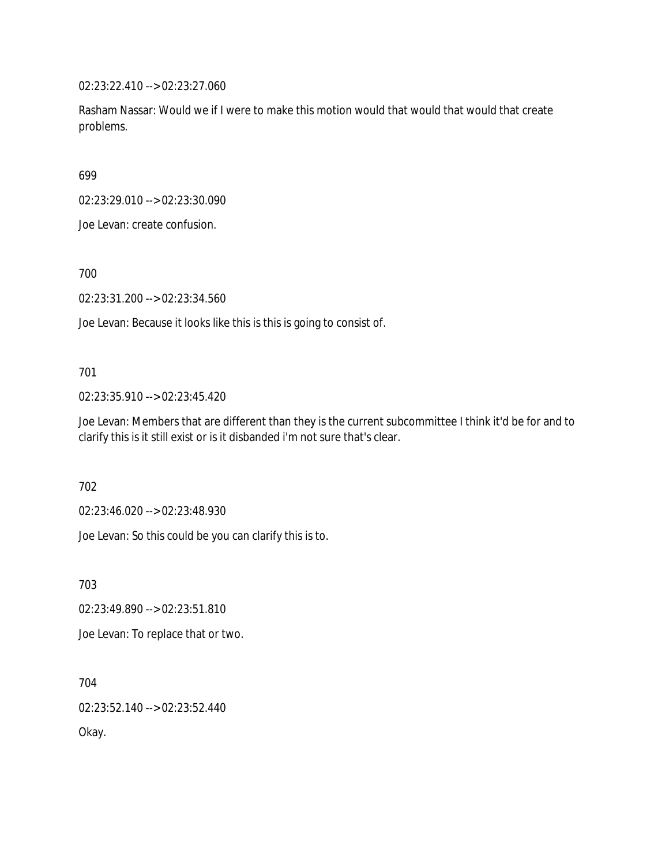02:23:22.410 --> 02:23:27.060

Rasham Nassar: Would we if I were to make this motion would that would that would that create problems.

699

02:23:29.010 --> 02:23:30.090

Joe Levan: create confusion.

700

02:23:31.200 --> 02:23:34.560

Joe Levan: Because it looks like this is this is going to consist of.

### 701

02:23:35.910 --> 02:23:45.420

Joe Levan: Members that are different than they is the current subcommittee I think it'd be for and to clarify this is it still exist or is it disbanded i'm not sure that's clear.

702

02:23:46.020 --> 02:23:48.930

Joe Levan: So this could be you can clarify this is to.

703

02:23:49.890 --> 02:23:51.810

Joe Levan: To replace that or two.

704

02:23:52.140 --> 02:23:52.440

Okay.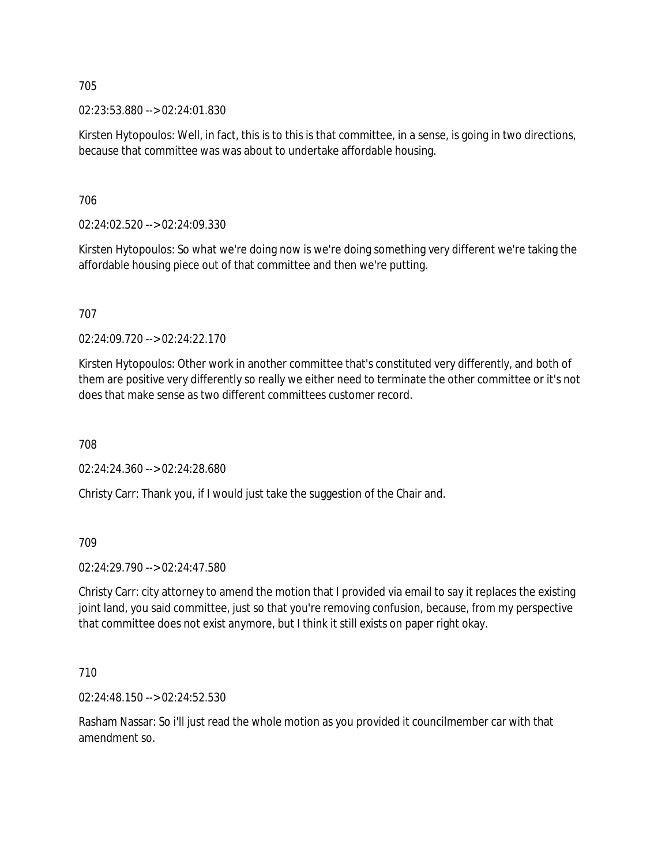02:23:53.880 --> 02:24:01.830

Kirsten Hytopoulos: Well, in fact, this is to this is that committee, in a sense, is going in two directions, because that committee was was about to undertake affordable housing.

706

02:24:02.520 --> 02:24:09.330

Kirsten Hytopoulos: So what we're doing now is we're doing something very different we're taking the affordable housing piece out of that committee and then we're putting.

707

02:24:09.720 --> 02:24:22.170

Kirsten Hytopoulos: Other work in another committee that's constituted very differently, and both of them are positive very differently so really we either need to terminate the other committee or it's not does that make sense as two different committees customer record.

708

02:24:24.360 --> 02:24:28.680

Christy Carr: Thank you, if I would just take the suggestion of the Chair and.

709

02:24:29.790 --> 02:24:47.580

Christy Carr: city attorney to amend the motion that I provided via email to say it replaces the existing joint land, you said committee, just so that you're removing confusion, because, from my perspective that committee does not exist anymore, but I think it still exists on paper right okay.

710

02:24:48.150 --> 02:24:52.530

Rasham Nassar: So i'll just read the whole motion as you provided it councilmember car with that amendment so.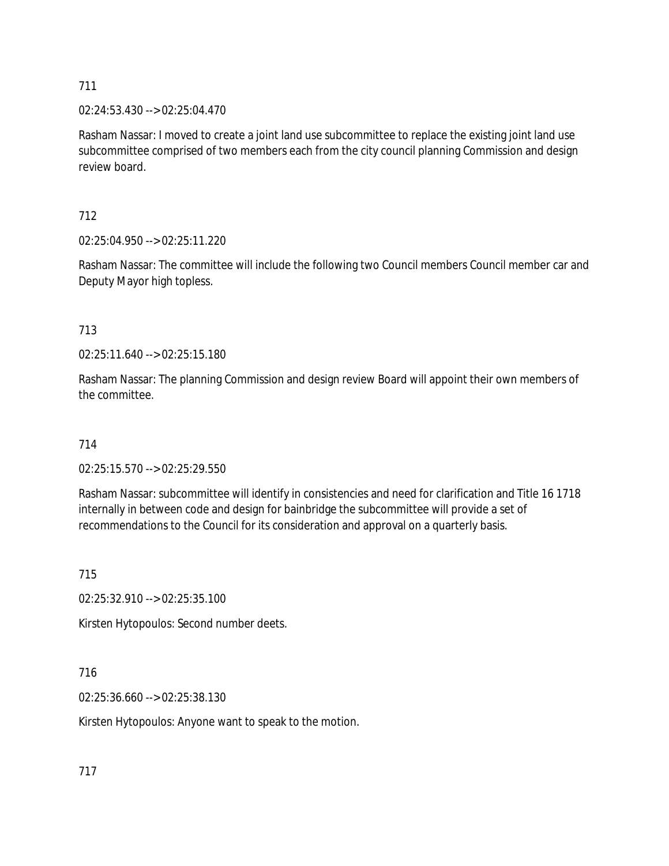02:24:53.430 --> 02:25:04.470

Rasham Nassar: I moved to create a joint land use subcommittee to replace the existing joint land use subcommittee comprised of two members each from the city council planning Commission and design review board.

712

02:25:04.950 --> 02:25:11.220

Rasham Nassar: The committee will include the following two Council members Council member car and Deputy Mayor high topless.

713

02:25:11.640 --> 02:25:15.180

Rasham Nassar: The planning Commission and design review Board will appoint their own members of the committee.

714

02:25:15.570 --> 02:25:29.550

Rasham Nassar: subcommittee will identify in consistencies and need for clarification and Title 16 1718 internally in between code and design for bainbridge the subcommittee will provide a set of recommendations to the Council for its consideration and approval on a quarterly basis.

715

02:25:32.910 --> 02:25:35.100

Kirsten Hytopoulos: Second number deets.

716

02:25:36.660 --> 02:25:38.130

Kirsten Hytopoulos: Anyone want to speak to the motion.

717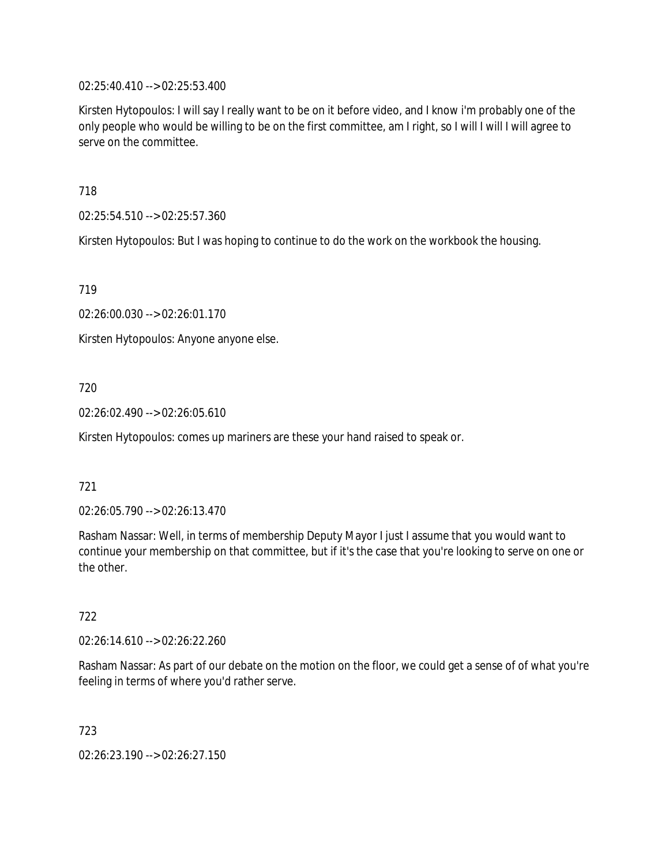02:25:40.410 --> 02:25:53.400

Kirsten Hytopoulos: I will say I really want to be on it before video, and I know i'm probably one of the only people who would be willing to be on the first committee, am I right, so I will I will I will agree to serve on the committee.

718

02:25:54.510 --> 02:25:57.360

Kirsten Hytopoulos: But I was hoping to continue to do the work on the workbook the housing.

719

02:26:00.030 --> 02:26:01.170

Kirsten Hytopoulos: Anyone anyone else.

720

02:26:02.490 --> 02:26:05.610

Kirsten Hytopoulos: comes up mariners are these your hand raised to speak or.

### 721

02:26:05.790 --> 02:26:13.470

Rasham Nassar: Well, in terms of membership Deputy Mayor I just I assume that you would want to continue your membership on that committee, but if it's the case that you're looking to serve on one or the other.

722

02:26:14.610 --> 02:26:22.260

Rasham Nassar: As part of our debate on the motion on the floor, we could get a sense of of what you're feeling in terms of where you'd rather serve.

723

02:26:23.190 --> 02:26:27.150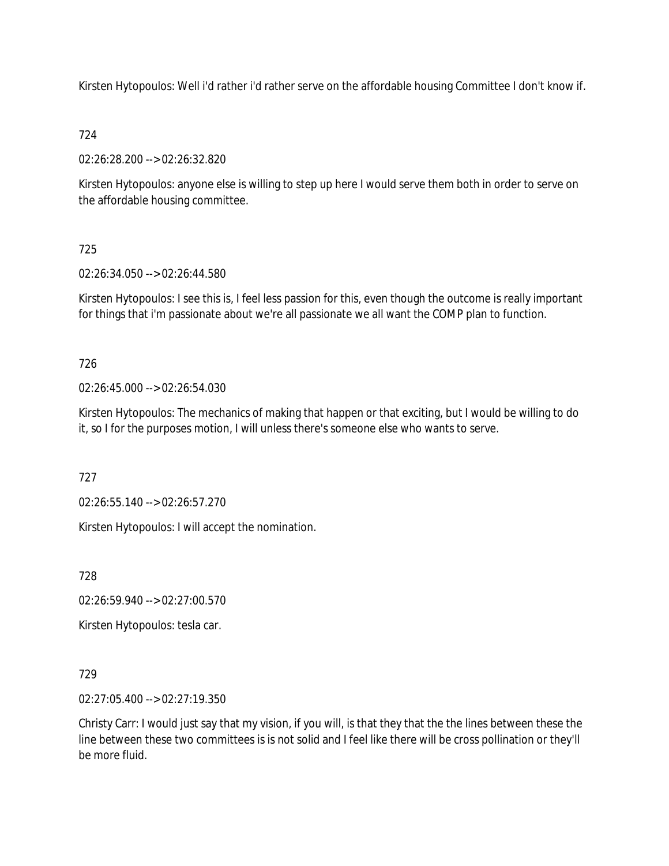Kirsten Hytopoulos: Well i'd rather i'd rather serve on the affordable housing Committee I don't know if.

# 724

02:26:28.200 --> 02:26:32.820

Kirsten Hytopoulos: anyone else is willing to step up here I would serve them both in order to serve on the affordable housing committee.

# 725

02:26:34.050 --> 02:26:44.580

Kirsten Hytopoulos: I see this is, I feel less passion for this, even though the outcome is really important for things that i'm passionate about we're all passionate we all want the COMP plan to function.

# 726

02:26:45.000 --> 02:26:54.030

Kirsten Hytopoulos: The mechanics of making that happen or that exciting, but I would be willing to do it, so I for the purposes motion, I will unless there's someone else who wants to serve.

727

02:26:55.140 --> 02:26:57.270

Kirsten Hytopoulos: I will accept the nomination.

728

02:26:59.940 --> 02:27:00.570

Kirsten Hytopoulos: tesla car.

# 729

02:27:05.400 --> 02:27:19.350

Christy Carr: I would just say that my vision, if you will, is that they that the the lines between these the line between these two committees is is not solid and I feel like there will be cross pollination or they'll be more fluid.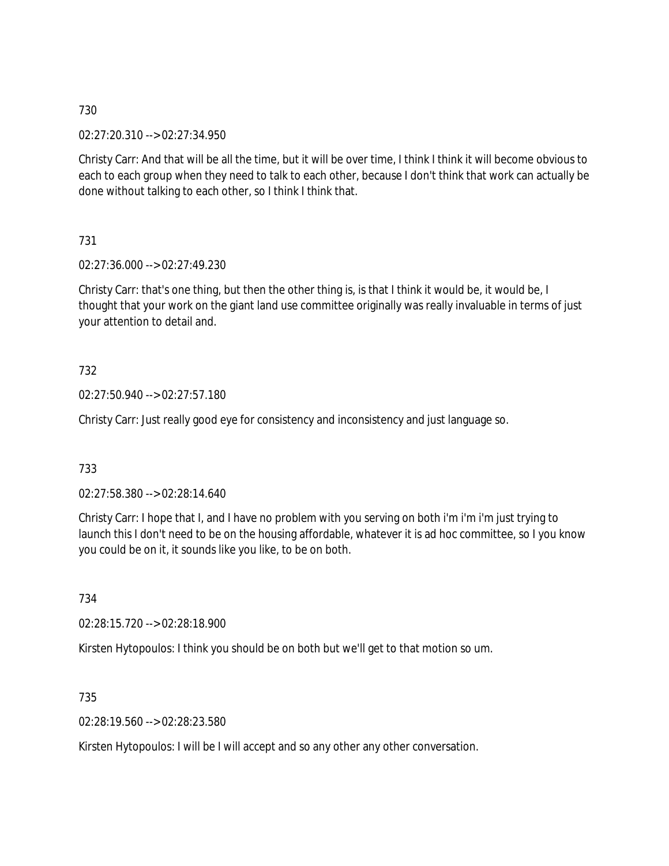02:27:20.310 --> 02:27:34.950

Christy Carr: And that will be all the time, but it will be over time, I think I think it will become obvious to each to each group when they need to talk to each other, because I don't think that work can actually be done without talking to each other, so I think I think that.

731

02:27:36.000 --> 02:27:49.230

Christy Carr: that's one thing, but then the other thing is, is that I think it would be, it would be, I thought that your work on the giant land use committee originally was really invaluable in terms of just your attention to detail and.

732

02:27:50.940 --> 02:27:57.180

Christy Carr: Just really good eye for consistency and inconsistency and just language so.

733

02:27:58.380 --> 02:28:14.640

Christy Carr: I hope that I, and I have no problem with you serving on both i'm i'm i'm just trying to launch this I don't need to be on the housing affordable, whatever it is ad hoc committee, so I you know you could be on it, it sounds like you like, to be on both.

734

02:28:15.720 --> 02:28:18.900

Kirsten Hytopoulos: I think you should be on both but we'll get to that motion so um.

735

02:28:19.560 --> 02:28:23.580

Kirsten Hytopoulos: I will be I will accept and so any other any other conversation.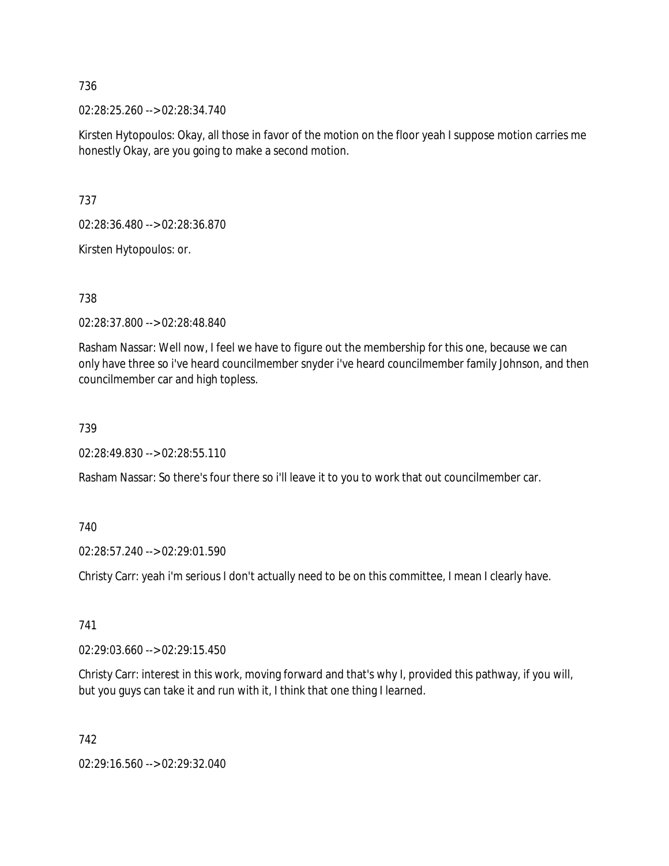02:28:25.260 --> 02:28:34.740

Kirsten Hytopoulos: Okay, all those in favor of the motion on the floor yeah I suppose motion carries me honestly Okay, are you going to make a second motion.

737

02:28:36.480 --> 02:28:36.870

Kirsten Hytopoulos: or.

### 738

02:28:37.800 --> 02:28:48.840

Rasham Nassar: Well now, I feel we have to figure out the membership for this one, because we can only have three so i've heard councilmember snyder i've heard councilmember family Johnson, and then councilmember car and high topless.

#### 739

02:28:49.830 --> 02:28:55.110

Rasham Nassar: So there's four there so i'll leave it to you to work that out councilmember car.

#### 740

02:28:57.240 --> 02:29:01.590

Christy Carr: yeah i'm serious I don't actually need to be on this committee, I mean I clearly have.

## 741

02:29:03.660 --> 02:29:15.450

Christy Carr: interest in this work, moving forward and that's why I, provided this pathway, if you will, but you guys can take it and run with it, I think that one thing I learned.

742

02:29:16.560 --> 02:29:32.040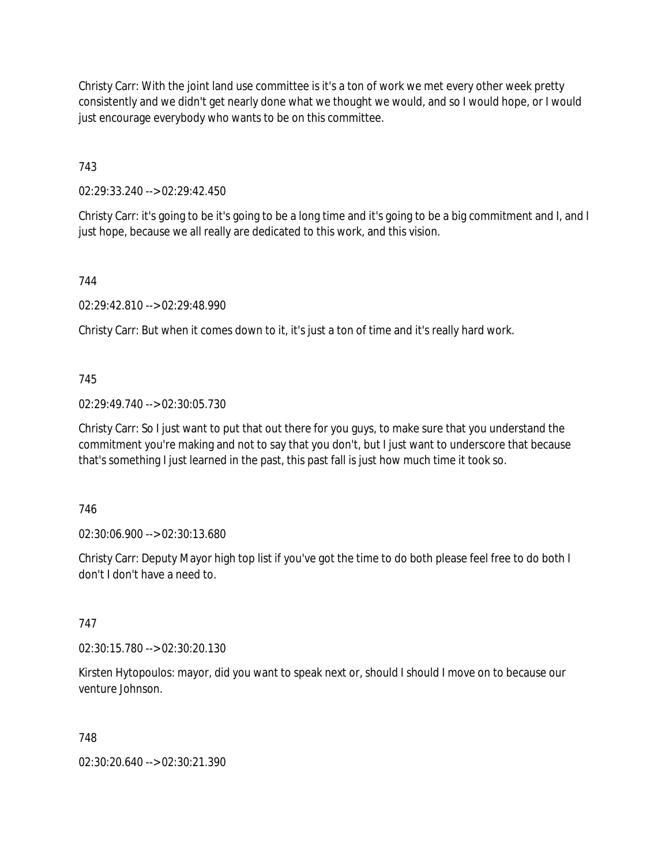Christy Carr: With the joint land use committee is it's a ton of work we met every other week pretty consistently and we didn't get nearly done what we thought we would, and so I would hope, or I would just encourage everybody who wants to be on this committee.

743

02:29:33.240 --> 02:29:42.450

Christy Carr: it's going to be it's going to be a long time and it's going to be a big commitment and I, and I just hope, because we all really are dedicated to this work, and this vision.

744

02:29:42.810 --> 02:29:48.990

Christy Carr: But when it comes down to it, it's just a ton of time and it's really hard work.

745

02:29:49.740 --> 02:30:05.730

Christy Carr: So I just want to put that out there for you guys, to make sure that you understand the commitment you're making and not to say that you don't, but I just want to underscore that because that's something I just learned in the past, this past fall is just how much time it took so.

746

02:30:06.900 --> 02:30:13.680

Christy Carr: Deputy Mayor high top list if you've got the time to do both please feel free to do both I don't I don't have a need to.

747

02:30:15.780 --> 02:30:20.130

Kirsten Hytopoulos: mayor, did you want to speak next or, should I should I move on to because our venture Johnson.

748

02:30:20.640 --> 02:30:21.390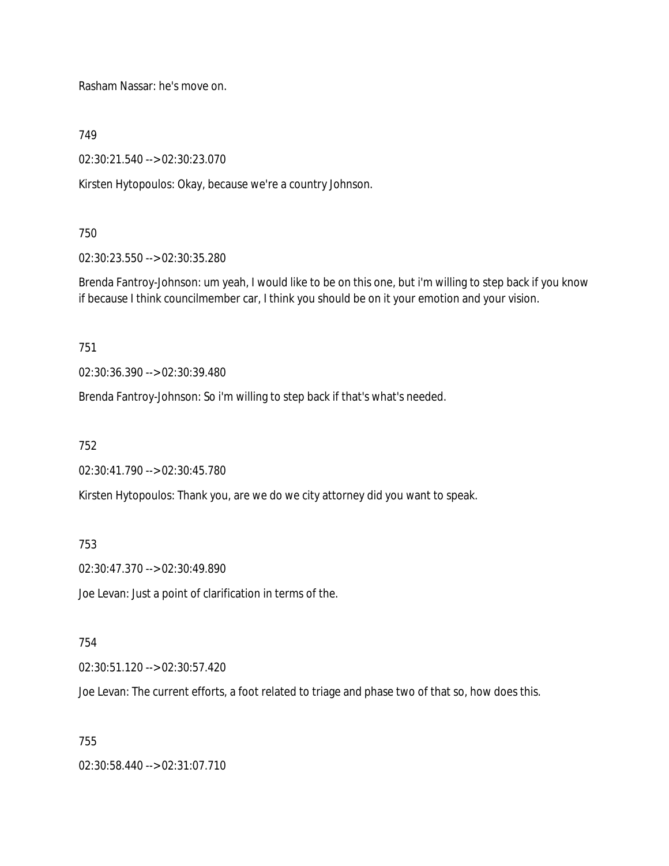Rasham Nassar: he's move on.

749

02:30:21.540 --> 02:30:23.070

Kirsten Hytopoulos: Okay, because we're a country Johnson.

750

02:30:23.550 --> 02:30:35.280

Brenda Fantroy-Johnson: um yeah, I would like to be on this one, but i'm willing to step back if you know if because I think councilmember car, I think you should be on it your emotion and your vision.

751

02:30:36.390 --> 02:30:39.480

Brenda Fantroy-Johnson: So i'm willing to step back if that's what's needed.

752

02:30:41.790 --> 02:30:45.780

Kirsten Hytopoulos: Thank you, are we do we city attorney did you want to speak.

753

02:30:47.370 --> 02:30:49.890

Joe Levan: Just a point of clarification in terms of the.

754

02:30:51.120 --> 02:30:57.420

Joe Levan: The current efforts, a foot related to triage and phase two of that so, how does this.

755

02:30:58.440 --> 02:31:07.710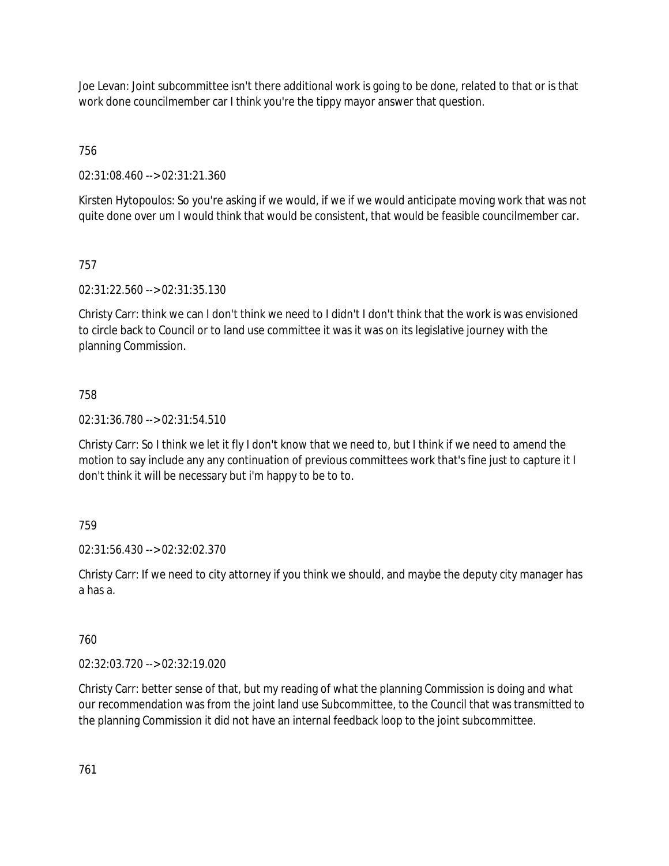Joe Levan: Joint subcommittee isn't there additional work is going to be done, related to that or is that work done councilmember car I think you're the tippy mayor answer that question.

756

02:31:08.460 --> 02:31:21.360

Kirsten Hytopoulos: So you're asking if we would, if we if we would anticipate moving work that was not quite done over um I would think that would be consistent, that would be feasible councilmember car.

# 757

02:31:22.560 --> 02:31:35.130

Christy Carr: think we can I don't think we need to I didn't I don't think that the work is was envisioned to circle back to Council or to land use committee it was it was on its legislative journey with the planning Commission.

## 758

02:31:36.780 --> 02:31:54.510

Christy Carr: So I think we let it fly I don't know that we need to, but I think if we need to amend the motion to say include any any continuation of previous committees work that's fine just to capture it I don't think it will be necessary but i'm happy to be to to.

## 759

02:31:56.430 --> 02:32:02.370

Christy Carr: If we need to city attorney if you think we should, and maybe the deputy city manager has a has a.

## 760

02:32:03.720 --> 02:32:19.020

Christy Carr: better sense of that, but my reading of what the planning Commission is doing and what our recommendation was from the joint land use Subcommittee, to the Council that was transmitted to the planning Commission it did not have an internal feedback loop to the joint subcommittee.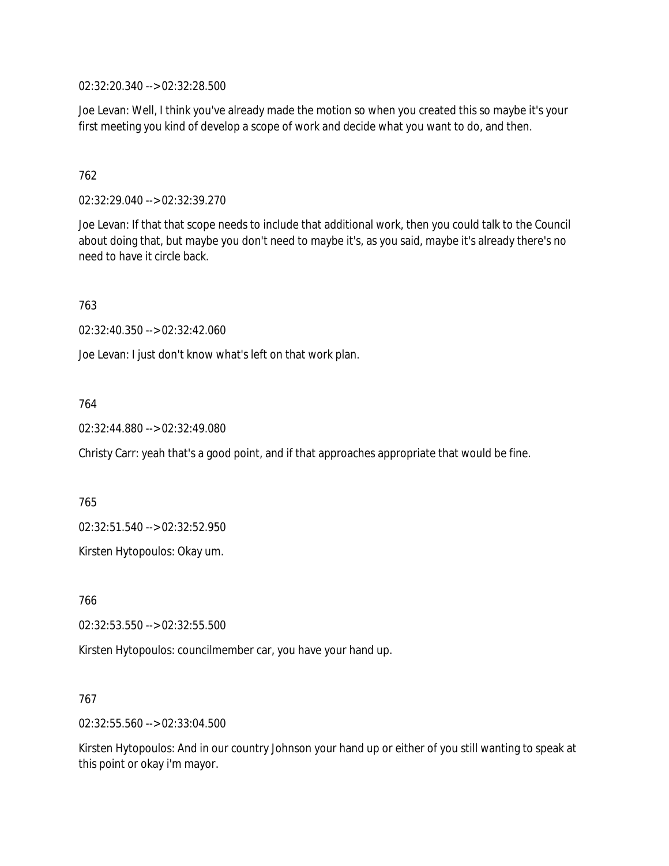02:32:20.340 --> 02:32:28.500

Joe Levan: Well, I think you've already made the motion so when you created this so maybe it's your first meeting you kind of develop a scope of work and decide what you want to do, and then.

## 762

02:32:29.040 --> 02:32:39.270

Joe Levan: If that that scope needs to include that additional work, then you could talk to the Council about doing that, but maybe you don't need to maybe it's, as you said, maybe it's already there's no need to have it circle back.

763

02:32:40.350 --> 02:32:42.060

Joe Levan: I just don't know what's left on that work plan.

### 764

02:32:44.880 --> 02:32:49.080

Christy Carr: yeah that's a good point, and if that approaches appropriate that would be fine.

765

02:32:51.540 --> 02:32:52.950

Kirsten Hytopoulos: Okay um.

766

02:32:53.550 --> 02:32:55.500

Kirsten Hytopoulos: councilmember car, you have your hand up.

#### 767

02:32:55.560 --> 02:33:04.500

Kirsten Hytopoulos: And in our country Johnson your hand up or either of you still wanting to speak at this point or okay i'm mayor.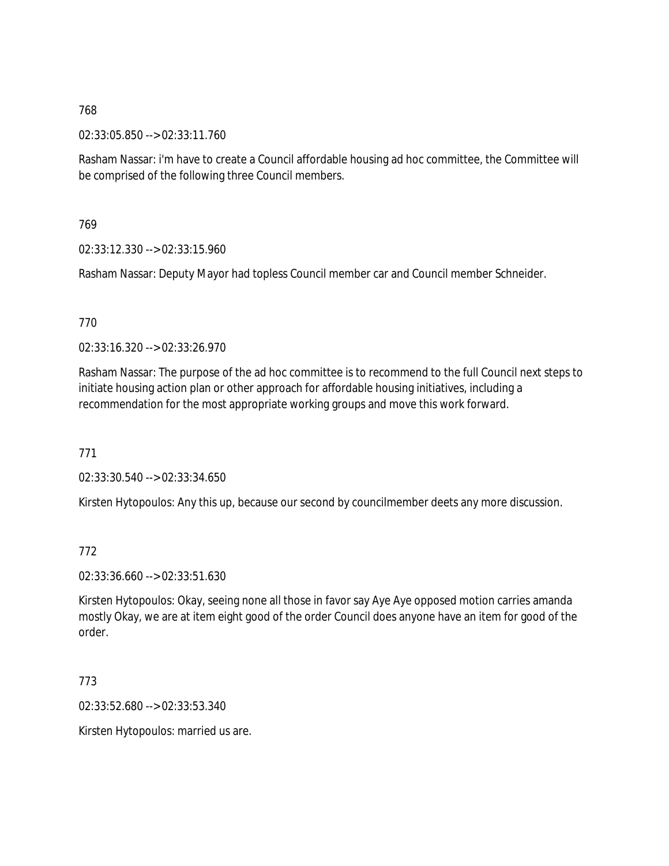02:33:05.850 --> 02:33:11.760

Rasham Nassar: i'm have to create a Council affordable housing ad hoc committee, the Committee will be comprised of the following three Council members.

769

02:33:12.330 --> 02:33:15.960

Rasham Nassar: Deputy Mayor had topless Council member car and Council member Schneider.

### 770

02:33:16.320 --> 02:33:26.970

Rasham Nassar: The purpose of the ad hoc committee is to recommend to the full Council next steps to initiate housing action plan or other approach for affordable housing initiatives, including a recommendation for the most appropriate working groups and move this work forward.

771

02:33:30.540 --> 02:33:34.650

Kirsten Hytopoulos: Any this up, because our second by councilmember deets any more discussion.

### 772

02:33:36.660 --> 02:33:51.630

Kirsten Hytopoulos: Okay, seeing none all those in favor say Aye Aye opposed motion carries amanda mostly Okay, we are at item eight good of the order Council does anyone have an item for good of the order.

773

02:33:52.680 --> 02:33:53.340

Kirsten Hytopoulos: married us are.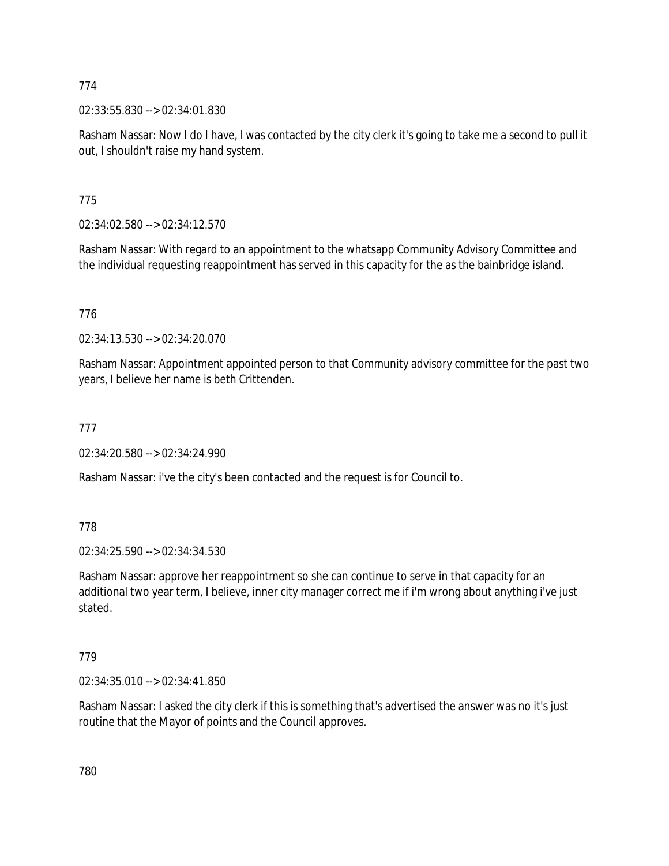02:33:55.830 --> 02:34:01.830

Rasham Nassar: Now I do I have, I was contacted by the city clerk it's going to take me a second to pull it out, I shouldn't raise my hand system.

775

02:34:02.580 --> 02:34:12.570

Rasham Nassar: With regard to an appointment to the whatsapp Community Advisory Committee and the individual requesting reappointment has served in this capacity for the as the bainbridge island.

776

02:34:13.530 --> 02:34:20.070

Rasham Nassar: Appointment appointed person to that Community advisory committee for the past two years, I believe her name is beth Crittenden.

777

02:34:20.580 --> 02:34:24.990

Rasham Nassar: i've the city's been contacted and the request is for Council to.

778

02:34:25.590 --> 02:34:34.530

Rasham Nassar: approve her reappointment so she can continue to serve in that capacity for an additional two year term, I believe, inner city manager correct me if i'm wrong about anything i've just stated.

### 779

02:34:35.010 --> 02:34:41.850

Rasham Nassar: I asked the city clerk if this is something that's advertised the answer was no it's just routine that the Mayor of points and the Council approves.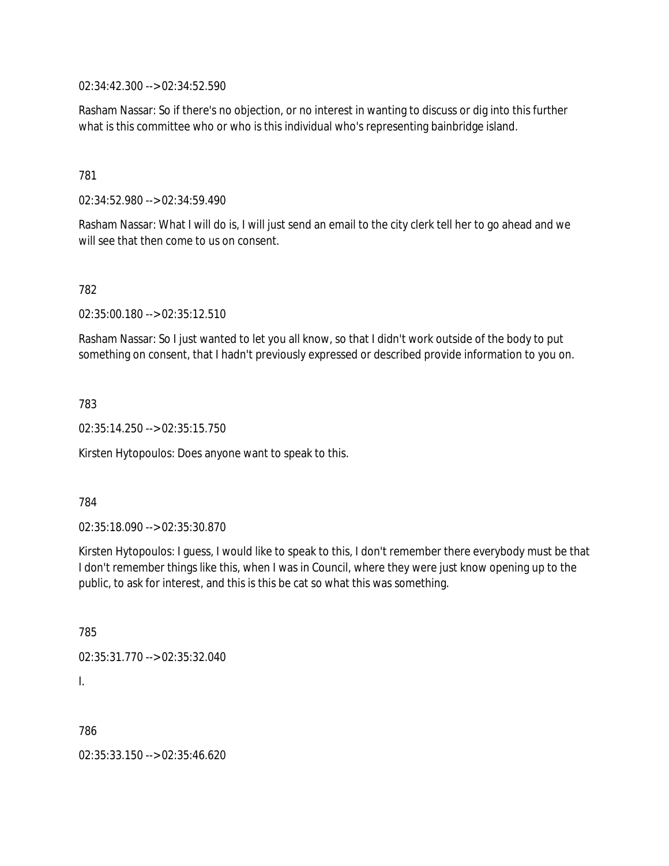02:34:42.300 --> 02:34:52.590

Rasham Nassar: So if there's no objection, or no interest in wanting to discuss or dig into this further what is this committee who or who is this individual who's representing bainbridge island.

781

02:34:52.980 --> 02:34:59.490

Rasham Nassar: What I will do is, I will just send an email to the city clerk tell her to go ahead and we will see that then come to us on consent.

782

02:35:00.180 --> 02:35:12.510

Rasham Nassar: So I just wanted to let you all know, so that I didn't work outside of the body to put something on consent, that I hadn't previously expressed or described provide information to you on.

783

02:35:14.250 --> 02:35:15.750

Kirsten Hytopoulos: Does anyone want to speak to this.

784

02:35:18.090 --> 02:35:30.870

Kirsten Hytopoulos: I guess, I would like to speak to this, I don't remember there everybody must be that I don't remember things like this, when I was in Council, where they were just know opening up to the public, to ask for interest, and this is this be cat so what this was something.

785

02:35:31.770 --> 02:35:32.040

I.

786

02:35:33.150 --> 02:35:46.620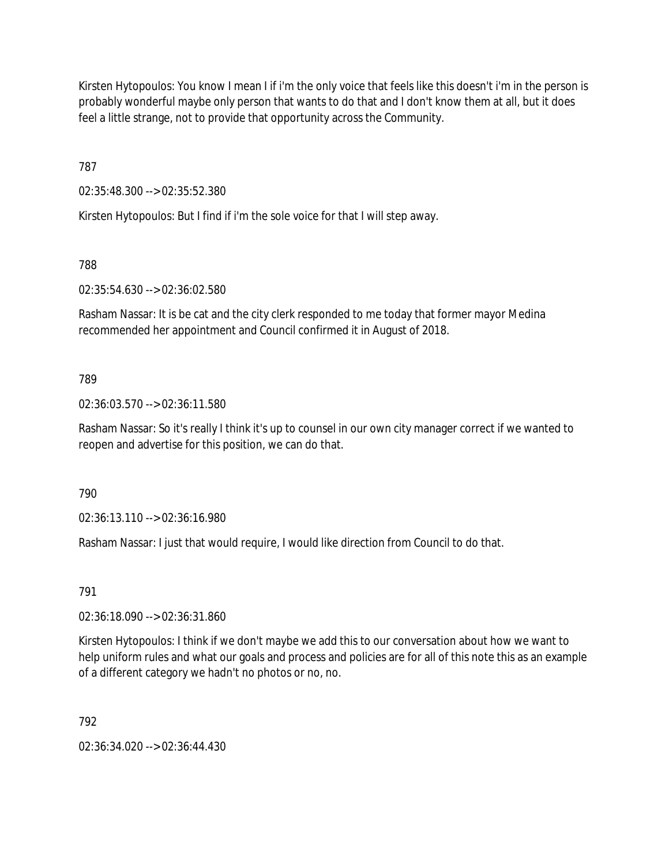Kirsten Hytopoulos: You know I mean I if i'm the only voice that feels like this doesn't i'm in the person is probably wonderful maybe only person that wants to do that and I don't know them at all, but it does feel a little strange, not to provide that opportunity across the Community.

787

02:35:48.300 --> 02:35:52.380

Kirsten Hytopoulos: But I find if i'm the sole voice for that I will step away.

788

02:35:54.630 --> 02:36:02.580

Rasham Nassar: It is be cat and the city clerk responded to me today that former mayor Medina recommended her appointment and Council confirmed it in August of 2018.

## 789

02:36:03.570 --> 02:36:11.580

Rasham Nassar: So it's really I think it's up to counsel in our own city manager correct if we wanted to reopen and advertise for this position, we can do that.

790

02:36:13.110 --> 02:36:16.980

Rasham Nassar: I just that would require, I would like direction from Council to do that.

791

02:36:18.090 --> 02:36:31.860

Kirsten Hytopoulos: I think if we don't maybe we add this to our conversation about how we want to help uniform rules and what our goals and process and policies are for all of this note this as an example of a different category we hadn't no photos or no, no.

792

02:36:34.020 --> 02:36:44.430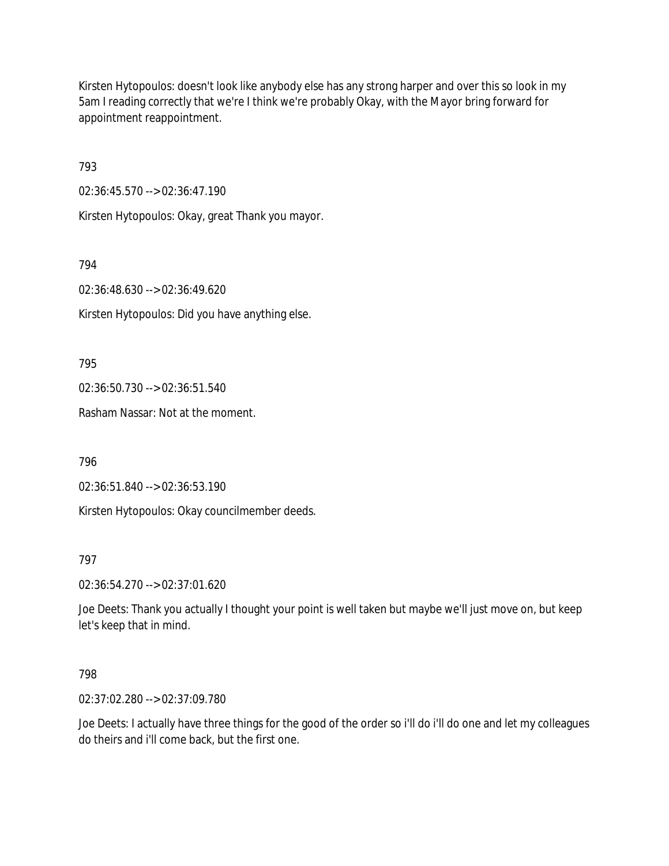Kirsten Hytopoulos: doesn't look like anybody else has any strong harper and over this so look in my 5am I reading correctly that we're I think we're probably Okay, with the Mayor bring forward for appointment reappointment.

793

02:36:45.570 --> 02:36:47.190

Kirsten Hytopoulos: Okay, great Thank you mayor.

794

02:36:48.630 --> 02:36:49.620

Kirsten Hytopoulos: Did you have anything else.

795

02:36:50.730 --> 02:36:51.540

Rasham Nassar: Not at the moment.

796

02:36:51.840 --> 02:36:53.190

Kirsten Hytopoulos: Okay councilmember deeds.

### 797

02:36:54.270 --> 02:37:01.620

Joe Deets: Thank you actually I thought your point is well taken but maybe we'll just move on, but keep let's keep that in mind.

### 798

02:37:02.280 --> 02:37:09.780

Joe Deets: I actually have three things for the good of the order so i'll do i'll do one and let my colleagues do theirs and i'll come back, but the first one.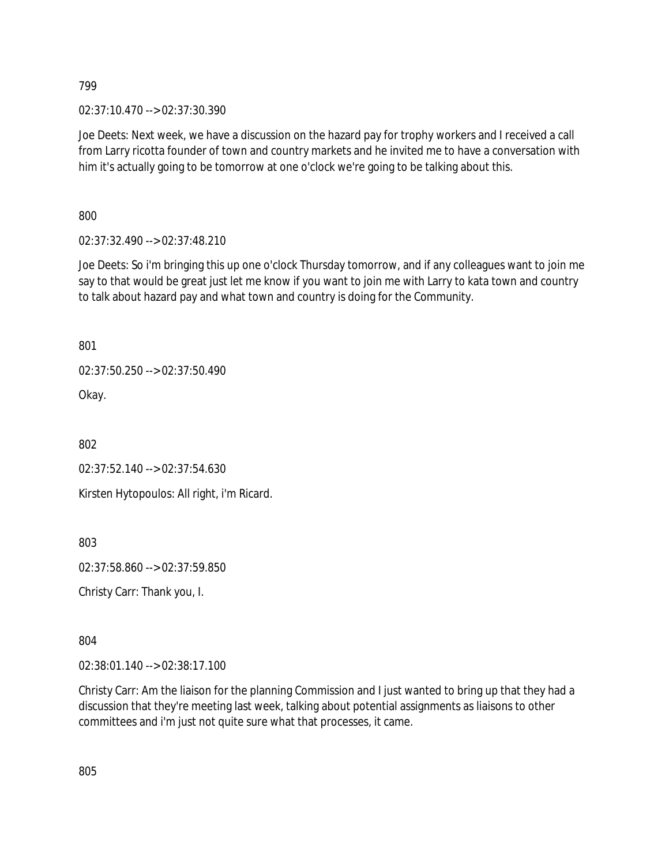02:37:10.470 --> 02:37:30.390

Joe Deets: Next week, we have a discussion on the hazard pay for trophy workers and I received a call from Larry ricotta founder of town and country markets and he invited me to have a conversation with him it's actually going to be tomorrow at one o'clock we're going to be talking about this.

800

02:37:32.490 --> 02:37:48.210

Joe Deets: So i'm bringing this up one o'clock Thursday tomorrow, and if any colleagues want to join me say to that would be great just let me know if you want to join me with Larry to kata town and country to talk about hazard pay and what town and country is doing for the Community.

801

02:37:50.250 --> 02:37:50.490

Okay.

802

02:37:52.140 --> 02:37:54.630

Kirsten Hytopoulos: All right, i'm Ricard.

803

02:37:58.860 --> 02:37:59.850

Christy Carr: Thank you, I.

804

02:38:01.140 --> 02:38:17.100

Christy Carr: Am the liaison for the planning Commission and I just wanted to bring up that they had a discussion that they're meeting last week, talking about potential assignments as liaisons to other committees and i'm just not quite sure what that processes, it came.

805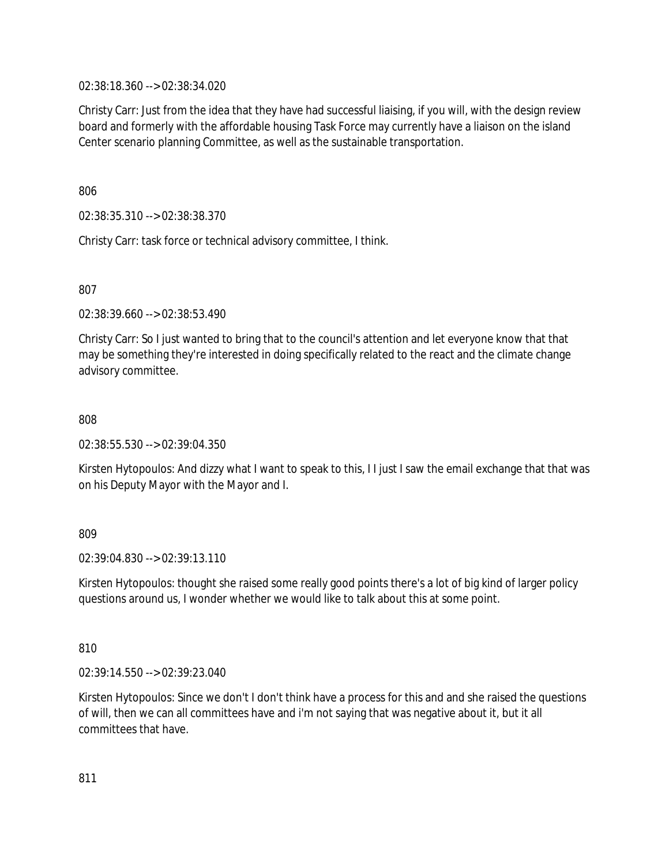02:38:18.360 --> 02:38:34.020

Christy Carr: Just from the idea that they have had successful liaising, if you will, with the design review board and formerly with the affordable housing Task Force may currently have a liaison on the island Center scenario planning Committee, as well as the sustainable transportation.

806

02:38:35.310 --> 02:38:38.370

Christy Carr: task force or technical advisory committee, I think.

807

02:38:39.660 --> 02:38:53.490

Christy Carr: So I just wanted to bring that to the council's attention and let everyone know that that may be something they're interested in doing specifically related to the react and the climate change advisory committee.

808

02:38:55.530 --> 02:39:04.350

Kirsten Hytopoulos: And dizzy what I want to speak to this, I I just I saw the email exchange that that was on his Deputy Mayor with the Mayor and I.

809

02:39:04.830 --> 02:39:13.110

Kirsten Hytopoulos: thought she raised some really good points there's a lot of big kind of larger policy questions around us, I wonder whether we would like to talk about this at some point.

810

02:39:14.550 --> 02:39:23.040

Kirsten Hytopoulos: Since we don't I don't think have a process for this and and she raised the questions of will, then we can all committees have and i'm not saying that was negative about it, but it all committees that have.

811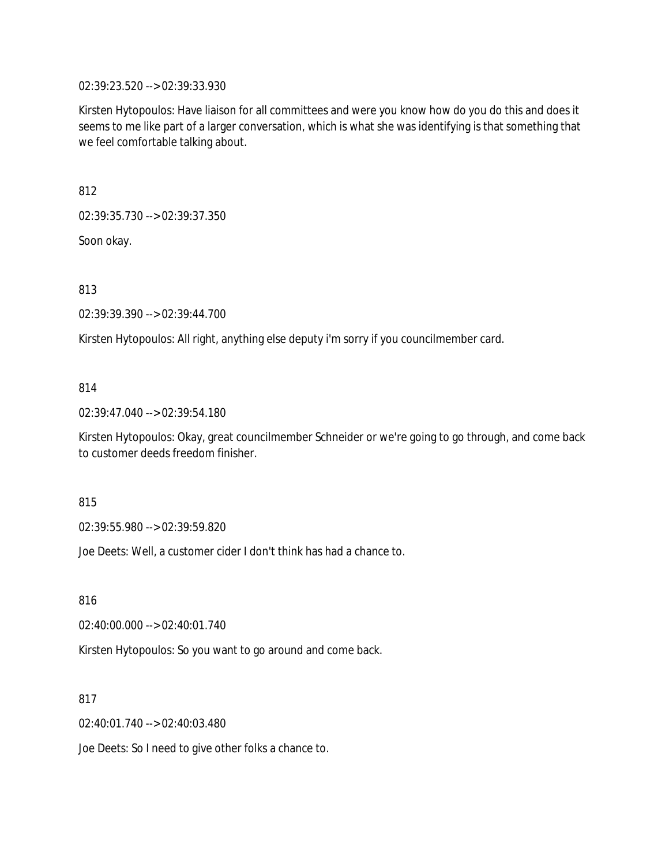02:39:23.520 --> 02:39:33.930

Kirsten Hytopoulos: Have liaison for all committees and were you know how do you do this and does it seems to me like part of a larger conversation, which is what she was identifying is that something that we feel comfortable talking about.

812

02:39:35.730 --> 02:39:37.350

Soon okay.

813

02:39:39.390 --> 02:39:44.700

Kirsten Hytopoulos: All right, anything else deputy i'm sorry if you councilmember card.

#### 814

02:39:47.040 --> 02:39:54.180

Kirsten Hytopoulos: Okay, great councilmember Schneider or we're going to go through, and come back to customer deeds freedom finisher.

815

02:39:55.980 --> 02:39:59.820

Joe Deets: Well, a customer cider I don't think has had a chance to.

816

02:40:00.000 --> 02:40:01.740

Kirsten Hytopoulos: So you want to go around and come back.

817

02:40:01.740 --> 02:40:03.480

Joe Deets: So I need to give other folks a chance to.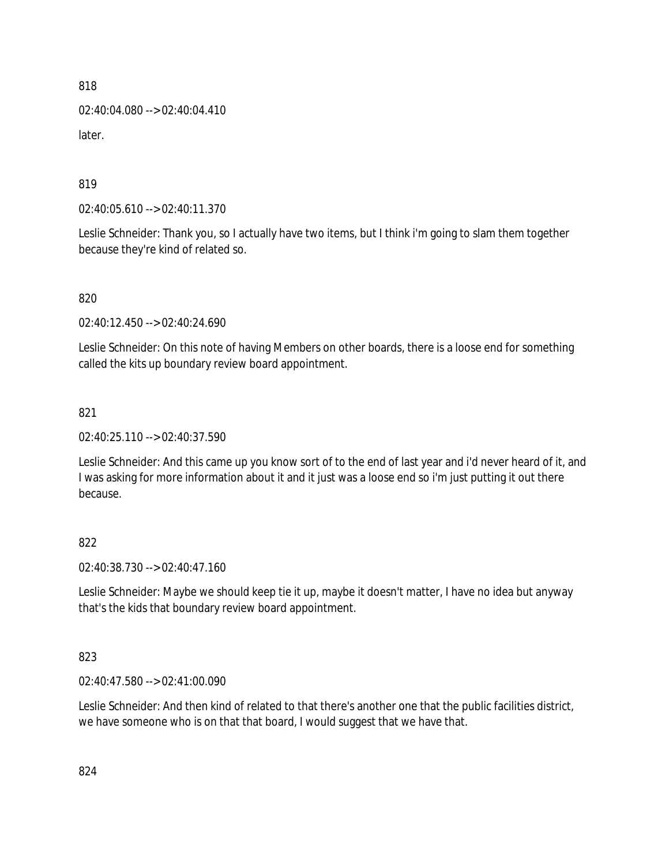02:40:04.080 --> 02:40:04.410 later.

819

02:40:05.610 --> 02:40:11.370

Leslie Schneider: Thank you, so I actually have two items, but I think i'm going to slam them together because they're kind of related so.

820

02:40:12.450 --> 02:40:24.690

Leslie Schneider: On this note of having Members on other boards, there is a loose end for something called the kits up boundary review board appointment.

821

02:40:25.110 --> 02:40:37.590

Leslie Schneider: And this came up you know sort of to the end of last year and i'd never heard of it, and I was asking for more information about it and it just was a loose end so i'm just putting it out there because.

822

02:40:38.730 --> 02:40:47.160

Leslie Schneider: Maybe we should keep tie it up, maybe it doesn't matter, I have no idea but anyway that's the kids that boundary review board appointment.

823

02:40:47.580 --> 02:41:00.090

Leslie Schneider: And then kind of related to that there's another one that the public facilities district, we have someone who is on that that board, I would suggest that we have that.

824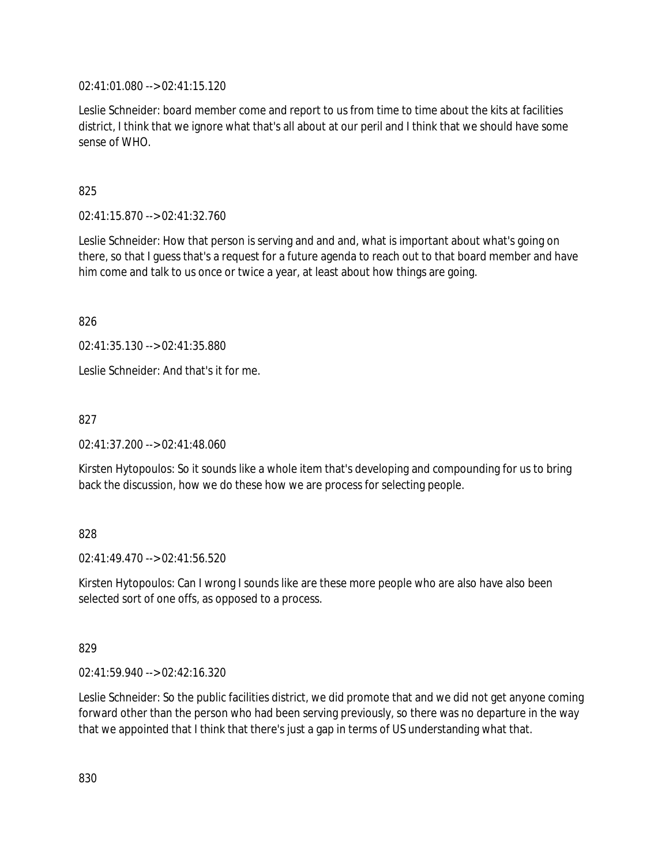02:41:01.080 --> 02:41:15.120

Leslie Schneider: board member come and report to us from time to time about the kits at facilities district, I think that we ignore what that's all about at our peril and I think that we should have some sense of WHO.

## 825

02:41:15.870 --> 02:41:32.760

Leslie Schneider: How that person is serving and and and, what is important about what's going on there, so that I guess that's a request for a future agenda to reach out to that board member and have him come and talk to us once or twice a year, at least about how things are going.

826

02:41:35.130 --> 02:41:35.880

Leslie Schneider: And that's it for me.

827

02:41:37.200 --> 02:41:48.060

Kirsten Hytopoulos: So it sounds like a whole item that's developing and compounding for us to bring back the discussion, how we do these how we are process for selecting people.

### 828

 $02.41.49.470 -> 02.41.56.520$ 

Kirsten Hytopoulos: Can I wrong I sounds like are these more people who are also have also been selected sort of one offs, as opposed to a process.

### 829

02:41:59.940 --> 02:42:16.320

Leslie Schneider: So the public facilities district, we did promote that and we did not get anyone coming forward other than the person who had been serving previously, so there was no departure in the way that we appointed that I think that there's just a gap in terms of US understanding what that.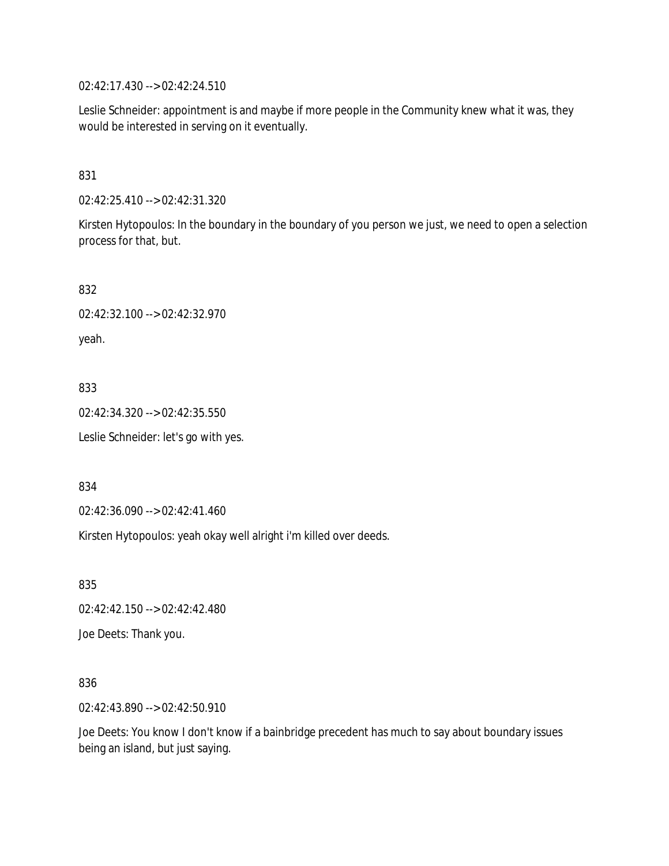02:42:17.430 --> 02:42:24.510

Leslie Schneider: appointment is and maybe if more people in the Community knew what it was, they would be interested in serving on it eventually.

## 831

02:42:25.410 --> 02:42:31.320

Kirsten Hytopoulos: In the boundary in the boundary of you person we just, we need to open a selection process for that, but.

832

02:42:32.100 --> 02:42:32.970

yeah.

### 833

02:42:34.320 --> 02:42:35.550

Leslie Schneider: let's go with yes.

834

02:42:36.090 --> 02:42:41.460

Kirsten Hytopoulos: yeah okay well alright i'm killed over deeds.

835

02:42:42.150 --> 02:42:42.480

Joe Deets: Thank you.

### 836

02:42:43.890 --> 02:42:50.910

Joe Deets: You know I don't know if a bainbridge precedent has much to say about boundary issues being an island, but just saying.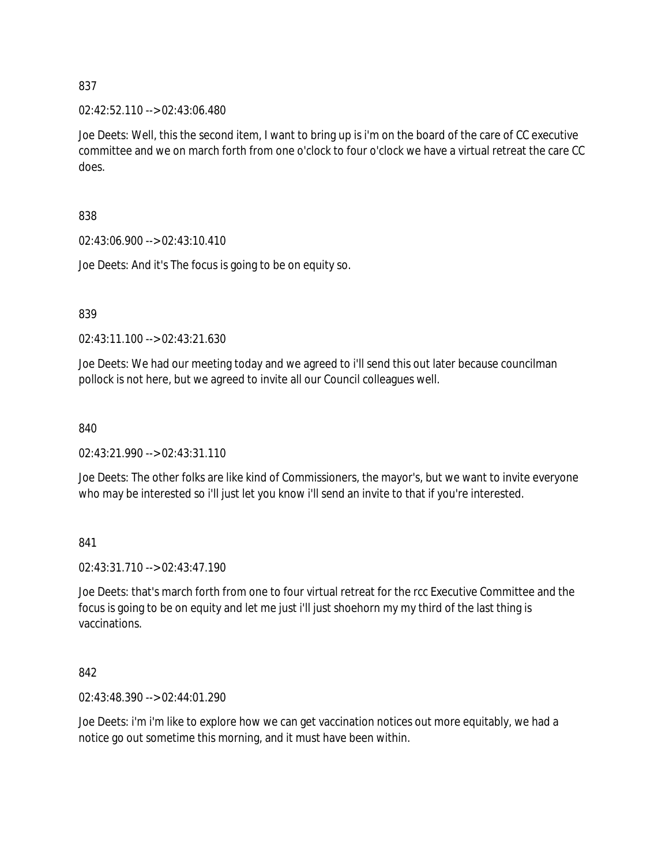02:42:52.110 --> 02:43:06.480

Joe Deets: Well, this the second item, I want to bring up is i'm on the board of the care of CC executive committee and we on march forth from one o'clock to four o'clock we have a virtual retreat the care CC does.

838

02:43:06.900 --> 02:43:10.410

Joe Deets: And it's The focus is going to be on equity so.

839

02:43:11.100 --> 02:43:21.630

Joe Deets: We had our meeting today and we agreed to i'll send this out later because councilman pollock is not here, but we agreed to invite all our Council colleagues well.

840

02:43:21.990 --> 02:43:31.110

Joe Deets: The other folks are like kind of Commissioners, the mayor's, but we want to invite everyone who may be interested so i'll just let you know i'll send an invite to that if you're interested.

841

02:43:31.710 --> 02:43:47.190

Joe Deets: that's march forth from one to four virtual retreat for the rcc Executive Committee and the focus is going to be on equity and let me just i'll just shoehorn my my third of the last thing is vaccinations.

842

02:43:48.390 --> 02:44:01.290

Joe Deets: i'm i'm like to explore how we can get vaccination notices out more equitably, we had a notice go out sometime this morning, and it must have been within.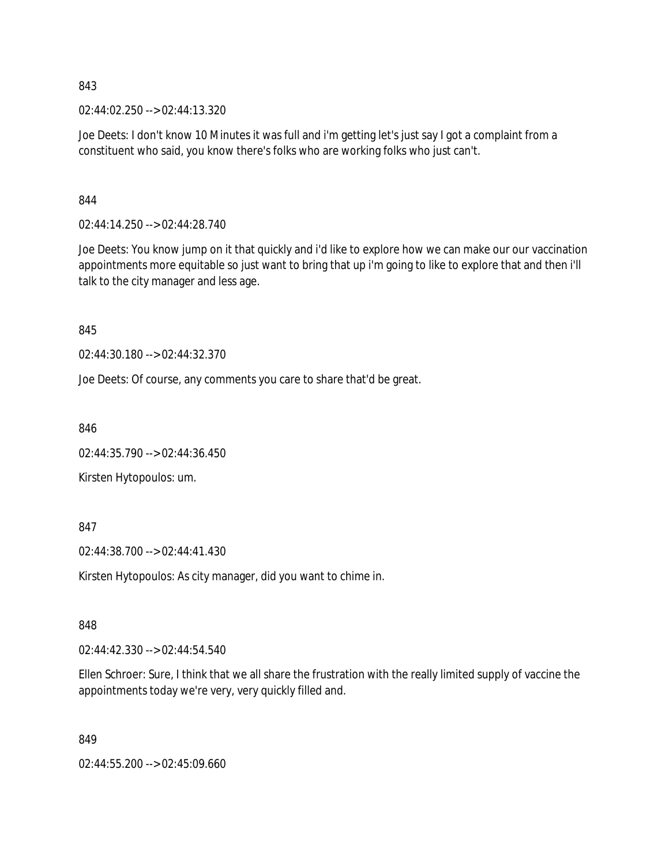02:44:02.250 --> 02:44:13.320

Joe Deets: I don't know 10 Minutes it was full and i'm getting let's just say I got a complaint from a constituent who said, you know there's folks who are working folks who just can't.

844

02:44:14.250 --> 02:44:28.740

Joe Deets: You know jump on it that quickly and i'd like to explore how we can make our our vaccination appointments more equitable so just want to bring that up i'm going to like to explore that and then i'll talk to the city manager and less age.

845

02:44:30.180 --> 02:44:32.370

Joe Deets: Of course, any comments you care to share that'd be great.

846

02:44:35.790 --> 02:44:36.450

Kirsten Hytopoulos: um.

847

02:44:38.700 --> 02:44:41.430

Kirsten Hytopoulos: As city manager, did you want to chime in.

848

02:44:42.330 --> 02:44:54.540

Ellen Schroer: Sure, I think that we all share the frustration with the really limited supply of vaccine the appointments today we're very, very quickly filled and.

849

02:44:55.200 --> 02:45:09.660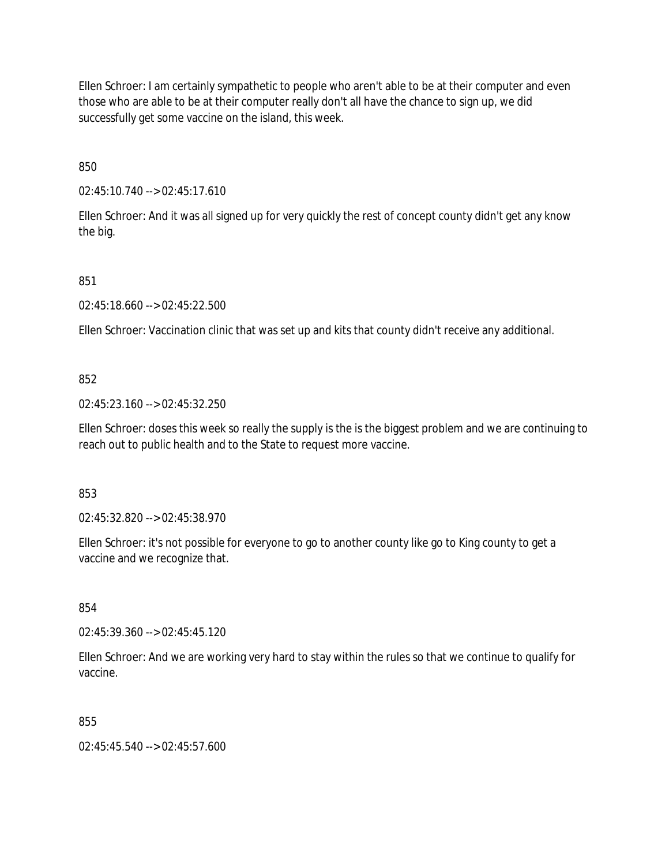Ellen Schroer: I am certainly sympathetic to people who aren't able to be at their computer and even those who are able to be at their computer really don't all have the chance to sign up, we did successfully get some vaccine on the island, this week.

850

02:45:10.740 --> 02:45:17.610

Ellen Schroer: And it was all signed up for very quickly the rest of concept county didn't get any know the big.

851

02:45:18.660 --> 02:45:22.500

Ellen Schroer: Vaccination clinic that was set up and kits that county didn't receive any additional.

### 852

02:45:23.160 --> 02:45:32.250

Ellen Schroer: doses this week so really the supply is the is the biggest problem and we are continuing to reach out to public health and to the State to request more vaccine.

853

02:45:32.820 --> 02:45:38.970

Ellen Schroer: it's not possible for everyone to go to another county like go to King county to get a vaccine and we recognize that.

854

02:45:39.360 --> 02:45:45.120

Ellen Schroer: And we are working very hard to stay within the rules so that we continue to qualify for vaccine.

855

02:45:45.540 --> 02:45:57.600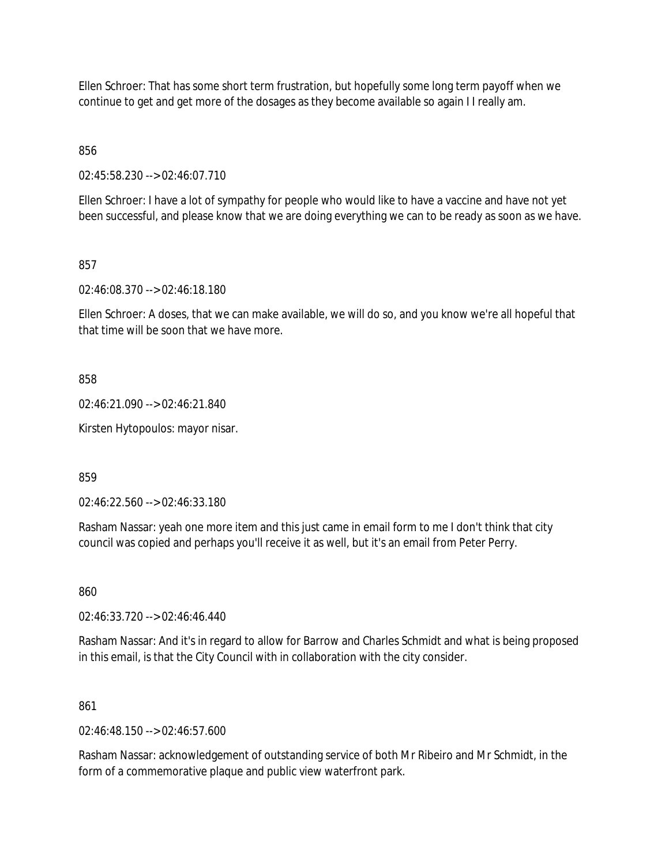Ellen Schroer: That has some short term frustration, but hopefully some long term payoff when we continue to get and get more of the dosages as they become available so again I I really am.

856

02:45:58.230 --> 02:46:07.710

Ellen Schroer: I have a lot of sympathy for people who would like to have a vaccine and have not yet been successful, and please know that we are doing everything we can to be ready as soon as we have.

857

02:46:08.370 --> 02:46:18.180

Ellen Schroer: A doses, that we can make available, we will do so, and you know we're all hopeful that that time will be soon that we have more.

858

02:46:21.090 --> 02:46:21.840

Kirsten Hytopoulos: mayor nisar.

859

02:46:22.560 --> 02:46:33.180

Rasham Nassar: yeah one more item and this just came in email form to me I don't think that city council was copied and perhaps you'll receive it as well, but it's an email from Peter Perry.

860

02:46:33.720 --> 02:46:46.440

Rasham Nassar: And it's in regard to allow for Barrow and Charles Schmidt and what is being proposed in this email, is that the City Council with in collaboration with the city consider.

861

 $02.46.48150 - 02.46.5760$ 

Rasham Nassar: acknowledgement of outstanding service of both Mr Ribeiro and Mr Schmidt, in the form of a commemorative plaque and public view waterfront park.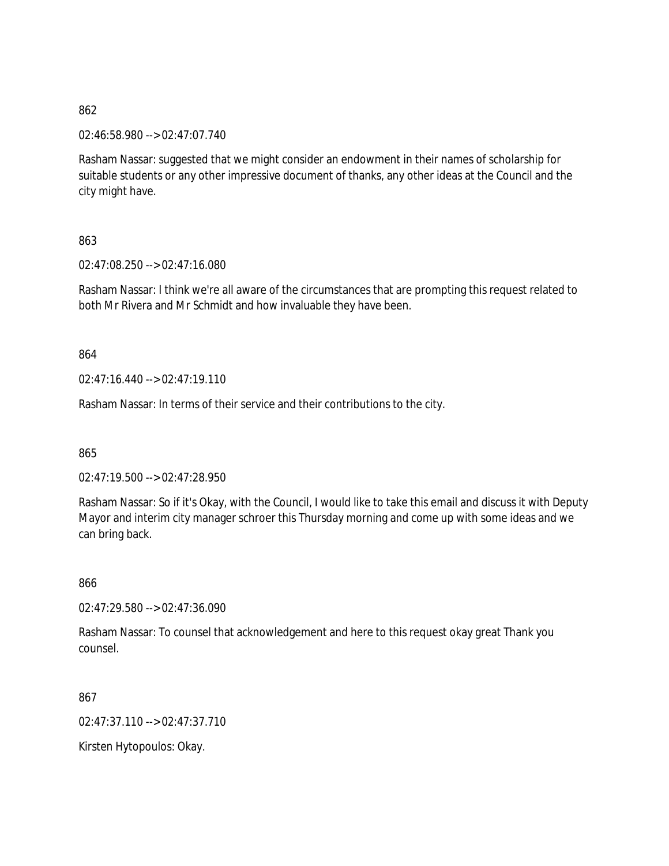02:46:58.980 --> 02:47:07.740

Rasham Nassar: suggested that we might consider an endowment in their names of scholarship for suitable students or any other impressive document of thanks, any other ideas at the Council and the city might have.

863

02:47:08.250 --> 02:47:16.080

Rasham Nassar: I think we're all aware of the circumstances that are prompting this request related to both Mr Rivera and Mr Schmidt and how invaluable they have been.

864

02:47:16.440 --> 02:47:19.110

Rasham Nassar: In terms of their service and their contributions to the city.

865

02:47:19.500 --> 02:47:28.950

Rasham Nassar: So if it's Okay, with the Council, I would like to take this email and discuss it with Deputy Mayor and interim city manager schroer this Thursday morning and come up with some ideas and we can bring back.

866

02:47:29.580 --> 02:47:36.090

Rasham Nassar: To counsel that acknowledgement and here to this request okay great Thank you counsel.

867

02:47:37.110 --> 02:47:37.710

Kirsten Hytopoulos: Okay.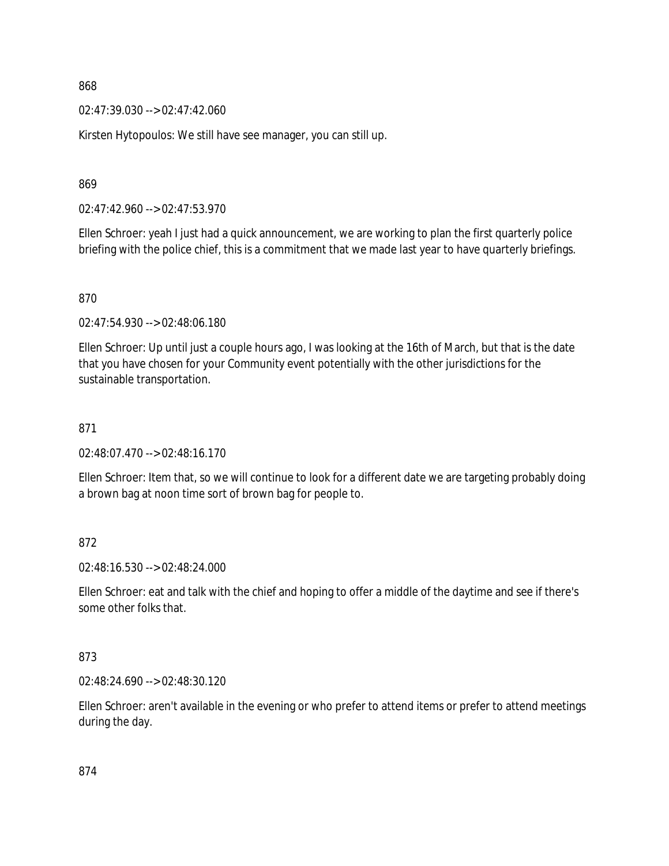02:47:39.030 --> 02:47:42.060

Kirsten Hytopoulos: We still have see manager, you can still up.

869

02:47:42.960 --> 02:47:53.970

Ellen Schroer: yeah I just had a quick announcement, we are working to plan the first quarterly police briefing with the police chief, this is a commitment that we made last year to have quarterly briefings.

### 870

02:47:54.930 --> 02:48:06.180

Ellen Schroer: Up until just a couple hours ago, I was looking at the 16th of March, but that is the date that you have chosen for your Community event potentially with the other jurisdictions for the sustainable transportation.

#### 871

02:48:07.470 --> 02:48:16.170

Ellen Schroer: Item that, so we will continue to look for a different date we are targeting probably doing a brown bag at noon time sort of brown bag for people to.

### 872

02:48:16.530 --> 02:48:24.000

Ellen Schroer: eat and talk with the chief and hoping to offer a middle of the daytime and see if there's some other folks that.

### 873

02:48:24.690 --> 02:48:30.120

Ellen Schroer: aren't available in the evening or who prefer to attend items or prefer to attend meetings during the day.

874